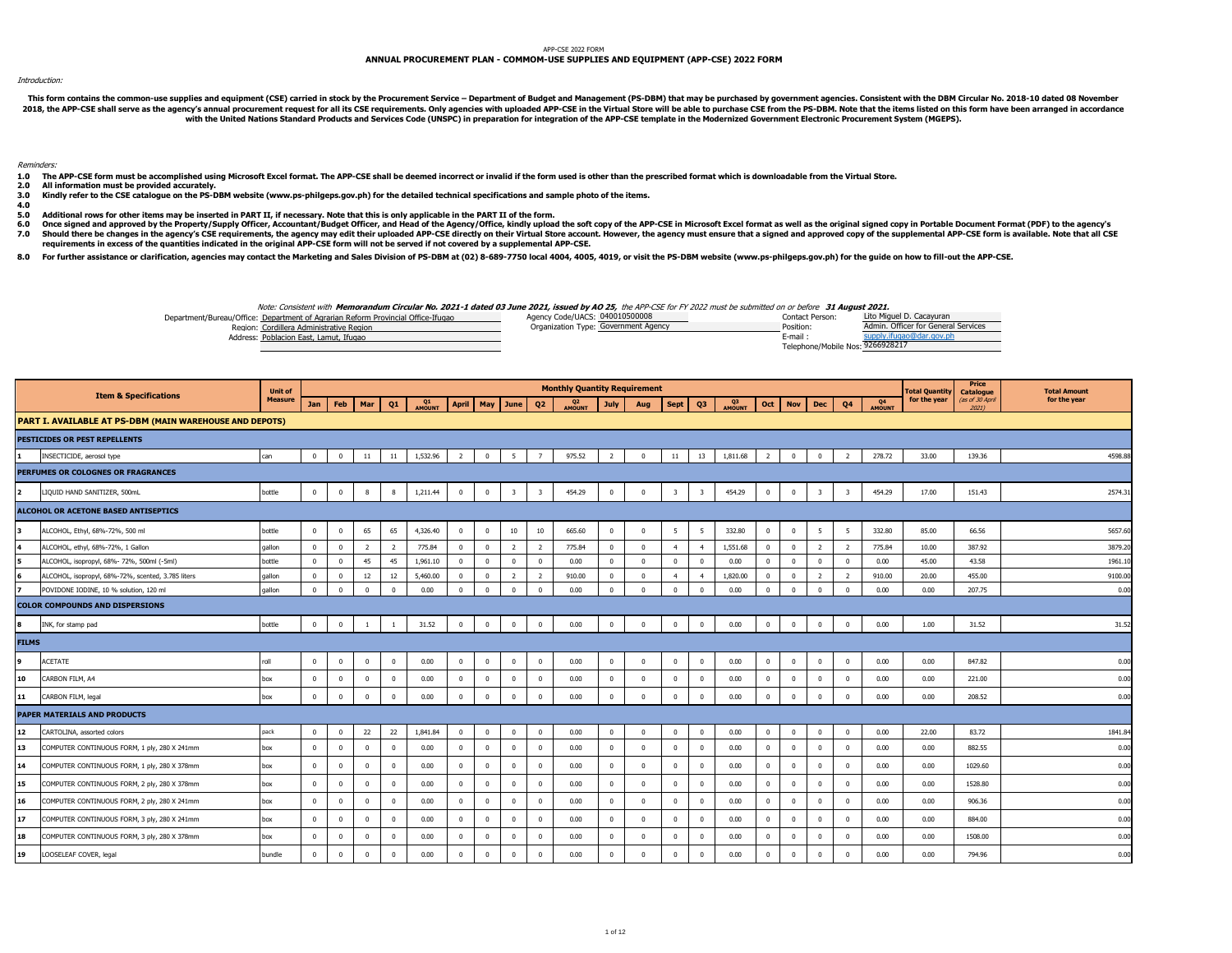## APP-CSE 2022 FORM

## **ANNUAL PROCUREMENT PLAN - COMMOM-USE SUPPLIES AND EQUIPMENT (APP-CSE) 2022 FORM**

## Introduction:

This form contains the common-use supplies and equipment (CSE) carried in stock by the Procurement Service - Department of Budget and Management (PS-DBM) that may be purchased by government agencies. Consistent with the DB 2018, the APP-CSE shall serve as the agency's annual procurement request for all its CSE requirements. Only agencies with uploaded APP-CSE in the Virtual Store will be able to purchase CSE from the PS-DBM. Note that the it

Reminders:

- 1.0 The APP-CSE form must be accomplished using Microsoft Excel format. The APP-CSE shall be deemed incorrect or invalid if the form used is other than the prescribed format which is downloadable from the Virtual Store.
- **2.0 All information must be provided accurately.**
- **3.0 Kindly refer to the CSE catalogue on the PS-DBM website (www.ps-philgeps.gov.ph) for the detailed technical specifications and sample photo of the items.**
- **4.0**
- **5.0 Additional rows for other items may be inserted in PART II, if necessary. Note that this is only applicable in the PART II of the form.**
- **6.0** Once signed and approved by the Property/Supply Officer, Accountant/Budget Officer, and Head of the Agency/Office, kindly upload the soft copy of the APP-CSE in Microsoft Excel format as well as the original signed copy in
- **7.0** Should there be changes in the agency's CSE requirements, the agency may edit their uploaded APP-CSE directly on their Virtual Store account. However, the agency must ensure that a signed and approved copy of the supplemen **requirements in excess of the quantities indicated in the original APP-CSE form will not be served if not covered by a supplemental APP-CSE.**

8.0 For further assistance or clarification, agencies may contact the Marketing and Sales Division of PS-DBM at (02) 8-689-7750 local 4004, 4005, 4019, or visit the PS-DBM website (www.ps-philgeps.gov.ph) for the guide on

Note: Consistent with **Memorandum Circular No. 2021-1 dated 03 June 2021, issued by AO 25,** the APP-CSE for FY 2022 must be submitted on or before **31 August 2021.**

| Department/Bureau/Office: Department of Agrarian Reform Provincial Office-Ifugao | Agency Code/UACS: 040010500008       | Contact Person:                  | Lito Miguel D. Cacavuran            |
|----------------------------------------------------------------------------------|--------------------------------------|----------------------------------|-------------------------------------|
| Region: Cordillera Administrative Region                                         | Organization Type: Government Agency | Position:                        | Admin, Officer for General Services |
| Address: Poblacion East, Lamut, Ifugao                                           |                                      | E-mail                           |                                     |
|                                                                                  |                                      | Telephone/Mobile Nos: 9266928217 |                                     |

|              |                                                         | <b>Unit of</b> |              |                |                |                |          |                |              |                         |                         | <b>Monthly Quantity Requirement</b> |                |              |                         |                         |             |                |                |                         |                         |                     | <b>Total Quantity</b> | Price<br>Catalogue       | <b>Total Amount</b> |
|--------------|---------------------------------------------------------|----------------|--------------|----------------|----------------|----------------|----------|----------------|--------------|-------------------------|-------------------------|-------------------------------------|----------------|--------------|-------------------------|-------------------------|-------------|----------------|----------------|-------------------------|-------------------------|---------------------|-----------------------|--------------------------|---------------------|
|              | <b>Item &amp; Specifications</b>                        | <b>Measure</b> | Jan          | <b>Feb</b>     | Mar            | Q1             | Q1       | <b>April</b>   | May          | June                    | Q <sub>2</sub>          | Q2<br>MOUNT                         | July           | Aug          | <b>Sept</b>             | Q3                      | Q3<br>MOUNT | Oct            | <b>Nov</b>     | <b>Dec</b>              | Q <sub>4</sub>          | <b>Q4</b><br>AMOUNT | for the year          | (as of 30 April<br>20211 | for the year        |
|              | PART I. AVAILABLE AT PS-DBM (MAIN WAREHOUSE AND DEPOTS) |                |              |                |                |                |          |                |              |                         |                         |                                     |                |              |                         |                         |             |                |                |                         |                         |                     |                       |                          |                     |
|              | PESTICIDES OR PEST REPELLENTS                           |                |              |                |                |                |          |                |              |                         |                         |                                     |                |              |                         |                         |             |                |                |                         |                         |                     |                       |                          |                     |
|              | INSECTICIDE, aerosol type                               | can            | $\mathbf{0}$ | $\overline{0}$ | 11             | 11             | 1,532.96 | $\overline{2}$ | $\mathbf{0}$ | 5                       | $\overline{7}$          | 975.52                              | $\overline{2}$ | $\Omega$     | 11                      | 13                      | 1,811.68    | $\overline{2}$ | $\mathbf{0}$   | $\overline{\mathbf{0}}$ | $\overline{2}$          | 278.72              | 33.00                 | 139.36                   | 4598.88             |
|              | PERFUMES OR COLOGNES OR FRAGRANCES                      |                |              |                |                |                |          |                |              |                         |                         |                                     |                |              |                         |                         |             |                |                |                         |                         |                     |                       |                          |                     |
| 12           | LIQUID HAND SANITIZER, 500mL                            | bottle         | $\mathbf{0}$ | $\mathbf{0}$   | 8              | 8              | 1,211.44 | $\mathbf{0}$   | $\mathbf{0}$ | $\overline{\mathbf{3}}$ | $\overline{\mathbf{3}}$ | 454.29                              | $\overline{0}$ | $\bf{0}$     | $\overline{\mathbf{3}}$ | $\overline{\mathbf{3}}$ | 454.29      | $\mathbf{0}$   | $\overline{0}$ | $\overline{\mathbf{3}}$ | $\overline{\mathbf{3}}$ | 454.29              | 17.00                 | 151.43                   | 2574.31             |
|              | ALCOHOL OR ACETONE BASED ANTISEPTICS                    |                |              |                |                |                |          |                |              |                         |                         |                                     |                |              |                         |                         |             |                |                |                         |                         |                     |                       |                          |                     |
|              | ALCOHOL, Ethyl, 68%-72%, 500 ml                         | bottle         | $\bf{0}$     | $\mathbf 0$    | 65             | 65             | 4,326.40 | $\mathbf{0}$   | $\mathbf{0}$ | 10                      | 10                      | 665.60                              | $\mathbf 0$    | $\mathbf 0$  | 5                       | 5                       | 332.80      | $\bf{0}$       | $\mathbf 0$    | 5                       | 5                       | 332.80              | 85.00                 | 66.56                    | 5657.60             |
| 4            | ALCOHOL, ethyl, 68%-72%, 1 Gallon                       | qallon         | $\mathbf{0}$ | $\bf{0}$       | $\overline{2}$ | $\overline{2}$ | 775.84   | $\mathbf{0}$   | $\mathbf{0}$ | $\overline{2}$          | $\overline{2}$          | 775.84                              | $^{\circ}$     | $\Omega$     | $\overline{4}$          | $\overline{4}$          | 1,551.68    | $\mathbf{0}$   | $\mathbf{0}$   | $\overline{2}$          | $\overline{2}$          | 775.84              | 10.00                 | 387.92                   | 3879.20             |
| 5            | ALCOHOL, isopropyl, 68%- 72%, 500ml (-5ml)              | bottle         | $\mathbf{0}$ | $\mathbf{0}$   | 45             | 45             | 1,961.10 | $^{\circ}$     | $\mathbf{0}$ | $\overline{0}$          | $^{\circ}$              | 0.00                                | $\mathbf{0}$   | $\mathbf{0}$ | $\mathbf{0}$            | $\mathbf{0}$            | 0.00        | $\overline{0}$ | $\mathbf{0}$   | $\overline{0}$          | $^{\circ}$              | 0.00                | 45.00                 | 43.58                    | 1961.10             |
| 6            | ALCOHOL, isopropyl, 68%-72%, scented, 3.785 liters      | qallon         | $\mathbf{0}$ | $\mathbf{0}$   | 12             | 12             | 5,460.00 | $^{\circ}$     | $^{\circ}$   | $\overline{2}$          | $\overline{z}$          | 910.00                              | $\Omega$       | $\Omega$     | $\overline{a}$          | $\overline{a}$          | 1,820.00    | $\mathbf{0}$   | $\Omega$       | $\overline{z}$          | $\overline{z}$          | 910.00              | 20.00                 | 455.00                   | 9100.00             |
|              | POVIDONE IODINE, 10 % solution, 120 ml                  | qallon         | $\bf{0}$     | $\mathbf{0}$   | $\mathbf 0$    | $\Omega$       | 0.00     | $\mathbf 0$    | $^{\circ}$   | $\Omega$                | $\Omega$                | 0.00                                | $\Omega$       | $\Omega$     | $\Omega$                | $\Omega$                | 0.00        | $\Omega$       | $\mathbf 0$    | $\Omega$                |                         | 0.00                | 0.00                  | 207.75                   | 0.00                |
|              | <b>COLOR COMPOUNDS AND DISPERSIONS</b>                  |                |              |                |                |                |          |                |              |                         |                         |                                     |                |              |                         |                         |             |                |                |                         |                         |                     |                       |                          |                     |
| l8           | INK, for stamp pad                                      | bottle         | $\mathbf{0}$ | $\mathbf{0}$   | $\overline{1}$ | $\overline{1}$ | 31.52    | $\mathbf{0}$   | $\bf{0}$     | $\mathbf{0}$            | $\mathbf{0}$            | 0.00                                | $\mathbf 0$    | $\mathbf{0}$ | $\bf{0}$                | $\mathbf{0}$            | 0.00        | $\bf{0}$       | $\bf{0}$       | $\bf{0}$                | $\mathbf{0}$            | 0.00                | 1.00                  | 31.52                    | 31.52               |
| <b>FILMS</b> |                                                         |                |              |                |                |                |          |                |              |                         |                         |                                     |                |              |                         |                         |             |                |                |                         |                         |                     |                       |                          |                     |
|              | ACETATE                                                 | roll           | $\mathbf{0}$ | $\mathbf 0$    | $\bf{0}$       | $\mathbf 0$    | 0.00     | $\mathbf{0}$   | $\mathbf 0$  | $\mathbf{0}$            | $\mathbf{0}$            | 0.00                                | $\mathbf 0$    | 0            | $\bf{0}$                | $\mathbf 0$             | 0.00        | $\bf{0}$       | $\mathbf 0$    | $\overline{\mathbf{0}}$ | 0                       | 0.00                | 0.00                  | 847.82                   | 0.00                |
| 10           | CARBON FILM, A4                                         | box            | $\Omega$     | $\mathbf 0$    | $\mathbf 0$    | $\mathbf 0$    | 0.00     | $\mathbf{0}$   | $\mathbf{0}$ | $^{\circ}$              | $\Omega$                | 0.00                                | $\mathbf{0}$   | $\Omega$     | $\Omega$                | $\mathbf{0}$            | 0.00        | $\bf{0}$       | $\mathbf 0$    | $\overline{\mathbf{0}}$ | $\Omega$                | 0.00                | 0.00                  | 221.00                   | 0.00                |
| 11           | CARBON FILM, legal                                      | box            | $\mathbf{0}$ | $\mathbf 0$    | $\mathbf{0}$   | $\mathbf{0}$   | 0.00     | $\mathbf 0$    | $\mathbf{0}$ | $\overline{0}$          | $\mathbf{0}$            | 0.00                                | $\mathbf 0$    | $\mathbf 0$  | $\mathbf{0}$            | $\Omega$                | 0.00        | $\mathbf 0$    | $\mathbf{0}$   | $\mathbf{0}$            | $\Omega$                | 0.00                | 0.00                  | 208.52                   | 0.00                |
|              | <b>PAPER MATERIALS AND PRODUCTS</b>                     |                |              |                |                |                |          |                |              |                         |                         |                                     |                |              |                         |                         |             |                |                |                         |                         |                     |                       |                          |                     |
| 12           | CARTOLINA, assorted colors                              | pack           | $\mathbf{0}$ | $\mathbf{0}$   | 22             | 22             | 1,841.84 | $\mathbf{0}$   | $\mathbf 0$  | $^{\circ}$              | $^{\circ}$              | 0.00                                | $\mathbf{0}$   | $^{\circ}$   | $\Omega$                | $\mathbf{0}$            | 0.00        | $\mathbf{0}$   | $^{\circ}$     | $\overline{0}$          | $\Omega$                | 0.00                | 22.00                 | 83.72                    | 1841.8              |
| 13           | COMPUTER CONTINUOUS FORM, 1 ply, 280 X 241mm            | box            | $\mathbf{0}$ | $\mathbf{0}$   | $\mathbf{0}$   | $\mathbf 0$    | 0.00     | $^{\circ}$     | $\mathbf{0}$ | $\mathbf 0$             | $^{\circ}$              | 0.00                                | $\mathbf{0}$   | $\Omega$     | $\mathbf{0}$            | $\mathbf{0}$            | 0.00        | $\mathbf{0}$   | $\mathbf 0$    | $\overline{0}$          | $\Omega$                | 0.00                | 0.00                  | 882.55                   | 0.00                |
| 14           | COMPUTER CONTINUOUS FORM, 1 ply, 280 X 378mm            | box            | $\bf{0}$     | $\mathbf 0$    | $\bf{0}$       | $\mathbf 0$    | 0.00     | $\mathbf{0}$   | $^{\circ}$   | $^{\circ}$              | $^{\circ}$              | 0.00                                | $\mathbf{0}$   | $\mathbf 0$  | $\bf{0}$                | $\mathbf{0}$            | 0.00        | $\mathbf 0$    | $\mathbf 0$    | $\overline{0}$          |                         | 0.00                | 0.00                  | 1029.60                  | 0.00                |
| 15           | COMPUTER CONTINUOUS FORM, 2 ply, 280 X 378mm            | box            | $\mathbf{0}$ | $\mathbf 0$    | $\bf{0}$       | $\mathbf 0$    | 0.00     | $\mathbf{0}$   | $\mathbf 0$  | $^{\circ}$              | $\Omega$                | 0.00                                | $\mathbf{0}$   | $\Omega$     | $\Omega$                | $\mathbf{0}$            | 0.00        | $\mathbf 0$    | $\mathbf 0$    | $\overline{0}$          | $\Omega$                | 0.00                | 0.00                  | 1528.80                  | 0.00                |
| 16           | COMPUTER CONTINUOUS FORM, 2 ply, 280 X 241mm            | box            | $\mathbf{0}$ | $\mathbf{0}$   | $\bf{0}$       | $\mathbf 0$    | 0.00     | $\mathbf{0}$   | $\mathbf 0$  | $^{\circ}$              | $^{\circ}$              | 0.00                                | $^{\circ}$     | $\Omega$     | $\mathbf 0$             | $\Omega$                | 0.00        | $\mathbf 0$    | $\mathbf 0$    | $\overline{0}$          |                         | 0.00                | 0.00                  | 906.36                   | 0.00                |
| 17           | COMPUTER CONTINUOUS FORM, 3 ply, 280 X 241mm            | box            | $\bf{0}$     | $\mathbf{0}$   | $\mathbf{0}$   | $\Omega$       | 0.00     | $^{\circ}$     | $\mathbf{0}$ | $\Omega$                | $\Omega$                | 0.00                                | $\mathbf{0}$   | $\Omega$     | $\mathbf{0}$            | $\Omega$                | 0.00        | $\bf{0}$       | $\mathbf 0$    | $\Omega$                | $\Omega$                | 0.00                | 0.00                  | 884.00                   | 0.00                |
| 18           | COMPUTER CONTINUOUS FORM, 3 ply, 280 X 378mm            | box            | $\mathbf{0}$ | $\mathbf{0}$   | $^{\circ}$     | $\mathbf 0$    | 0.00     | $\mathbf 0$    | $^{\circ}$   | $\Omega$                | $^{\circ}$              | 0.00                                | $\mathbf{0}$   | $\Omega$     | $\Omega$                | $\mathbf{0}$            | 0.00        | $\mathbf 0$    | $\mathbf 0$    | $\Omega$                |                         | 0.00                | 0.00                  | 1508.00                  | 0.00                |
| 19           | LOOSELEAF COVER, legal                                  | bundle         | $\mathbf{0}$ | $\mathbf 0$    | $\mathbf 0$    | $\Omega$       | 0.00     | $\mathbf{0}$   | $\mathbf{0}$ | $\Omega$                | $\Omega$                | 0.00                                | $\mathbf{0}$   | $\Omega$     | $\Omega$                | $\Omega$                | 0.00        | $\mathbf 0$    | $\mathbf 0$    | $\overline{0}$          | $\Omega$                | 0.00                | 0.00                  | 794.96                   | 0.00                |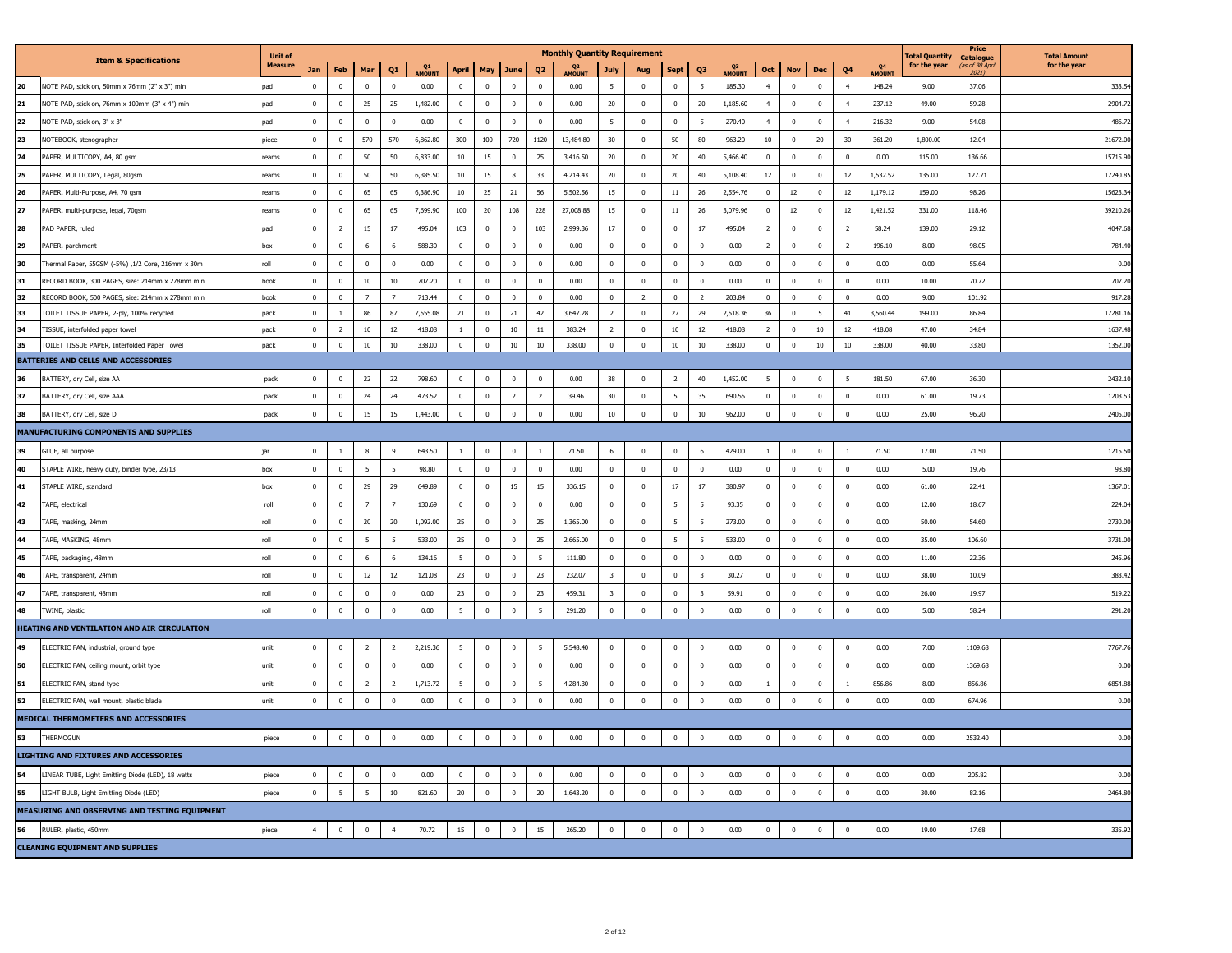|                                             |                                                                                     | <b>Unit of</b>   |                |                         |                                  |                     |                 |                   |                         |                            |                   | <b>Monthly Quantity Requirement</b> |                         |                          |                 |                         |                |                            |                         |                      |                            |               | otal Quantil  | Price<br><b>Catalogue</b> | <b>Total Amount</b> |
|---------------------------------------------|-------------------------------------------------------------------------------------|------------------|----------------|-------------------------|----------------------------------|---------------------|-----------------|-------------------|-------------------------|----------------------------|-------------------|-------------------------------------|-------------------------|--------------------------|-----------------|-------------------------|----------------|----------------------------|-------------------------|----------------------|----------------------------|---------------|---------------|---------------------------|---------------------|
|                                             | <b>Item &amp; Specifications</b>                                                    | <b>Measure</b>   | <b>Jan</b>     | Feb                     | Mar                              | Q1                  | Q1<br>AMOUNI    | April             | May                     | June                       | Q <sub>2</sub>    | Q <sub>2</sub><br>AMOUNT            | July                    | Aug                      | <b>Sept</b>     | Q3                      | Q3<br>AMOUNT   | Oct                        | <b>Nov</b>              | Dec                  | Q4                         | Q4<br>AMOUNT  | for the year  | as of 30 April<br>2021)   | for the year        |
| 20                                          | NOTE PAD, stick on, 50mm x 76mm (2" x 3") min                                       | bac              | $\Omega$       | $\mathbf 0$             | $\Omega$                         | $\Omega$            | 0.00            | $\mathbf 0$       | $\Omega$                | $\Omega$                   | $\Omega$          | 0.00                                | 5                       | $\mathbf 0$              | $\mathbf 0$     | 5                       | 185.30         | $\overline{4}$             | $\mathbf{0}$            | $\mathbf 0$          | $\overline{4}$             | 148.24        | 9.00          | 37.06                     | 333.5               |
| 21                                          | NOTE PAD, stick on, 76mm x 100mm (3" x 4") min                                      | bac              | $\mathbf{0}$   | $\overline{0}$          | 25                               | 25                  | 1,482.00        | $\mathbf{0}$      | $\mathbf{0}$            | $\overline{0}$             | $\mathbf{0}$      | 0.00                                | $20\,$                  | $\mathbf{0}$             | $\overline{0}$  | 20                      | 1.185.60       | $\overline{4}$             | $\mathbf{0}$            | $\mathbf{0}$         | $\overline{a}$             | 237.12        | 49.00         | 59.28                     | 2904.7              |
| 22                                          | NOTE PAD, stick on, 3" x 3"                                                         | bac              | $\mathbf 0$    | $\overline{0}$          | $\mathbf 0$                      | $\mathbf 0$         | 0.00            | $\mathbf 0$       | $\mathbf 0$             | $\mathbf 0$                | $\mathbb O$       | 0.00                                | $\overline{5}$          | $\mathbf 0$              | $\mathbf 0$     | $\overline{5}$          | 270.40         | $\overline{4}$             | $\mathbf 0$             | $\mathbf 0$          | $\overline{4}$             | 216.32        | 9.00          | 54.08                     | 486.7               |
| 23                                          | NOTEBOOK, stenographer                                                              | viece            | $\Omega$       | $\Omega$                | 570                              | 570                 | 6.862.80        | 300               | 100                     | 720                        | 1120              | 13.484.80                           | 30                      | $\Omega$                 | 50              | 80                      | 963.20         | 10                         | $\Omega$                | $20\,$               | 30                         | 361.20        | 1.800.00      | 12.04                     | 21672.0             |
| $\overline{24}$                             | PAPER, MULTICOPY, A4, 80 gsm                                                        | eams             | $\mathbf 0$    | $\mathbb O$             | 50                               | 50                  | 6,833.00        | 10                | $15\,$                  | $\mathbf 0$                | 25                | 3,416.50                            | $20\,$                  | $\mathbf 0$              | 20              | 40                      | 5,466.40       | $\mathbf{0}$               | $\mathbf 0$             | $\mathbf 0$          | $\overline{\mathbf{0}}$    | 0.00          | 115.00        | 136.66                    | 15715.9             |
| 25                                          | PAPER, MULTICOPY, Legal, 80gsm                                                      | eams             | $\Omega$       | $\Omega$                | 50                               | 50                  | 6,385.50        | 10                | 15                      | $\mathbf{8}$               | 33                | 4,214.43                            | 20                      | $\Omega$                 | 20              | 40                      | 5,108.40       | 12                         | $\Omega$                | $\Omega$             | 12                         | 1,532.52      | 135.00        | 127.71                    | 17240.8             |
| $\overline{26}$                             | PAPER, Multi-Purpose, A4, 70 gsm                                                    | eams             | $\mathbf 0$    | $\bf{0}$                | 65                               | 65                  | 6,386.90        | $10\,$            | 25                      | $21\,$                     | 56                | 5,502.56                            | $15\,$                  | $\mathbf 0$              | $11\,$          | 26                      | 2,554.76       | $\mathbf 0$                | 12                      | $\mathbf 0$          | 12                         | 1,179.12      | 159.00        | 98.26                     | 15623.3             |
| $\overline{27}$                             | PAPER, multi-purpose, legal, 70gsm                                                  | eams             | $\Omega$       | $\Omega$                | 65                               | 65                  | 7.699.90        | 100               | 20                      | 108                        | 228               | 27,008.88                           | 15                      | $\Omega$                 | $11\,$          | 26                      | 3.079.96       | $\Omega$                   | $12\,$                  | $\Omega$             | 12                         | 1.421.52      | 331.00        | 118.46                    | 39210.2             |
| <sup>28</sup>                               | PAD PAPER, ruled                                                                    | bac              | $\mathbf 0$    | $\overline{2}$          | 15                               | $17\,$              | 495.04          | 103               | $\mathbf{0}$            | $\mathbf 0$                | 103               | 2,999.36                            | $17\,$                  | $\mathbf 0$              | $\mathbf 0$     | 17                      | 495.04         | $\overline{2}$             | $\mathbf{0}$            | $\mathbf{0}$         | $\overline{2}$             | 58.24         | 139.00        | 29.12                     | 4047.6              |
| $\overline{29}$                             | PAPER, parchment                                                                    | xoc              | $\Omega$       | $\Omega$                | -6                               | - 6                 | 588.30          | $\Omega$          | $\Omega$                | $\Omega$                   | $\Omega$          | 0.00                                | $\mathbf{0}$            | $\Omega$                 | $\Omega$        | $\Omega$                | 0.00           | $\overline{z}$             | $\Omega$                | $\Omega$             | $\overline{z}$             | 196.10        | 8.00          | 98.05                     | 784.4               |
| 30                                          | Thermal Paper, 55GSM (-5%) ,1/2 Core, 216mm x 30m                                   | llo <sup>.</sup> | $\mathbf 0$    | $\mathbf 0$             | $\mathbf 0$                      | $\mathbf 0$         | 0.00            | $\mathbf 0$       | $\mathbf{0}$            | $\mathbf 0$                | $\mathbf 0$       | 0.00                                | $\mathbf 0$             | $\mathbf 0$              | $\mathbf 0$     | $\,0\,$                 | 0.00           | $\mathbf 0$                | $\mathbf 0$             | $\mathbf 0$          | $\mathbf 0$                | 0.00          | 0.00          | 55.64                     | 0.00                |
| 31                                          | RECORD BOOK, 300 PAGES, size: 214mm x 278mm min                                     | ook              | $\mathbf{0}$   | $\overline{0}$          | 10                               | 10                  | 707.20          | $^{\circ}$        | $\Omega$                | $\overline{\mathbf{0}}$    | $\Omega$          | 0.00                                | $\mathbf{0}$            | $\Omega$                 | $\overline{0}$  | $\Omega$                | 0.00           | $\Omega$                   | $^{\circ}$              | $\mathbf{0}$         | $\Omega$                   | 0.00          | 10.00         | 70.72                     | 707.2               |
| 32                                          | RECORD BOOK, 500 PAGES, size: 214mm x 278mm min                                     | ook              | $\mathbf 0$    | $\mathbf{0}$            | $\overline{7}$                   | $\overline{7}$      | 713.44          | $\mathbf{0}$      | $\mathbf 0$             | $\mathbf{0}$               | $\mathbf{0}$      | 0.00                                | $\mathbb O$             | $\overline{2}$           | $\mathbf{0}$    | $\overline{2}$          | 203.84         | $\mathbf{0}$               | $\mathbf 0$             | $\mathbf 0$          | $\mathbf 0$                | 0.00          | 9.00          | 101.92                    | 917.28              |
| 33                                          | TOILET TISSUE PAPER, 2-ply, 100% recycled                                           | ack              | $\mathbf 0$    | $\,$ 1 $\,$             | 86                               | $87\,$              | 7,555.08        | 21                | $\Omega$                | 21                         | 42                | 3,647.28                            | $\overline{2}$          | $\mathbf 0$              | $27\,$          | 29                      | 2,518.36       | 36                         | $\mathbf 0$             | $5\phantom{.0}$      | 41                         | 3,560.44      | 199.00        | 86.84                     | 17281.1             |
| $\begin{array}{c c}\n34 \\ 35\n\end{array}$ | TISSUE, interfolded paper towel                                                     | ack              | $\mathbf 0$    | $\overline{2}$          | $10\,$                           | $12\,$              | 418.08          | $\overline{1}$    | $\Omega$                | $10\,$                     | $11\,$            | 383.24                              | $\overline{2}$          | $\mathbf 0$              | 10              | $12\,$                  | 418.08         | $\overline{z}$             | $\Omega$                | $10\,$               | 12                         | 418.08        | 47.00         | 34.84                     | 1637.4              |
|                                             | TOILET TISSUE PAPER, Interfolded Paper Towel<br>BATTERIES AND CELLS AND ACCESSORIES | ack              | $\mathbf 0$    | $\mathbf 0$             | $10\,$                           | $10\,$              | 338.00          | $\mathbf 0$       | $\mathbf{0}$            | $10\,$                     | $10\,$            | 338.00                              | $\mathbf 0$             | $\mathbf 0$              | 10              | $10\,$                  | 338.00         | $\mathbf 0$                | $\mathbf{0}$            | $10\,$               | 10                         | 338.00        | 40.00         | 33.80                     | 1352.0              |
| 36                                          | BATTERY, dry Cell, size AA                                                          | pack             | $\mathbf{0}$   | $\mathbf{0}$            | 22                               | 22                  | 798.60          | $\mathbf{0}$      | $\mathbf{0}$            | $\mathbf{0}$               | $\mathbf{0}$      | 0.00                                | 38                      | $\mathbf{0}$             | $\overline{2}$  | 40                      | 1,452.00       | 5                          | $\mathbf{0}$            | $\mathbf{0}$         | 5                          | 181.50        | 67.00         | 36.30                     | 2432.1              |
| 37                                          | BATTERY, dry Cell, size AAA                                                         | pack             | $\mathbf 0$    | $\mathbf 0$             | 24                               | 24                  | 473.52          | $\mathbf{0}$      | $\mathbf 0$             | $\overline{2}$             | $\overline{2}$    | 39.46                               | 30                      | $\mathbf 0$              | $5\phantom{.0}$ | 35                      | 690.55         | $\mathbf 0$                | $\mathbf 0$             | $\mathbf 0$          | $\,$ 0                     | 0.00          | 61.00         | 19.73                     | 1203.5              |
| 38                                          | BATTERY, dry Cell, size D                                                           | pack             | $\mathbf 0$    | $\bf{0}$                | 15                               | 15                  | 1,443.00        | $\mathbf 0$       | $\mathbf 0$             | $\mathbf 0$                | $\mathbb O$       | 0.00                                | $10\,$                  | $\mathbf 0$              | $\mathbf 0$     | 10                      | 962.00         | $\bf{0}$                   | $\mathbf 0$             | $\mathbf 0$          | $\overline{\mathbf{0}}$    | 0.00          | 25.00         | 96.20                     | 2405.0              |
|                                             | MANUFACTURING COMPONENTS AND SUPPLIES                                               |                  |                |                         |                                  |                     |                 |                   |                         |                            |                   |                                     |                         |                          |                 |                         |                |                            |                         |                      |                            |               |               |                           |                     |
|                                             |                                                                                     |                  |                |                         |                                  |                     |                 |                   |                         |                            |                   |                                     |                         |                          |                 |                         |                |                            |                         |                      |                            |               |               |                           |                     |
| 39<br>40                                    | GLUE, all purpose                                                                   |                  | $\mathbf 0$    | $\mathbf{1}$            | $8\phantom{1}$<br>5 <sup>5</sup> | 9<br>$\overline{5}$ | 643.50<br>98.80 | $1\,$<br>$\Omega$ | $\mathbf 0$<br>$\Omega$ | $\bf{0}$<br>$\overline{0}$ | $1\,$<br>$\Omega$ | 71.50<br>0.00                       | 6<br>$\Omega$           | $\mathbf{0}$<br>$\Omega$ | $\bf{0}$        | 6<br>$\Omega$           | 429.00<br>0.00 | $\overline{1}$<br>$\Omega$ | $\mathbf 0$<br>$\Omega$ | $\bf{0}$<br>$\Omega$ | $\overline{1}$<br>$\Omega$ | 71.50<br>0.00 | 17.00<br>5.00 | 71.50<br>19.76            | 1215.5              |
|                                             | STAPLE WIRE, heavy duty, binder type, 23/13                                         | hox              | $\mathbf 0$    | $\overline{0}$          |                                  |                     |                 |                   |                         |                            |                   |                                     |                         |                          | $\mathbf 0$     |                         |                |                            |                         |                      |                            |               |               |                           | 98.8                |
| 41<br>$\overline{42}$                       | STAPLE WIRE, standard                                                               | X0               | $\mathbf 0$    | $\mathbf 0$             | 29                               | 29                  | 649.89          | $\mathbf{0}$      | $\mathbf{0}$            | 15                         | $15\,$            | 336.15                              | $\mathbf 0$             | $\mathbf 0$              | 17              | $17\,$                  | 380.97         | $\mathbf 0$                | $\mathbf{0}$            | $\mathbf 0$          | $\overline{0}$             | 0.00          | 61.00         | 22.41                     | 1367.0              |
|                                             | TAPE, electrical                                                                    | roll             | $\Omega$       | $\Omega$                | $\overline{7}$                   | $\overline{7}$      | 130.69          | $\Omega$          | $\Omega$                | $\overline{0}$             | $\Omega$          | 0.00                                | $\Omega$                | $\Omega$                 | 5 <sup>5</sup>  | $-5$                    | 93.35          | $\Omega$                   | $\mathbf{0}$            | $\Omega$             | $\Omega$                   | 0.00          | 12.00         | 18.67                     | 224.0               |
| 43<br>44                                    | TAPE, masking, 24mm                                                                 | llo <sup>-</sup> | $\mathbf 0$    | $\mathbb O$             | 20                               | 20                  | 1,092.00        | 25                | $\mathbf 0$             | $\mathbf 0$                | 25                | 1,365.00                            | $\mathbf 0$             | $\mathbf 0$              | $5\phantom{.0}$ | $\overline{5}$          | 273.00         | $\Omega$                   | $\mathbf 0$             | $\mathbf 0$          | $\,$ 0                     | 0.00          | 50.00         | 54.60                     | 2730.0              |
| $\overline{45}$                             | TAPE, MASKING, 48mm                                                                 | llo <sup>.</sup> | $^{\circ}$     | $\overline{0}$          | -5                               | $\overline{5}$      | 533.00          | 25                | $\Omega$                | $\overline{0}$             | 25                | 2,665.00                            | $^{\circ}$              | $^{\circ}$               | $-5$            | - 5                     | 533.00         | $\Omega$                   | $\Omega$                | $\Omega$             | $\Omega$                   | 0.00          | 35.00         | 106.60                    | 3731.0              |
|                                             | TAPE, packaging, 48mm                                                               | 'oll             | $\mathbf 0$    | $\mathbf 0$             | 6                                | 6                   | 134.16          | 5                 | $\mathbf{0}$            | $\mathbf 0$                | 5                 | 111.80                              | $^{\circ}$              | $\mathbf 0$              | $\mathbf{0}$    | $\mathbf{0}$            | 0.00           | $\mathbf{0}$               | $\mathbf 0$             | $\mathbf 0$          | $\overline{0}$             | 0.00          | 11.00         | 22.36                     | 245.9               |
| 46<br>$\overline{\phantom{0}}$              | TAPE, transparent, 24mm                                                             | 'oll             | $\mathbf{0}$   | $\overline{0}$          | 12                               | $12\,$              | 121.08          | 23                | $\overline{0}$          | $\overline{0}$             | 23                | 232.07                              | $\overline{\mathbf{3}}$ | $\mathbf{0}$             | $\overline{0}$  | $\mathbf{R}$            | 30.27          | $\Omega$                   | $\mathbf 0$             | $\overline{0}$       | $\overline{0}$             | 0.00          | 38.00         | 10.09                     | 383.4               |
|                                             | TAPE, transparent, 48mm                                                             | llo <sup>.</sup> | $\mathbf 0$    | $\mathbf 0$             | $\mathbf{0}$                     | $\mathbf 0$         | 0.00            | 23                | $\mathbf{0}$            | $\mathbf 0$                | 23                | 459.31                              | $\overline{\mathbf{3}}$ | $\mathbf 0$              | $\mathbf 0$     | $\overline{\mathbf{3}}$ | 59.91          | $\mathbf 0$                | $\mathbf 0$             | $\mathbf 0$          | $\overline{0}$             | 0.00          | 26.00         | 19.97                     | 519.2               |
| 48                                          | TWINE, plastic<br>HEATING AND VENTILATION AND AIR CIRCULATION                       | roll             | $\mathbf 0$    | $\mathbf 0$             | $\mathbf 0$                      | $\bm{0}$            | 0.00            | $\overline{5}$    | $\mathbf 0$             | $\bf{0}$                   | 5                 | 291.20                              | $\mathbf 0$             | $\mathbf{0}$             | $\mathbf 0$     | $\overline{\mathbf{0}}$ | 0.00           | $\mathbf{0}$               | $\mathbf 0$             | $\mathbf 0$          | $\overline{\mathbf{0}}$    | 0.00          | 5.00          | 58.24                     | 291.2               |
|                                             |                                                                                     |                  |                |                         |                                  |                     |                 |                   |                         |                            |                   |                                     |                         |                          |                 |                         |                |                            |                         |                      |                            |               |               |                           |                     |
| 49                                          | ELECTRIC FAN, industrial, ground type                                               | unit             | $\mathbf 0$    | $\bf{0}$                | $\overline{2}$                   | $\overline{2}$      | 2,219.36        | 5                 | $\Omega$                | $\bf{0}$                   | 5 <sup>5</sup>    | 5,548.40                            | $\mathbb O$             | $\mathbf 0$              | $\mathbf{0}$    | $\overline{\mathbf{0}}$ | 0.00           | $\Omega$                   | $\Omega$                | $\bf{0}$             | $\overline{0}$             | 0.00          | 7.00          | 1109.68                   | 7767.7              |
| 50                                          | ELECTRIC FAN, ceiling mount, orbit type                                             | unit             | $\mathbf 0$    | $\overline{\mathbf{0}}$ | $\mathbf 0$                      | $\mathbf 0$         | 0.00            | $\mathbf 0$       | $\Omega$                | $\mathbf 0$                | $\mathbb O$       | 0.00                                | $\mathbb O$             | $\Omega$                 | $\,0\,$         | $\mathbf 0$             | 0.00           | $\Omega$                   | $\mathbf 0$             | $\mathbf 0$          | $\,$ 0                     | 0.00          | 0.00          | 1369.68                   | 0.00                |
| 51                                          | ELECTRIC FAN, stand type                                                            | unit             | $\mathbf 0$    | $\mathbf{0}$            | $\overline{2}$                   | $\overline{2}$      | 1,713.72        | 5                 | $\mathbf{0}$            | $\overline{0}$             | $\overline{5}$    | 4,284.30                            | $\mathbf{0}$            | $\mathbf 0$              | $\mathbf 0$     | $\mathbf{0}$            | 0.00           | -1                         | $\mathbf{0}$            | $\mathbf{0}$         | -1                         | 856.86        | 8.00          | 856.86                    | 6854.88             |
| 52                                          | ELECTRIC FAN, wall mount, plastic blade                                             | unit             | $\mathbf{0}$   | $\mathbf 0$             | $\mathbf{0}$                     | $\mathbf 0$         | 0.00            | $\mathbf{0}$      | $\mathbf{0}$            | $\mathbf{0}$               | $\mathbf{0}$      | 0.00                                | $\mathbf 0$             | $\mathbf{0}$             | $\mathbf{0}$    | $\,0\,$                 | 0.00           | $\mathbf{0}$               | $\,0\,$                 | $\pmb{0}$            | $^{\circ}$                 | 0.00          | 0.00          | 674.96                    | 0.00                |
|                                             | MEDICAL THERMOMETERS AND ACCESSORIES                                                |                  |                |                         |                                  |                     |                 |                   |                         |                            |                   |                                     |                         |                          |                 |                         |                |                            |                         |                      |                            |               |               |                           |                     |
| 53                                          | <b>THFRMOGUN</b>                                                                    | piece            | $\mathbf{0}$   | $\bf{0}$                | $\mathbf 0$                      | $\Omega$            | 0.00            | $\mathbf 0$       | $\mathbf 0$             | $\overline{0}$             | $\mathbb O$       | 0.00                                | $\mathbf 0$             | $\bf{0}$                 | $\mathbf 0$     | $\overline{\mathbf{0}}$ | 0.00           | $\bf{0}$                   | $\bf{0}$                | $\bf{0}$             | $\overline{0}$             | 0.00          | 0.00          | 2532.40                   | 0.00                |
|                                             | <b>LIGHTING AND FIXTURES AND ACCESSORIES</b>                                        |                  |                |                         |                                  |                     |                 |                   |                         |                            |                   |                                     |                         |                          |                 |                         |                |                            |                         |                      |                            |               |               |                           |                     |
| 54                                          | LINEAR TUBE, Light Emitting Diode (LED), 18 watts                                   | piece            | $\mathbf{0}$   | $\mathbf{0}$            | $\mathbf 0$                      | $\mathbf 0$         | 0.00            | $^{\circ}$        | $\mathbf 0$             | $\mathbf{0}$               | $\mathbf{0}$      | 0.00                                | $^{\circ}$              | $\mathbf 0$              | $\mathbf{0}$    | $\mathbf{0}$            | 0.00           | $\mathbf{0}$               | $\mathbf 0$             | $\mathbf 0$          | $^{\circ}$                 | 0.00          | 0.00          | 205.82                    | 0.00                |
| 55                                          | LIGHT BULB, Light Emitting Diode (LED)                                              | piece            | $\mathbf 0$    | 5                       | 5                                | $10\,$              | 821.60          | $20\,$            | $\mathbf{0}$            | $\overline{0}$             | 20                | 1,643.20                            | $\,0\,$                 | $\mathbf{0}$             | $\mathbf 0$     | $\mathbf{0}$            | 0.00           | $\mathbf 0$                | $\mathbf 0$             | $\mathbf 0$          | $^{\circ}$                 | 0.00          | 30.00         | 82.16                     | 2464.8              |
|                                             | MEASURING AND OBSERVING AND TESTING EQUIPMENT                                       |                  |                |                         |                                  |                     |                 |                   |                         |                            |                   |                                     |                         |                          |                 |                         |                |                            |                         |                      |                            |               |               |                           |                     |
| 56                                          | RULER, plastic, 450mm                                                               | piece            | $\overline{4}$ | $\mathbf 0$             | $\mathbf 0$                      |                     | 70.72           | $15\,$            | $\mathbf{0}$            | $\mathbf 0$                | 15                | 265.20                              | $\mathbf 0$             | $\mathbf 0$              | $\pmb{0}$       | $\pmb{0}$               | 0.00           | $\mathbf 0$                | $\mathbf{0}$            | $\mathbf 0$          | $\mathbf{0}$               | 0.00          | 19.00         | 17.68                     | 335.9               |
|                                             | <b>CLEANING EQUIPMENT AND SUPPLIES</b>                                              |                  |                |                         |                                  |                     |                 |                   |                         |                            |                   |                                     |                         |                          |                 |                         |                |                            |                         |                      |                            |               |               |                           |                     |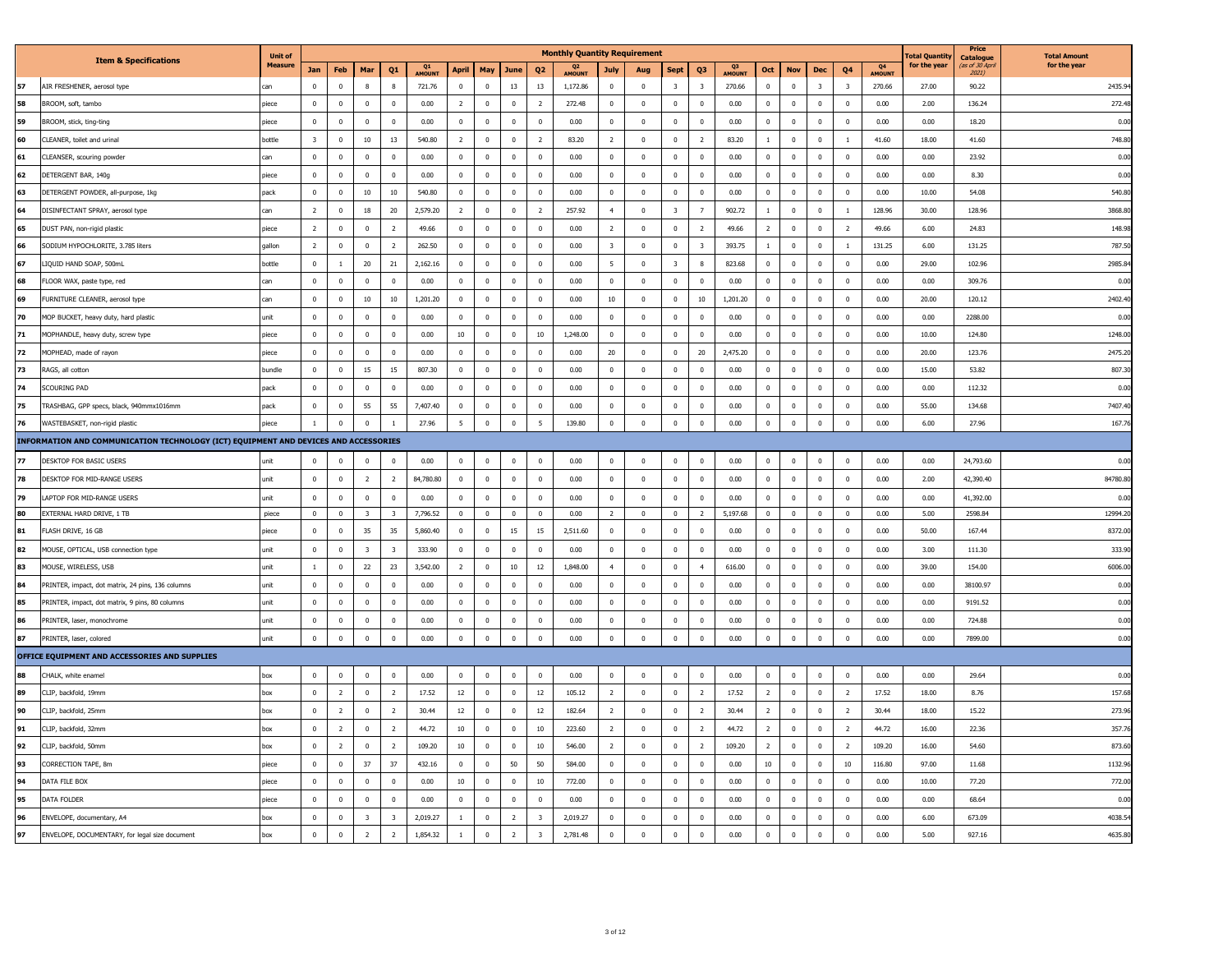|    |                                                                                      | <b>Unit of</b> |                |                |                         |                         |              |                 |                |                         |                          | <b>Monthly Quantity Requirement</b> |                         |              |                         |                         |             |                |                |                         |                          |              | <b>otal Quantit</b> | Price<br><b>Catalogue</b> | <b>Total Amount</b> |
|----|--------------------------------------------------------------------------------------|----------------|----------------|----------------|-------------------------|-------------------------|--------------|-----------------|----------------|-------------------------|--------------------------|-------------------------------------|-------------------------|--------------|-------------------------|-------------------------|-------------|----------------|----------------|-------------------------|--------------------------|--------------|---------------------|---------------------------|---------------------|
|    | <b>Item &amp; Specifications</b>                                                     | <b>Measure</b> | Jan            | Feb            | Mar                     | Q1                      | Q1<br>AMOUNT | April           | May            | June                    | Q <sub>2</sub>           | Q <sub>2</sub><br>AMOUNT            | July                    | Aug          | <b>Sept</b>             | Q3                      | Q3<br>MOUN1 | Oct            | <b>Nov</b>     | Dec                     | Q4                       | Q4<br>AMOUNT | for the year        | as of 30 April<br>2021)   | for the year        |
| 57 | AIR FRESHENER, aerosol type                                                          | can            | $\Omega$       | $\mathbf 0$    | $\mathbf{g}$            | $\mathbf{8}$            | 721.76       | $\mathbf 0$     | $\mathbf 0$    | 13                      | 13                       | 1,172.86                            | $\mathbf 0$             | $\mathbf{0}$ | $\overline{\mathbf{3}}$ | $\overline{\mathbf{3}}$ | 270.66      | $\mathbf 0$    | $\Omega$       | $\overline{\mathbf{3}}$ | $\overline{\mathbf{3}}$  | 270.66       | 27.00               | 90.22                     | 2435.9              |
| 58 | BROOM, soft, tambo                                                                   | piece          | $\mathbf 0$    | $\mathbb O$    | $\mathbf 0$             | $\,$ 0                  | 0.00         | $\overline{2}$  | $\mathbf 0$    | $\mathbf 0$             | $\overline{2}$           | 272.48                              | $\mathbf 0$             | $\mathbf 0$  | $\mathbf{0}$            | 0                       | 0.00        | $\mathbf 0$    | $\mathbf 0$    | $\mathbf 0$             | $\overline{\mathbf{0}}$  | 0.00         | 2.00                | 136.24                    | 272.4               |
| 59 | BROOM, stick, ting-ting                                                              | piece          | $\overline{0}$ | $\overline{0}$ | $\overline{0}$          | $\overline{0}$          | 0.00         | $\mathbf{0}$    | $\mathbf{0}$   | $\mathbf 0$             | $\mathbf{0}$             | 0.00                                | $\mathbf{0}$            | $\mathbf{0}$ | $\mathbf{0}$            | $\mathbf{0}$            | 0.00        | $\mathbf{0}$   | $\overline{0}$ | $\mathbf{0}$            | $\overline{0}$           | 0.00         | 0.00                | 18.20                     | 0.00                |
| 60 | CLEANER, toilet and urinal                                                           | oottle         | $\overline{3}$ | $\mathbb O$    | $10\,$                  | $13\,$                  | 540.80       | $\overline{2}$  | $\mathbf 0$    | $\mathbf 0$             | $\overline{2}$           | 83.20                               | $\overline{2}$          | $\mathbf 0$  | $\mathbf 0$             | $\overline{2}$          | 83.20       | $\overline{1}$ | $\Omega$       | $\mathbb O$             | $\overline{1}$           | 41.60        | 18.00               | 41.60                     | 748.8               |
| 61 | CLEANSER, scouring powder                                                            | an.            | $\Omega$       | $\overline{0}$ | $\Omega$                | $\overline{0}$          | 0.00         | $\mathbf{0}$    | $\overline{0}$ | $\bm{0}$                | $\overline{0}$           | 0.00                                | $\overline{0}$          | $\mathbf{0}$ | $\mathbf{0}$            | $\mathbf{0}$            | 0.00        | $\overline{0}$ | $\Omega$       | $\mathbf{0}$            | $\Omega$                 | 0.00         | 0.00                | 23.92                     | 0.00                |
| 62 | DETERGENT BAR, 140g                                                                  | piece          | $\Omega$       | $\Omega$       | $\Omega$                | $\Omega$                | 0.00         | $\Omega$        | $\Omega$       | $\mathbf 0$             | $\mathbf{0}$             | 0.00                                | $\mathbf 0$             | $\Omega$     | $\Omega$                | $\Omega$                | 0.00        | $\Omega$       | $\Omega$       | $\Omega$                | $\Omega$                 | 0.00         | 0.00                | 8.30                      | 0.00                |
| 63 | DETERGENT POWDER, all-purpose, 1kg                                                   | pack           | $\mathbf 0$    | $\bf{0}$       | 10                      | 10                      | 540.80       | $\mathbf 0$     | $\mathbf 0$    | $\mathbf 0$             | $\mathbf 0$              | 0.00                                | $\bf{0}$                | $\mathbf 0$  | $\mathbf 0$             | $\mathbf{0}$            | 0.00        | $\bf{0}$       | $\mathbf 0$    | $\mathbf 0$             | $\overline{0}$           | 0.00         | 10.00               | 54.08                     | 540.80              |
| 64 | DISINFECTANT SPRAY, aerosol type                                                     | an.            | $\overline{z}$ | $\mathbf{0}$   | $18\,$                  | 20                      | 2,579.20     | 2               | $^{\circ}$     | $\overline{\mathbf{0}}$ | $\overline{z}$           | 257.92                              | $\overline{4}$          | $^{\circ}$   | $\overline{3}$          | $\overline{7}$          | 902.72      | $\overline{1}$ | $\Omega$       | $^{\circ}$              | $\overline{1}$           | 128.96       | 30.00               | 128.96                    | 3868.8              |
| 65 | DUST PAN, non-rigid plastic                                                          | piece          | $\overline{2}$ | $\mathbf{0}$   | $\mathbf 0$             | $\overline{2}$          | 49.66        | $\mathbf{0}$    | $\mathbf 0$    | $\mathbf 0$             | $\mathbb O$              | 0.00                                | $\overline{2}$          | $\mathbf{0}$ | $\mathbf 0$             | $\overline{2}$          | 49.66       | $\overline{2}$ | $\mathbf 0$    | $\mathbf{0}$            | $\overline{2}$           | 49.66        | 6.00                | 24.83                     | 148.9               |
| 66 | SODIUM HYPOCHLORITE, 3.785 liters                                                    | aallon         | $\overline{2}$ | $\mathbb O$    | $\,0\,$                 | $\overline{2}$          | 262.50       | $\,0\,$         | $\mathbf 0$    | $\mathbf 0$             | $\,$ 0                   | 0.00                                | $\overline{\mathbf{3}}$ | $\mathbf 0$  | $\mathbf 0$             | $\overline{\mathbf{3}}$ | 393.75      | $\overline{1}$ | $\mathbf 0$    | $\mathbf 0$             | 1                        | 131.25       | 6.00                | 131.25                    | 787.5               |
| 67 | LIQUID HAND SOAP, 500mL                                                              | oottle         | $\Omega$       | $\overline{1}$ | 20                      | 21                      | 2,162,16     | $\mathbf{0}$    | $\overline{0}$ | $\bm{0}$                | $\Omega$                 | 0.00                                | 5                       | $\mathbf{0}$ | $\overline{3}$          | $\mathbf{8}$            | 823.68      | $\Omega$       | $\Omega$       | $\mathbf{0}$            | $\Omega$                 | 0.00         | 29.00               | 102.96                    | 2985.8              |
| 68 | FLOOR WAX, paste type, red                                                           | an:            | $\mathbf{0}$   | $\mathbf 0$    | $\mathbf 0$             | $\mathbf 0$             | 0.00         | $\mathbf 0$     | $\mathbf 0$    | $\mathbf 0$             | $\bf{0}$                 | 0.00                                | $\bf{0}$                | $\bf{0}$     | $\bf{0}$                | $\mathbf 0$             | 0.00        | $\bf{0}$       | $\mathbf 0$    | $\mathbf 0$             | $\mathbf 0$              | 0.00         | 0.00                | 309.76                    | 0.00                |
| 69 | FURNITURE CLEANER, aerosol type                                                      | can            | $\mathbf{0}$   | $\overline{0}$ | $10\,$                  | $10\,$                  | 1,201.20     | $\mathbf 0$     | $\mathbf 0$    | $\mathbf 0$             | $\mathbf 0$              | 0.00                                | 10                      | $\bf{0}$     | $\mathbf 0$             | 10                      | 1,201.20    | $\mathbf{0}$   | $\mathbf{0}$   | $\overline{0}$          | $\overline{\mathbf{0}}$  | 0.00         | 20.00               | 120.12                    | 2402.4              |
| 70 | MOP BUCKET, heavy duty, hard plastic                                                 | ınit           | $\Omega$       | $\Omega$       | $\Omega$                | $\overline{\mathbf{0}}$ | 0.00         | $^{\circ}$      | $\Omega$       | $\mathbf{0}$            | $\Omega$                 | 0.00                                | $\overline{0}$          | $^{\circ}$   | $\Omega$                | $\Omega$                | 0.00        | $\Omega$       | $\Omega$       | $\mathbf{0}$            | $\Omega$                 | 0.00         | 0.00                | 2288.00                   | 0.00                |
| 71 | MOPHANDLE, heavy duty, screw type                                                    | piece          | $\mathbf 0$    | $\mathbf 0$    | $\mathbf{0}$            | $\mathbf 0$             | 0.00         | $10\,$          | $\mathbf 0$    | $\mathbf 0$             | $10\,$                   | 1,248.00                            | $\mathbf 0$             | $\mathbf 0$  | $\mathbf 0$             | $\mathbf 0$             | 0.00        | $\mathbf 0$    | $\mathbf 0$    | $\mathbf 0$             | $\mathbf 0$              | 0.00         | 10.00               | 124.80                    | 1248.0              |
| 72 | MOPHEAD, made of rayon                                                               | piece          | $\Omega$       | $\Omega$       | $\Omega$                | $\,$ 0                  | 0.00         | $\,0\,$         | $\mathbf 0$    | $\mathbf 0$             | $\,$ 0                   | 0.00                                | 20                      | $\mathbf 0$  | $\Omega$                | 20                      | 2,475.20    | $\Omega$       | $\Omega$       | $\mathbf 0$             | $\,0\,$                  | 0.00         | 20.00               | 123.76                    | 2475.2              |
| 73 | RAGS, all cotton                                                                     | <b>undle</b>   | $\Omega$       | $\Omega$       | 15                      | 15                      | 807.30       | $\Omega$        | $\Omega$       | $\bf{0}$                | $\Omega$                 | 0.00                                | $\Omega$                | $\Omega$     | $\Omega$                | $\Omega$                | 0.00        | $\Omega$       | $\Omega$       | $\overline{0}$          | $\Omega$                 | 0.00         | 15.00               | 53.82                     | 807.3               |
| 74 | SCOURING PAD                                                                         | back           | $\mathbf 0$    | $\mathbf 0$    | $\mathbf 0$             | $\mathbf 0$             | 0.00         | $\mathbf 0$     | $\mathbf 0$    | $\bf{0}$                | $\bf{0}$                 | 0.00                                | $\mathbf 0$             | $\bf{0}$     | $\bf{0}$                | $\mathbf{0}$            | 0.00        | $\bf{0}$       | $\mathbf 0$    | $\mathbf 0$             | $\mathbf 0$              | 0.00         | 0.00                | 112.32                    | 0.00                |
| 75 | TRASHBAG, GPP specs, black, 940mmx1016mm                                             | pack           | $\mathbf{0}$   | $\overline{0}$ | 55                      | 55                      | 7,407.40     | $\mathbf{0}$    | $\mathbf 0$    | $\mathbf 0$             | $\,0\,$                  | 0.00                                | $\,0\,$                 | $\mathbf{0}$ | $\overline{0}$          | $\mathbf{0}$            | 0.00        | $\overline{0}$ | $\mathbf{0}$   | $\mathbf{0}$            | $\overline{0}$           | 0.00         | 55.00               | 134.68                    | 7407.4              |
| 76 | WASTEBASKET, non-rigid plastic                                                       | piece          | $\mathbf{1}$   | $\mathbf 0$    | $\mathbf{0}$            | $\overline{1}$          | 27.96        | $5\overline{5}$ | $\mathbf 0$    | $\mathbf 0$             | $\overline{\phantom{a}}$ | 139.80                              | $\mathbf 0$             | $\mathbb O$  | $\mathbf 0$             | $\mathbf 0$             | 0.00        | $\mathbf 0$    | $\mathbf 0$    | $\mathbb O$             | $\overline{0}$           | 0.00         | 6.00                | 27.96                     | 167.7               |
|    | INFORMATION AND COMMUNICATION TECHNOLOGY (ICT) EQUIPMENT AND DEVICES AND ACCESSORIES |                |                |                |                         |                         |              |                 |                |                         |                          |                                     |                         |              |                         |                         |             |                |                |                         |                          |              |                     |                           |                     |
| 77 | DESKTOP FOR BASIC USERS                                                              | unit           | $\mathbf 0$    | $\mathbf{0}$   | $\mathbf{0}$            | $\overline{0}$          | 0.00         | $\mathbf{0}$    | $\mathbf{0}$   | $\mathbf 0$             | $\mathbf 0$              | 0.00                                | $\mathbf 0$             | $\mathbb O$  | $\mathbf 0$             | $\mathbf{0}$            | 0.00        | $\mathbf 0$    | $\mathbf 0$    | $\mathbb O$             | $\mathbf 0$              | 0.00         | 0.00                | 24,793.60                 | 0.00                |
| 78 | DESKTOP FOR MID-RANGE USERS                                                          | unit           | $\mathbf{0}$   | $\overline{0}$ | $\overline{2}$          | $\overline{2}$          | 84,780.80    | $\mathbf{0}$    | $\mathbf 0$    | $\mathbf 0$             | $\mathbb O$              | 0.00                                | $\mathbb O$             | $\mathbf 0$  | $\mathbf 0$             | $\mathbf{0}$            | 0.00        | $\mathbf 0$    | $\mathbf 0$    | $\mathbf{0}$            | $\mathbf 0$              | 0.00         | 2.00                | 42,390.40                 | 84780.80            |
| 79 | LAPTOP FOR MID-RANGE USERS                                                           | unit           | $\mathbf 0$    | $\overline{0}$ | $\mathbf{0}$            | $\mathbf 0$             | 0.00         | $\mathbf{0}$    | $\overline{0}$ | $\mathbf 0$             | $\mathbb O$              | 0.00                                | $\mathbf 0$             | $\mathbf{0}$ | $\mathbf 0$             | $\overline{0}$          | 0.00        | $\mathbf 0$    | $\mathbf 0$    | $\mathbb O$             | $\overline{\mathbf{0}}$  | 0.00         | 0.00                | 41,392.00                 | 0.00                |
| 80 | EXTERNAL HARD DRIVE, 1 TB                                                            | niece          | $\Omega$       | $\mathbf{0}$   | $\overline{3}$          | $\overline{3}$          | 7,796.52     | $\Omega$        | $\overline{0}$ | $\Omega$                | $\mathbf{0}$             | 0.00                                | $\overline{2}$          | $\Omega$     | $\mathbf{0}$            | $\overline{z}$          | 5,197.68    | $\overline{0}$ | $\sqrt{2}$     | $\Omega$                | $\Omega$                 | 0.00         | 5.00                | 2598.84                   | 12994.2             |
| 81 | FLASH DRIVE, 16 GB                                                                   | piece          | $\Omega$       | $\overline{0}$ | 35                      | 35                      | 5,860,40     | $\mathbf{0}$    | $\overline{0}$ | 15                      | 15                       | 2,511.60                            | $\bf{0}$                | $\mathbf{0}$ | $\Omega$                | $\overline{0}$          | 0.00        | $\overline{0}$ | $\Omega$       | $\overline{0}$          | $\Omega$                 | 0.00         | 50.00               | 167.44                    | 8372.00             |
| 82 | MOUSE, OPTICAL, USB connection type                                                  | unit           | $\overline{0}$ | $\overline{0}$ | $\overline{3}$          | $\overline{\mathbf{3}}$ | 333.90       | $^{\circ}$      | $\overline{0}$ | $\bf{0}$                | $\overline{0}$           | 0.00                                | $\mathbf{0}$            | $^{\circ}$   | $\Omega$                | $^{\circ}$              | 0.00        | $\mathbf{0}$   | $\overline{0}$ | $\mathbf{0}$            | $\Omega$                 | 0.00         | 3.00                | 111.30                    | 333.9               |
| 83 | MOUSE, WIRELESS, USB                                                                 | unit           | $\overline{1}$ | $\mathbb O$    | 22                      | 23                      | 3,542.00     | $\overline{2}$  | $\overline{0}$ | $10\,$                  | 12                       | 1,848.00                            | $\overline{4}$          | $\mathbf{0}$ | $\mathbf 0$             | $\overline{4}$          | 616.00      | $\overline{0}$ | $\Omega$       | $\mathbb O$             | $\overline{\mathbf{0}}$  | 0.00         | 39.00               | 154.00                    | 6006.0              |
| 84 | PRINTER, impact, dot matrix, 24 pins, 136 columns                                    | ınit           | $\mathbf 0$    | $\mathbf 0$    | $\mathbf{0}$            | $\mathbf 0$             | 0.00         | $\,0\,$         | $\mathbf 0$    | $\mathbf 0$             | $\,$ 0                   | 0.00                                | $\mathbf 0$             | $\mathbf 0$  | $\mathbf{0}$            | $\mathbf 0$             | 0.00        | $\mathbf 0$    | $\mathbf{0}$   | $\mathbf 0$             | $\,0\,$                  | 0.00         | 0.00                | 38100.97                  | 0.00                |
| 85 | PRINTER, impact, dot matrix, 9 pins, 80 columns                                      | unit           | $\Omega$       | $\Omega$       | $\Omega$                | $\overline{\mathbf{0}}$ | 0.00         | $\Omega$        | $\mathbf 0$    | $\mathbf 0$             | $\mathbf 0$              | 0.00                                | $\mathbf 0$             | $\Omega$     | $\Omega$                | $\Omega$                | 0.00        | $\Omega$       | $\Omega$       | $\Omega$                | $\Omega$                 | 0.00         | 0.00                | 9191.52                   | 0.00                |
| 86 | PRINTER, laser, monochrome                                                           | unit           | $\Omega$       | $\Omega$       | $\Omega$                | $\mathbf 0$             | 0.00         | $\,0\,$         | $\mathbf 0$    | $\mathbf 0$             | $\,$ 0                   | 0.00                                | $\mathbb O$             | $\mathbf 0$  | $\mathbf 0$             | $\mathbf 0$             | 0.00        | $\mathbf 0$    | $\Omega$       | $\mathbf 0$             | $\,0\,$                  | 0.00         | 0.00                | 724.88                    | 0.00                |
| 87 | PRINTER, laser, colored                                                              | unit           | $\mathbf{0}$   | $\bf{0}$       | $\mathbf{0}$            | $\mathbf 0$             | 0.00         | $\mathbf 0$     | $\mathbf 0$    | $\mathbf 0$             | $\mathbf 0$              | 0.00                                | $\bf{0}$                | $\mathbf 0$  | $\mathbf 0$             | $\mathbf 0$             | 0.00        | $\mathbf 0$    | $\mathbf{0}$   | $\mathbf 0$             | $\overline{0}$           | 0.00         | 0.00                | 7899.00                   | 0.00                |
|    | OFFICE EQUIPMENT AND ACCESSORIES AND SUPPLIES                                        |                |                |                |                         |                         |              |                 |                |                         |                          |                                     |                         |              |                         |                         |             |                |                |                         |                          |              |                     |                           |                     |
| 88 | CHALK, white enamel                                                                  | box            | $\Omega$       | $\overline{0}$ | $\Omega$                | $\overline{0}$          | 0.00         | $\mathbf{0}$    | $\overline{0}$ | $\mathbf 0$             | $\overline{0}$           | 0.00                                | $\bf{0}$                | $\mathbf{0}$ | $\mathbf{0}$            | $\mathbf{0}$            | 0.00        | $\overline{0}$ | $\Omega$       | $\mathbf{0}$            | $\overline{0}$           | 0.00         | 0.00                | 29.64                     | 0.00                |
| 89 | CLIP, backfold, 19mm                                                                 | box            | $\mathbf 0$    | $\overline{2}$ | $\mathbf 0$             | $\overline{2}$          | 17.52        | 12              | $\mathbf 0$    | $\mathbf 0$             | 12                       | 105.12                              | $\overline{2}$          | $\mathbf 0$  | $\mathbf 0$             | $\overline{2}$          | 17.52       | $\overline{2}$ | $\mathbf 0$    | $\mathbb O$             | $\overline{2}$           | 17.52        | 18.00               | 8.76                      | 157.68              |
| 90 | CLIP, backfold, 25mm                                                                 | box            | $\mathbf 0$    | $\overline{2}$ | $\mathbf 0$             | $\overline{2}$          | 30.44        | 12              | $\mathbf 0$    | $\mathbf 0$             | $12\,$                   | 182.64                              | $\overline{2}$          | $\mathbf{0}$ | $\mathbf 0$             | $\overline{2}$          | 30.44       | $\overline{2}$ | $\mathbf 0$    | $\mathbb O$             | $\overline{2}$           | 30.44        | 18.00               | 15.22                     | 273.96              |
| 91 | CLIP, backfold, 32mm                                                                 | oc             | $\mathbf 0$    | $\overline{2}$ | $\mathbf{0}$            | $\overline{2}$          | 44.72        | $10\,$          | $\mathbf 0$    | $\mathbf 0$             | $10\,$                   | 223.60                              | $\overline{2}$          | $\mathbf{0}$ | $\overline{0}$          | $\overline{2}$          | 44.72       | $\overline{2}$ | $\mathbf{0}$   | $\mathbf{0}$            | $\overline{2}$           | 44.72        | 16.00               | 22.36                     | 357.7               |
| 92 | CLIP, backfold, 50mm                                                                 | hox            | $\Omega$       | $\overline{2}$ | $\Omega$                | $\overline{z}$          | 109.20       | 10              | $\Omega$       | $\Omega$                | $10\,$                   | 546.00                              | $\overline{z}$          | $\Omega$     | $\Omega$                | $\overline{z}$          | 109.20      | $\overline{z}$ | $\Omega$       | $\Omega$                | $\overline{\phantom{a}}$ | 109.20       | 16.00               | 54.60                     | 873.60              |
| 93 | CORRECTION TAPE, 8m                                                                  | piece          | $\mathbf 0$    | $\mathbf 0$    | 37                      | 37                      | 432.16       | $\mathbf 0$     | $\mathbf 0$    | 50                      | 50                       | 584.00                              | $\mathbf 0$             | $\bf{0}$     | $\Omega$                | $\mathbf{0}$            | 0.00        | 10             | $\mathbf 0$    | $\mathbf 0$             | 10                       | 116.80       | 97.00               | 11.68                     | 1132.9              |
| 94 | DATA FILE BOX                                                                        | piece          | $\Omega$       | $\mathbf{0}$   | $\Omega$                | $\overline{0}$          | 0.00         | 10              | $^{\circ}$     | $\mathbf 0$             | 10                       | 772.00                              | $\mathbf{0}$            | $\Omega$     | $\Omega$                | $\Omega$                | 0.00        | $\Omega$       | $\Omega$       | $\Omega$                | $\Omega$                 | 0.00         | 10.00               | 77.20                     | 772.0               |
| 95 | DATA FOLDER                                                                          | piece          | $\Omega$       | $\mathbf 0$    | $\Omega$                | $\mathbf 0$             | 0.00         | $\mathbf{0}$    | $\mathbf 0$    | $\mathbf 0$             | $\mathbf 0$              | 0.00                                | $\mathbf{0}$            | $\mathbf 0$  | $\Omega$                | $\mathbf 0$             | 0.00        | $\overline{0}$ | $\Omega$       | $\mathbf 0$             | $\mathbf{0}$             | 0.00         | 0.00                | 68.64                     | 0.00                |
| 96 | ENVELOPE, documentary, A4                                                            | юc             | $\mathbf{0}$   | $\mathbf{0}$   | $\overline{\mathbf{3}}$ | $\overline{\mathbf{3}}$ | 2,019.27     | $\mathbf{1}$    | $\mathbf{0}$   | $\overline{2}$          | $\overline{\mathbf{3}}$  | 2,019.27                            | $\,0\,$                 | $\mathbf 0$  | $\mathbf{0}$            | $\mathbf 0$             | 0.00        | $\mathbf{0}$   | $\mathbf{0}$   | $\mathbf{0}$            | $\mathbf{0}$             | 0.00         | 6.00                | 673.09                    | 4038.5              |
|    |                                                                                      |                |                |                |                         |                         |              |                 |                |                         |                          |                                     |                         |              |                         |                         |             | $\Omega$       | $\Omega$       |                         |                          |              |                     |                           |                     |
| 97 | ENVELOPE, DOCUMENTARY, for legal size document                                       | box            | $\Omega$       | $\Omega$       | $\overline{z}$          | $\overline{2}$          | 1,854.32     | $\overline{1}$  | $\mathbf 0$    | $\overline{2}$          | $\mathbf{R}$             | 2,781.48                            | $\overline{0}$          | $\Omega$     | $\Omega$                | $\Omega$                | 0.00        |                |                | $\mathbb O$             | $\Omega$                 | 0.00         | 5.00                | 927.16                    | 4635.80             |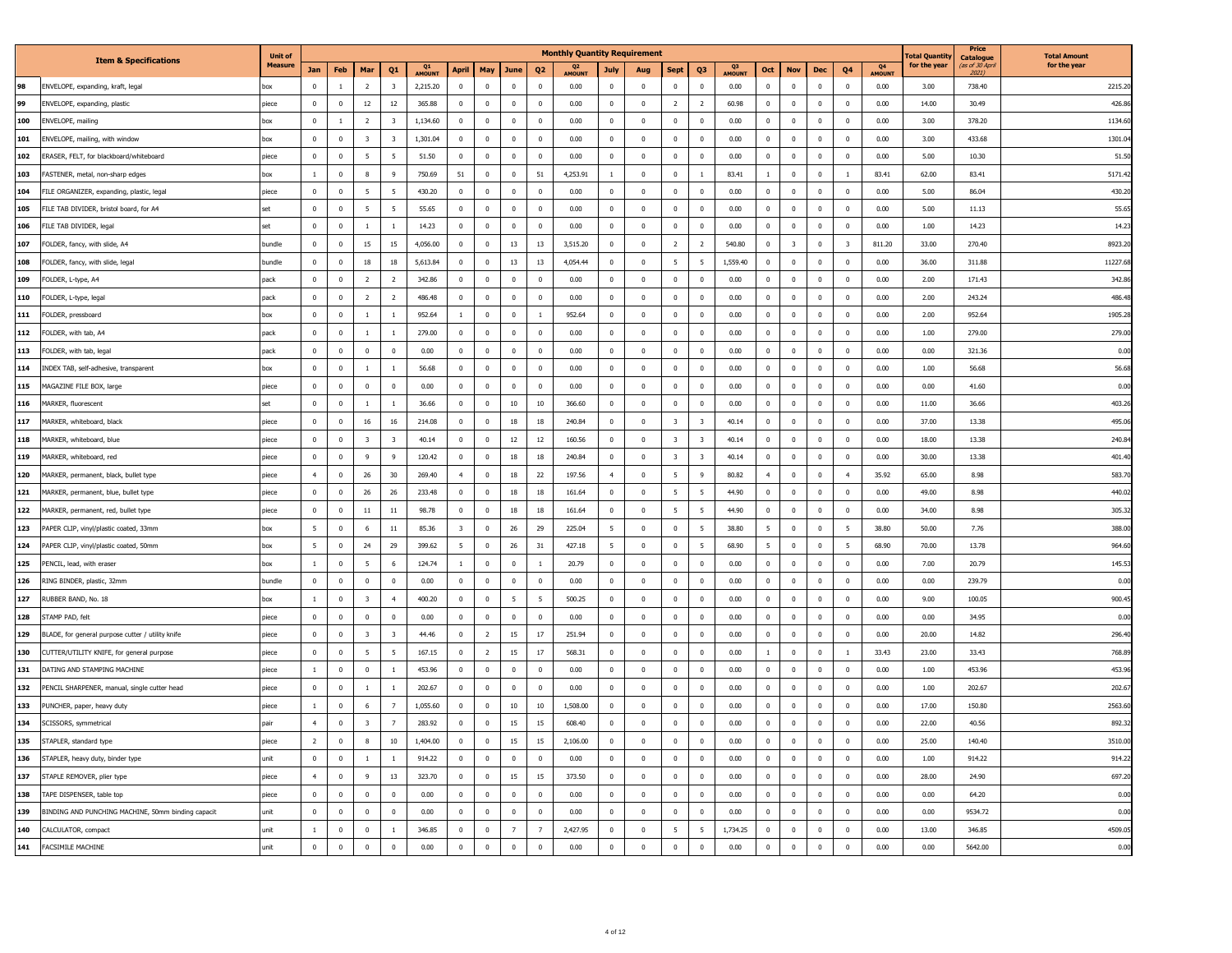|     |                                                    | <b>Unit of</b> |                          |                |                         |                         |              |                         |                         |                |                | <b>Monthly Quantity Requirement</b> |                         |              |                         |                         |              |                |                         |                         |                         |              | otal Quantit | Price<br>Catalogue | <b>Total Amount</b> |
|-----|----------------------------------------------------|----------------|--------------------------|----------------|-------------------------|-------------------------|--------------|-------------------------|-------------------------|----------------|----------------|-------------------------------------|-------------------------|--------------|-------------------------|-------------------------|--------------|----------------|-------------------------|-------------------------|-------------------------|--------------|--------------|--------------------|---------------------|
|     | <b>Item &amp; Specifications</b>                   | <b>Measure</b> | Jan                      | Feb            | Mar                     | Q1                      | Q1<br>AMOUNT | April                   | May                     | June           | Q <sub>2</sub> | Q <sub>2</sub><br>AMOUNT            | July                    | Aug          | <b>Sept</b>             | Q3                      | Q3<br>AMOUN' | Oct            | <b>Nov</b>              | Dec                     | Q4                      | Q4<br>AMOUNT | for the year | as of 30 Apn       | for the year        |
| 98  | ENVELOPE, expanding, kraft, legal                  | box            | $\Omega$                 | $\overline{1}$ | $\overline{z}$          | $\overline{3}$          | 2,215.20     | $\,0\,$                 | $\Omega$                | $\Omega$       | $\Omega$       | 0.00                                | $\mathbf{0}$            | $\mathbf 0$  | $\,0\,$                 | $\Omega$                | 0.00         | $\Omega$       | $\Omega$                | $\mathbf 0$             | $\Omega$                | 0.00         | 3.00         | 738.40             | 2215.2              |
| 99  | ENVELOPE, expanding, plastic                       | piece          | $\Omega$                 | $\Omega$       | $12\,$                  | $12\,$                  | 365.88       | $\Omega$                | $\Omega$                | $\mathbf 0$    | $\,0\,$        | 0.00                                | $\Omega$                | $\mathbf 0$  | $\overline{2}$          | $\overline{z}$          | 60.98        | $\Omega$       | $\Omega$                | $\Omega$                | $\,$ 0                  | 0.00         | 14.00        | 30.49              | 426.8               |
| 100 | ENVELOPE, mailing                                  | xoc            | $\mathbf 0$              | <sup>1</sup>   | $\overline{2}$          | $\overline{\mathbf{3}}$ | 1,134.60     | $\mathbf 0$             | $\overline{0}$          | $\mathbf 0$    | $\overline{0}$ | 0.00                                | $\overline{\mathbf{0}}$ | $\mathbf{0}$ | $\overline{0}$          | $\mathbf{0}$            | 0.00         | $\mathbf{0}$   | $\mathbf 0$             | $\mathbf 0$             | $\overline{\mathbf{0}}$ | 0.00         | 3.00         | 378.20             | 1134.6              |
| 101 | ENVELOPE, mailing, with window                     | XO             | $\mathbf 0$              | $\mathbf{0}$   | $\overline{\mathbf{3}}$ | $\overline{\mathbf{3}}$ | 1,301.04     | $\mathbf{0}$            | $\overline{0}$          | $\overline{0}$ | $\mathbf 0$    | 0.00                                | $\mathbf 0$             | $\bf{0}$     | $\,$ 0 $\,$             | $^{\circ}$              | 0.00         | $\Omega$       | $^{\circ}$              | $\mathbf{0}$            | $\overline{0}$          | 0.00         | 3.00         | 433.68             | 1301.0              |
| 102 | ERASER, FELT, for blackboard/whiteboard            | iece           | $\Omega$                 | $\Omega$       | 5                       | $-5$                    | 51.50        | $\Omega$                | $\mathbf 0$             | $\mathbf 0$    | $\mathbf 0$    | 0.00                                | $\overline{0}$          | $\mathbf 0$  | $\Omega$                | $\Omega$                | 0.00         | $\Omega$       | $\mathbf{0}$            | $\Omega$                | $\Omega$                | 0.00         | 5.00         | 10.30              | 51.5                |
| 103 | FASTENER, metal, non-sharp edges                   | box            | $\mathbf{1}$             | $\mathbf{0}$   | 8                       | $\overline{9}$          | 750.69       | 51                      | $\mathbf{0}$            | $\mathbf{0}$   | 51             | 4,253.91                            | $\mathbf{1}$            | $\mathbf{0}$ | $\mathbf 0$             | $\overline{1}$          | 83.41        | $\mathbf{1}$   | $\mathbf 0$             | $\overline{0}$          | 1                       | 83.41        | 62.00        | 83.41              | 5171.4              |
| 104 | FILE ORGANIZER, expanding, plastic, legal          | viece          | $\mathbf{0}$             | $\mathbf{0}$   | 5                       | 5                       | 430.20       | $\mathbf 0$             | $\overline{0}$          | $\mathbf{0}$   | $\overline{0}$ | 0.00                                | $\mathbf{0}$            | $\mathbf{0}$ | $\mathbf 0$             | $\mathbf{0}$            | 0.00         | $\Omega$       | $\mathbf 0$             | $\mathbf{0}$            | $\overline{\mathbf{0}}$ | 0.00         | 5.00         | 86.04              | 430.2               |
| 105 | FILE TAB DIVIDER, bristol board, for A4            | et             | $\mathbf{0}$             | $\mathbf{0}$   | 5                       | 5                       | 55.65        | $\mathbf 0$             | $\overline{0}$          | $\mathbf 0$    | $\overline{0}$ | 0.00                                | $\mathbf 0$             | $\mathbf{0}$ | $\overline{\mathbf{0}}$ | $\overline{0}$          | 0.00         | $\mathbf{0}$   | $\mathbf 0$             | $\bf{0}$                | $\overline{\mathbf{0}}$ | 0.00         | 5.00         | 11.13              | 55.6                |
| 106 | FILE TAB DIVIDER, legal                            | et.            | $\Omega$                 | $\Omega$       | $\overline{1}$          | $\overline{1}$          | 14.23        | $\Omega$                | $\Omega$                | $\Omega$       | $\mathbf 0$    | 0.00                                | $\Omega$                | $\Omega$     | $\mathbf 0$             | $\Omega$                | 0.00         | $\Omega$       | $\Omega$                | $\Omega$                | $\Omega$                | 0.00         | 1.00         | 14.23              | 14.2                |
| 107 | FOLDER, fancy, with slide, A4                      | bundle         | $\mathbf{0}$             | $\mathbf 0$    | 15                      | 15                      | 4,056.00     | $\,0\,$                 | $\mathbf 0$             | 13             | 13             | 3,515.20                            | $\mathbb O$             | $\mathbf 0$  | $\overline{2}$          | $\overline{2}$          | 540.80       | $\mathbf{0}$   | $\overline{\mathbf{3}}$ | $\mathbf 0$             | $\overline{\mathbf{3}}$ | 811.20       | 33.00        | 270.40             | 8923.2              |
| 108 | FOLDER, fancy, with slide, legal                   | oundle         | $\mathbf 0$              | $\mathbf{0}$   | 18                      | 18                      | 5,613.84     | $\mathbf{0}$            | $\overline{0}$          | 13             | 13             | 4,054.44                            | $\overline{0}$          | $\mathbf{0}$ | $5\phantom{a}$          | - 5                     | 1,559.40     | $\Omega$       | $\mathbf 0$             | $\mathbf 0$             | $\overline{\mathbf{0}}$ | 0.00         | 36.00        | 311.88             | 11227.6             |
| 109 | FOLDER, L-type, A4                                 | ack            | $\mathbf 0$              | $\mathbf 0$    | $\overline{z}$          | $\overline{2}$          | 342.86       | $\,0\,$                 | $\mathbf 0$             | $\mathbf 0$    | $\,0\,$        | 0.00                                | $\mathbf 0$             | $\mathbf 0$  | $\,0\,$                 | $\mathbb O$             | 0.00         | $\Omega$       | $\Omega$                | $\mathbf 0$             | $\overline{\mathbf{0}}$ | 0.00         | 2.00         | 171.43             | 342.8               |
| 110 | FOLDER, L-type, legal                              | <b>pack</b>    | $\mathbf{0}$             | $\mathbf{0}$   | $\overline{2}$          | $\overline{2}$          | 486.48       | $\mathbf{0}$            | $\mathbf{0}$            | $\mathbf{0}$   | $\mathbb O$    | 0.00                                | $\mathbf{0}$            | $\mathbf{0}$ | $\mathbf 0$             | $\mathbf{0}$            | 0.00         | $\mathbf{0}$   | $\mathbf{0}$            | $\mathbf{0}$            | $\overline{\mathbf{0}}$ | 0.00         | 2.00         | 243.24             | 486.4               |
| 111 | FOLDER, pressboard                                 | box            | $\mathbf{0}$             | $\mathbf{0}$   | 1                       | $\mathbf{1}$            | 952.64       | 1                       | $\mathbf 0$             | $\mathbf 0$    | $\mathbf{1}$   | 952.64                              | $\mathbf{0}$            | $\mathbf 0$  | $\bf{0}$                | $\mathbf{0}$            | 0.00         | $\Omega$       | $\mathbf 0$             | $\mathbf 0$             | $\overline{0}$          | 0.00         | 2.00         | 952.64             | 1905.2              |
| 112 | FOLDER, with tab, A4                               | ack            | $\Omega$                 | $\Omega$       | $\overline{1}$          | $\overline{1}$          | 279.00       | $\Omega$                | $\Omega$                | $\overline{0}$ | $\Omega$       | 0.00                                | $\Omega$                | $\Omega$     | $\Omega$                | $\Omega$                | 0.00         | $\Omega$       | $\Omega$                | $\Omega$                | $\Omega$                | 0.00         | 1.00         | 279.00             | 279.0               |
| 113 | FOLDER, with tab, legal                            | pack           | $\mathbf{0}$             | $\mathbf 0$    | $\mathbf{0}$            | $\mathbf 0$             | 0.00         | $\mathbf 0$             | $\mathbf 0$             | $\mathbf 0$    | $\mathbf 0$    | 0.00                                | $\mathbf 0$             | $\mathbf 0$  | $\mathbf 0$             | $\mathbf{0}$            | 0.00         | $\mathbf 0$    | $\mathbf 0$             | $\mathbf 0$             | $\,$ 0                  | 0.00         | 0.00         | 321.36             | 0.00                |
| 114 | INDEX TAB, self-adhesive, transparent              | xoc            | $\Omega$                 | $\Omega$       | $\overline{1}$          | $\overline{1}$          | 56.68        | $\Omega$                | $\Omega$                | $\Omega$       | $\mathbf{0}$   | 0.00                                | $\Omega$                | $\Omega$     | $\Omega$                | $\Omega$                | 0.00         | $\Omega$       | $\Omega$                | $\Omega$                | $\Omega$                | 0.00         | 1.00         | 56.68              | 56.68               |
| 115 | MAGAZINE FILE BOX, large                           | viece          | $\mathbf{0}$             | $\mathbf 0$    | $\mathbf 0$             | $\mathbf 0$             | 0.00         | $\,0\,$                 | $\mathbf 0$             | $\mathbf 0$    | $\,0\,$        | 0.00                                | $\mathbf 0$             | $\mathbf 0$  | $\,0\,$                 | $\mathbf 0$             | 0.00         | $\mathbf 0$    | $\mathbf 0$             | $\mathbf 0$             | $\overline{0}$          | 0.00         | 0.00         | 41.60              | 0.00                |
| 116 | MARKER, fluorescent                                | .<br>et        | $\Omega$                 | $\Omega$       | $\overline{1}$          | $\overline{1}$          | 36.66        | $\mathbf{0}$            | $\Omega$                | 10             | 10             | 366.60                              | $\overline{0}$          | $\mathbf{0}$ | $\overline{0}$          | $\Omega$                | 0.00         | $\Omega$       | $\Omega$                | $\overline{0}$          | $\Omega$                | 0.00         | 11.00        | 36.66              | 403.2               |
| 117 | MARKER, whiteboard, black                          | iece           | $\mathbf 0$              | $\mathbf 0$    | $16\,$                  | $16\,$                  | 214.08       | $\mathbf 0$             | $\overline{\mathbf{0}}$ | $18\,$         | 18             | 240.84                              | $\mathbf 0$             | $\mathbf 0$  | $\overline{\mathbf{3}}$ | $\overline{\mathbf{3}}$ | 40.14        | $\mathbf{0}$   | $\mathbf 0$             | $\mathbf 0$             | $\mathbf 0$             | 0.00         | 37.00        | 13.38              | 495.0               |
| 118 | MARKER, whiteboard, blue                           | iece           | $\mathbf 0$              | $\mathbf 0$    | $\overline{\mathbf{3}}$ | $\overline{\mathbf{3}}$ | 40.14        | $\mathbf 0$             | $\mathbf 0$             | $12\,$         | 12             | 160.56                              | $\overline{0}$          | $\mathbf 0$  | $\overline{3}$          | $\overline{3}$          | 40.14        | $\Omega$       | $\mathbf{0}$            | $\mathbf{0}$            | $\overline{\mathbf{0}}$ | 0.00         | 18.00        | 13.38              | 240.8               |
| 119 | MARKER, whiteboard, red                            | piece          | $\mathbf{0}$             | $\mathbf 0$    | $\overline{9}$          | $\overline{9}$          | 120.42       | $\mathbf{0}$            | $\overline{0}$          | $18\,$         | 18             | 240.84                              | $\mathbf{0}$            | $\mathbf 0$  | $\overline{\mathbf{3}}$ | $\overline{\mathbf{3}}$ | 40.14        | $\mathbf{0}$   | $\mathbf 0$             | $\mathbf 0$             | $\overline{0}$          | 0.00         | 30.00        | 13.38              | 401.4               |
| 120 | MARKER, permanent, black, bullet type              | iece           | $\overline{4}$           | $^{\circ}$     | 26                      | 30                      | 269.40       | $\overline{4}$          | $\Omega$                | 18             | 22             | 197.56                              | $\overline{4}$          | $^{\circ}$   | 5                       | $\mathbf{q}$            | 80.82        | $\overline{4}$ | $\Omega$                | $\overline{\mathbf{0}}$ | $\overline{4}$          | 35.92        | 65.00        | 8.98               | 583.7               |
| 121 | MARKER, permanent, blue, bullet type               | viece          | $\mathbf 0$              | $\mathbf 0$    | 26                      | 26                      | 233.48       | $\,0\,$                 | $\mathbf 0$             | $18\,$         | $18\,$         | 161.64                              | $\mathbf 0$             | $\mathbf 0$  | $\overline{5}$          | $\overline{5}$          | 44.90        | $\mathbf{0}$   | $\mathbf 0$             | $\mathbf 0$             | $\overline{0}$          | 0.00         | 49.00        | 8.98               | 440.0               |
| 122 | MARKER, permanent, red, bullet type                | iece           | $\Omega$                 | $\mathbf{0}$   | 11                      | 11                      | 98.78        | $\overline{0}$          | $\overline{0}$          | 18             | 18             | 161.64                              | $\mathbf{0}$            | $\mathbf{0}$ | 5                       | $\overline{5}$          | 44.90        | $\Omega$       | $\Omega$                | $\overline{0}$          | $\Omega$                | 0.00         | 34.00        | 8.98               | 305.3               |
| 123 | PAPER CLIP, vinyl/plastic coated, 33mm             | box            | $5\overline{5}$          | $\mathbb O$    | -6                      | $11\,$                  | 85.36        | $\overline{\mathbf{3}}$ | $\mathbf 0$             | 26             | 29             | 225.04                              | $5\overline{5}$         | $\mathbf 0$  | $\mathbf 0$             | 5                       | 38.80        | $\overline{5}$ | $\mathbf 0$             | $\mathbf 0$             | $5\phantom{a}$          | 38.80        | 50.00        | 7.76               | 388.0               |
| 124 | PAPER CLIP, vinyl/plastic coated, 50mm             | XO             | $\overline{\phantom{a}}$ | $\mathbf{0}$   | 24                      | 29                      | 399.62       | 5                       | $\Omega$                | 26             | 31             | 427.18                              | $\overline{5}$          | $\mathbf{0}$ | $\overline{\mathbf{0}}$ | 5                       | 68.90        | 5              | $\Omega$                | $\overline{0}$          | - 5                     | 68.90        | 70.00        | 13.78              | 964.6               |
| 125 | PENCIL, lead, with eraser                          | XO             | $\mathbf{1}$             | $\mathbf 0$    | 5                       | 6                       | 124.74       | 1                       | $\mathbf{0}$            | $\mathbf 0$    | $\,$ 1 $\,$    | 20.79                               | $\mathbf 0$             | $\mathbf 0$  | $\pmb{0}$               | $\mathbf{0}$            | 0.00         | $\mathbf{0}$   | $\mathbf 0$             | $\mathbf 0$             | $\overline{0}$          | 0.00         | 7.00         | 20.79              | 145.5               |
| 126 | RING BINDER, plastic, 32mm                         | oundle         | $\mathbf{0}$             | $\mathbf{0}$   | $\mathbf{0}$            | $\overline{0}$          | 0.00         | $\mathbf{0}$            | $\overline{0}$          | $\mathbf 0$    | $\mathbf 0$    | 0.00                                | $\mathbf{0}$            | $\mathbf{0}$ | $\mathbf 0$             | $\mathbf{0}$            | 0.00         | $\mathbf{0}$   | $\mathbf{0}$            | $\overline{0}$          | $\overline{0}$          | 0.00         | 0.00         | 239.79             | 0.00                |
| 127 | RUBBER BAND, No. 18                                | box            | $\overline{1}$           | $\mathbb O$    | $\overline{\mathbf{3}}$ | $\overline{4}$          | 400.20       | $\mathbf 0$             | $\mathbf 0$             | 5              | 5              | 500.25                              | $\mathbf{0}$            | $\mathbf 0$  | $\,$ 0 $\,$             | $\mathbb O$             | 0.00         | $\Omega$       | $\mathbf 0$             | $\bf{0}$                | $\overline{\mathbf{0}}$ | 0.00         | 9.00         | 100.05             | 900.4               |
| 128 | STAMP PAD, felt                                    | iece           | $\mathbf 0$              | $\mathbf 0$    | $\mathbf{0}$            | $\mathbf 0$             | 0.00         | $\mathbf 0$             | $\overline{0}$          | $\mathbf 0$    | $\,0\,$        | 0.00                                | $\mathbf 0$             | $\mathbf 0$  | $\,0\,$                 | $\mathbb O$             | 0.00         | $\mathbf{0}$   | $\mathbf 0$             | $\mathbf 0$             | $\overline{\mathbf{0}}$ | 0.00         | 0.00         | 34.95              | 0.00                |
| 129 | BLADE, for general purpose cutter / utility knife  | piece          | $\mathbf 0$              | $\mathbf{0}$   | $\overline{\mathbf{3}}$ | $\overline{\mathbf{3}}$ | 44.46        | $\mathbf{0}$            | $\overline{2}$          | 15             | 17             | 251.94                              | $\mathbb O$             | $\mathbf{0}$ | $\mathbf 0$             | $\mathbf{0}$            | 0.00         | $\mathbf{0}$   | $\mathbf{0}$            | $\mathbf 0$             | $\,$ 0                  | 0.00         | 20.00        | 14.82              | 296.4               |
| 130 | CUTTER/UTILITY KNIFE, for general purpose          | viece          | $\mathbf{0}$             | $\mathbb O$    | 5                       | $\overline{5}$          | 167.15       | $\,0\,$                 | $\overline{2}$          | 15             | 17             | 568.31                              | $\,0\,$                 | $\mathbf 0$  | $\,0\,$                 | $\Omega$                | 0.00         | $\overline{1}$ | $\mathbf 0$             | $\mathbf 0$             | $\overline{1}$          | 33.43        | 23.00        | 33.43              | 768.8               |
| 131 | DATING AND STAMPING MACHINE                        | viece          | $\mathbf{1}$             | $\mathbf{0}$   | $\overline{\mathbf{0}}$ | $\overline{1}$          | 453.96       | $\overline{0}$          | $\mathbf{0}$            | $\mathbf{0}$   | $\mathbf 0$    | 0.00                                | $\overline{0}$          | $\mathbf{0}$ | $\mathbf 0$             | $\overline{0}$          | 0.00         | $\mathbf{0}$   | $\mathbf 0$             | $\overline{0}$          | $\overline{\mathbf{0}}$ | 0.00         | 1.00         | 453.96             | 453.9               |
| 132 | PENCIL SHARPENER, manual, single cutter head       | iece           | $\mathbf 0$              | $\mathbf 0$    | $\mathbf{1}$            | $\mathbf{1}$            | 202.67       | $\mathbb O$             | $\mathbf 0$             | $\mathbf 0$    | $\mathbf 0$    | 0.00                                | $\mathbb O$             | $\mathbf 0$  | $\mathbf 0$             | $\mathbb O$             | 0.00         | $\mathbf{0}$   | $\mathbf 0$             | $\mathbf 0$             | $\,$ 0                  | 0.00         | 1.00         | 202.67             | 202.6               |
| 133 | PUNCHER, paper, heavy duty                         | viece          | $\overline{1}$           | $\Omega$       | -6                      | $\overline{7}$          | 1.055.60     | $\Omega$                | $\Omega$                | $10\,$         | 10             | 1.508.00                            | $\Omega$                | $\Omega$     | $\Omega$                | $\Omega$                | 0.00         | $\Omega$       | $\Omega$                | $\Omega$                | $\Omega$                | 0.00         | 17.00        | 150.80             | 2563.6              |
| 134 | SCISSORS, symmetrical                              | pair           | $\overline{4}$           | $\mathbf 0$    | $\overline{\mathbf{3}}$ | $\overline{7}$          | 283.92       | $\,0\,$                 | $\mathbf 0$             | 15             | 15             | 608.40                              | $\mathbf 0$             | $\mathbf 0$  | $\,0\,$                 | $\mathbf 0$             | 0.00         | $\Omega$       | $\mathbf 0$             | $\mathbf 0$             | $\,$ 0                  | 0.00         | 22.00        | 40.56              | 892.3               |
| 135 | STAPLER, standard type                             | iece           | $\overline{z}$           | $\Omega$       | 8                       | 10                      | 1,404,00     | $\Omega$                | $\Omega$                | 15             | 15             | 2,106,00                            | $\mathbf{0}$            | $\Omega$     | $\Omega$                | $\Omega$                | 0.00         | $\Omega$       | $\Omega$                | $\Omega$                | $\Omega$                | 0.00         | 25.00        | 140.40             | 3510.               |
| 136 | STAPLER, heavy duty, binder type                   | ınit           | $\mathbf{0}$             | $\mathbf{0}$   | 1                       | $\mathbf{1}$            | 914.22       | $\overline{0}$          | $\overline{0}$          | $\mathbf 0$    | $\mathbf 0$    | 0.00                                | $\mathbf{0}$            | $\mathbf 0$  | $\,$ 0 $\,$             | $^{\circ}$              | 0.00         | $\mathbf{0}$   | $\mathbf 0$             | $\mathbf 0$             | $\overline{0}$          | 0.00         | 1.00         | 914.22             | 914.2               |
| 137 | STAPLE REMOVER, plier type                         | iece           | $\overline{4}$           | $\Omega$       | $\mathbf{q}$            | 13                      | 323.70       | $\Omega$                | $\Omega$                | 15             | 15             | 373.50                              | $\Omega$                | $\Omega$     | $\Omega$                | $\Omega$                | 0.00         | $\Omega$       | $\Omega$                | $\Omega$                | $\Omega$                | 0.00         | 28.00        | 24.90              | 697.2               |
| 138 | TAPE DISPENSER, table top                          | iece           | $\mathbf{0}$             | $\mathbf{0}$   | $\mathbf{0}$            | $\overline{0}$          | 0.00         | $\mathbf{0}$            | $\overline{0}$          | $\mathbf 0$    | $\mathbf 0$    | 0.00                                | $\mathbf{0}$            | $\mathbf 0$  | $\mathbf 0$             | $\mathbf 0$             | 0.00         | $\mathbf{0}$   | $\mathbf 0$             | $\mathbf{0}$            | $\overline{0}$          | 0.00         | 0.00         | 64.20              | 0.00                |
| 139 | BINDING AND PUNCHING MACHINE, 50mm binding capacit | ınit           | $\Omega$                 | $\Omega$       | $\Omega$                | $\Omega$                | 0.00         | $\Omega$                | $\Omega$                | $\Omega$       | $\Omega$       | 0.00                                | $\Omega$                | $\Omega$     | $\Omega$                | $\Omega$                | 0.00         | $\Omega$       | $\Omega$                | $\Omega$                | $\Omega$                | 0.00         | 0.00         | 9534.72            | 0.00                |
| 140 | CALCULATOR, compact                                | ınit           | $\mathbf{1}$             | $\mathbf 0$    | $\mathbf{0}$            | $1\,$                   | 346.85       | $\,0\,$                 | $\mathbf{0}$            | $\overline{7}$ | $\overline{7}$ | 2,427.95                            | $\mathbf 0$             | $\mathbf 0$  | 5                       | 5                       | 1,734.25     | $\mathbf 0$    | $\mathbf 0$             | $\mathbf 0$             | $\mathbf{0}$            | 0.00         | 13.00        | 346.85             | 4509.05             |
| 141 | FACSIMILE MACHINE                                  | unit           | $\mathbf 0$              | $\mathbf 0$    | $\mathbf 0$             | $\mathbf 0$             | 0.00         | $\,0\,$                 | $\mathbf 0$             | $\mathbf 0$    | $\mathbf 0$    | 0.00                                | $\mathbf 0$             | $\mathbf{0}$ | $\mathbf 0$             | $\mathbf{0}$            | 0.00         | $^{\circ}$     | 0                       | $\mathbf{0}$            | $\overline{0}$          | 0.00         | 0.00         | 5642.00            | 0.00                |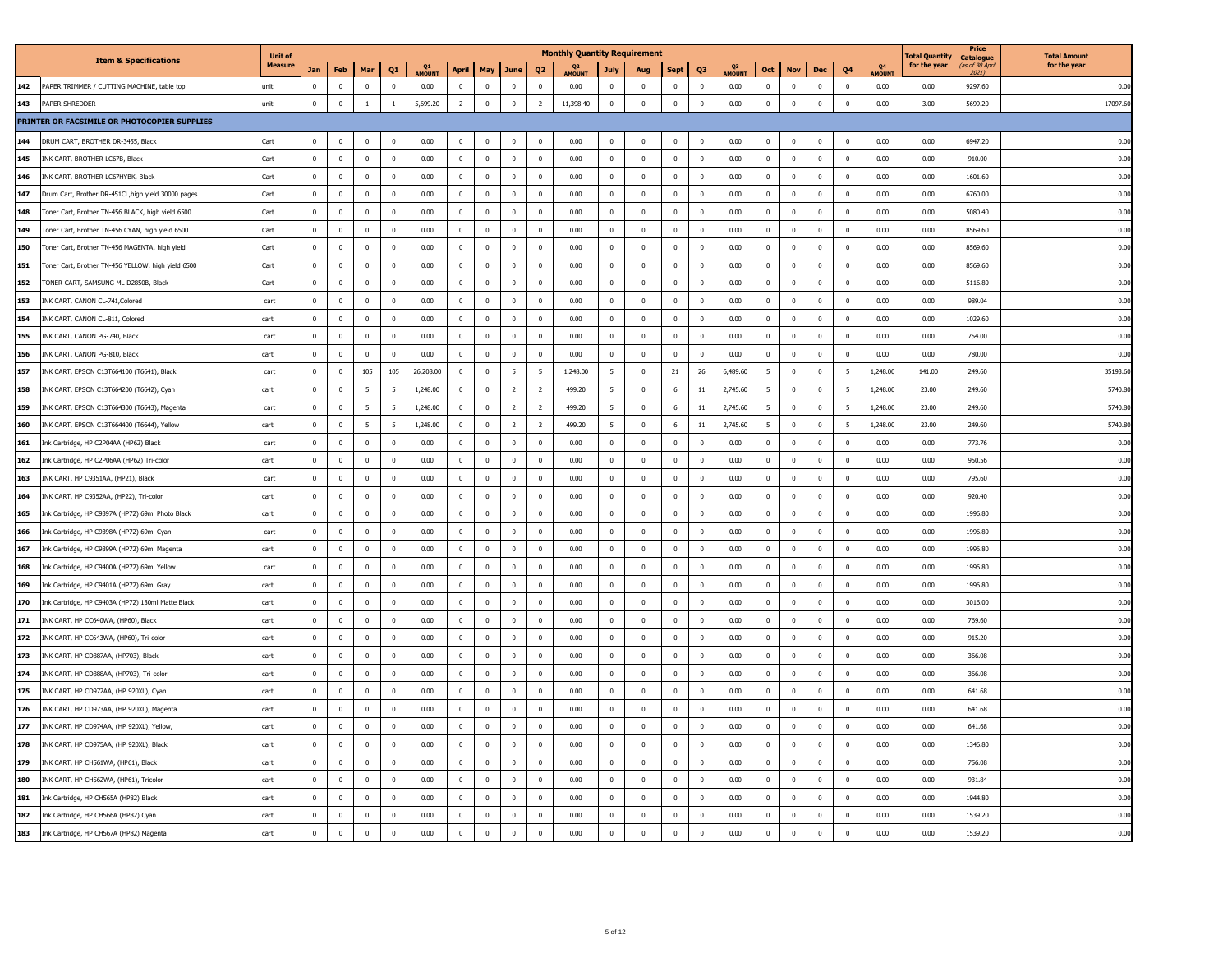|     |                                                     | <b>Unit of</b> |              |                |                         |                |              |                |                |                         |                | <b>Monthly Quantity Requirement</b> |                |              |                         |                |             |                         |              |                |                         |              | otal Quantit | Price<br><b>Catalogue</b> | <b>Total Amount</b> |
|-----|-----------------------------------------------------|----------------|--------------|----------------|-------------------------|----------------|--------------|----------------|----------------|-------------------------|----------------|-------------------------------------|----------------|--------------|-------------------------|----------------|-------------|-------------------------|--------------|----------------|-------------------------|--------------|--------------|---------------------------|---------------------|
|     | <b>Item &amp; Specifications</b>                    | Measure        | Jan          | Feb            | Mar                     | Q <sub>1</sub> | Q1<br>AMOUNT | <b>April</b>   | May            | June                    | Q <sub>2</sub> | Q <sub>2</sub><br>AMOUNT            | July           | Aug          | <b>Sept</b>             | Q <sub>3</sub> | Q3<br>MOUN' | Oct                     | <b>Nov</b>   | Dec            | Q4                      | Q4<br>AMOUNT | for the year | (as of 30 Apn<br>2021)    | for the year        |
| 142 | PAPER TRIMMER / CUTTING MACHINE, table top          | unit           | $\Omega$     | $\mathbf{0}$   | $\Omega$                | $\overline{0}$ | 0.00         | $\mathbf 0$    | $\mathbf 0$    | $\overline{0}$          | $\mathbf 0$    | 0.00                                | $\mathbf 0$    | $\mathbf 0$  | $\overline{0}$          | $\mathbf 0$    | 0.00        | $\overline{0}$          | $\mathbf 0$  | $\mathbf 0$    | $\mathbf 0$             | 0.00         | 0.00         | 9297.60                   | 0.00                |
| 143 | PAPER SHREDDER                                      | unit           | $\mathbf 0$  | $\mathbb O$    | <sup>1</sup>            | <sup>1</sup>   | 5.699.20     | $\overline{2}$ | $\mathbf 0$    | $\mathbf 0$             | $\overline{2}$ | 11,398.40                           | $\,0\,$        | $\mathbf 0$  | $\mathbf 0$             | $\mathbf 0$    | 0.00        | $\mathbf 0$             | $\mathbf 0$  | $\mathbf 0$    | $\mathbf{0}$            | 0.00         | 3.00         | 5699.20                   | 17097.6             |
|     | PRINTER OR FACSIMILE OR PHOTOCOPIER SUPPLIES        |                |              |                |                         |                |              |                |                |                         |                |                                     |                |              |                         |                |             |                         |              |                |                         |              |              |                           |                     |
| 144 | DRUM CART, BROTHER DR-3455, Black                   | Cart           | $\Omega$     | $\mathbf 0$    | $\overline{\mathbf{0}}$ | $\mathbf 0$    | 0.00         | $\mathbf{0}$   | $\mathbf 0$    | $\mathbf 0$             | $\mathbf 0$    | 0.00                                | $\mathbb O$    | $\mathbf 0$  | $\mathbf 0$             | $\mathbf{0}$   | 0.00        | $\mathbf 0$             | $\mathbf{0}$ | $\mathbf 0$    | $\overline{0}$          | 0.00         | 0.00         | 6947.20                   | 0.00                |
| 145 | INK CART, BROTHER LC67B, Black                      | Cart           | $\mathbf{0}$ | $\mathbf 0$    | $\overline{0}$          | $\mathbf 0$    | 0.00         | $\mathbf 0$    | $\mathbf 0$    | $\mathbf 0$             | $\mathbf 0$    | 0.00                                | $\mathbf{0}$   | $\mathbf 0$  | $\mathbf 0$             | $\mathbf 0$    | 0.00        | $\mathbf 0$             | $\mathbf{0}$ | $\mathbf 0$    | $\overline{0}$          | 0.00         | 0.00         | 910.00                    | 0.00                |
| 146 | INK CART, BROTHER LC67HYBK, Black                   | Cart           | $\mathbf{0}$ | $\mathbf{0}$   | $\mathbf{0}$            | $\overline{0}$ | 0.00         | $^{\circ}$     | $\mathbf{0}$   | $\mathbf 0$             | $\overline{0}$ | 0.00                                | $\overline{0}$ | $\mathbf 0$  | $\mathbf{0}$            | $\mathbf{0}$   | 0.00        | $\mathbf{0}$            | $\mathbf{0}$ | $\mathbf 0$    | $\mathbf{0}$            | 0.00         | 0.00         | 1601.60                   | 0.00                |
| 147 | Drum Cart, Brother DR-451CL, high yield 30000 pages | Cart           | $\Omega$     | $\Omega$       | $\Omega$                | $\Omega$       | 0.00         | $\Omega$       | $\Omega$       | $\Omega$                | $\Omega$       | 0.00                                | $\Omega$       | $\Omega$     | $\Omega$                | $\Omega$       | 0.00        | $\Omega$                | $\Omega$     | $\Omega$       | $\Omega$                | 0.00         | 0.00         | 6760.00                   | 0.00                |
| 148 | Foner Cart, Brother TN-456 BLACK, high yield 6500   | Cart           | $\mathbf{0}$ | $\,0\,$        | $\overline{0}$          | $\mathbf 0$    | 0.00         | $\,0\,$        | $\mathbf 0$    | $\,0\,$                 | $\,$ 0         | 0.00                                | $\mathbf{0}$   | $\mathbf 0$  | $\mathbf 0$             | $\mathbf 0$    | 0.00        | $\overline{\mathbf{0}}$ | $\mathbf 0$  | $\mathbf 0$    | $\mathbf 0$             | 0.00         | 0.00         | 5080.40                   | 0.00                |
| 149 | Toner Cart, Brother TN-456 CYAN, high yield 6500    | Cart           | $\Omega$     | $\mathbf{0}$   | $\Omega$                | $\overline{0}$ | 0.00         | $\mathbf{0}$   | $\mathbf 0$    | $\overline{0}$          | $\,$ 0         | 0.00                                | $\overline{0}$ | $\mathbf{0}$ | $\Omega$                | $\Omega$       | 0.00        | $\Omega$                | $\Omega$     | $\mathbf{0}$   | $\mathbf 0$             | 0.00         | 0.00         | 8569.60                   | 0.00                |
| 150 | Toner Cart, Brother TN-456 MAGENTA, high yield      | Cart           | $\Omega$     | $\mathbf 0$    | $\Omega$                | $\mathbf 0$    | 0.00         | $\mathbf 0$    | $\mathbf 0$    | $\mathbf 0$             | $\mathbf 0$    | 0.00                                | $\mathbf 0$    | $\mathbf{0}$ | $\overline{0}$          | $\Omega$       | 0.00        | $\Omega$                | $\Omega$     | $\mathbf 0$    | $\overline{0}$          | 0.00         | 0.00         | 8569.60                   | 0.00                |
| 151 | Foner Cart, Brother TN-456 YELLOW, high yield 6500  | Cart           | $\mathbf 0$  | $\mathbf 0$    | $\overline{\mathbf{0}}$ | $\mathbf 0$    | 0.00         | $\mathbf{0}$   | $\overline{0}$ | $\pmb{0}$               | $\overline{0}$ | 0.00                                | $\,0\,$        | $\mathbf 0$  | $\overline{0}$          | $\mathbf{0}$   | 0.00        | $\overline{0}$          | $\mathbf 0$  | $\mathbf 0$    | $\overline{0}$          | 0.00         | 0.00         | 8569.60                   | 0.00                |
| 152 | TONER CART, SAMSUNG ML-D2850B, Black                | Cart           | $\Omega$     | $^{\circ}$     | $\Omega$                | $\overline{0}$ | 0.00         | $\Omega$       | $\mathbf 0$    | $\overline{0}$          | $\mathbb O$    | 0.00                                | $\mathbf{0}$   | $\Omega$     | $\Omega$                | $\Omega$       | 0.00        | $\Omega$                | $\Omega$     | $^{\circ}$     | $\Omega$                | 0.00         | 0.00         | 5116.80                   | 0.00                |
| 153 | INK CART, CANON CL-741, Colored                     | cart           | $\mathbf{0}$ | $\mathbf{0}$   | $\overline{0}$          | $\mathbf{0}$   | 0.00         | $\mathbf{0}$   | $\mathbf{0}$   | $\mathbf{0}$            | $\mathbf 0$    | 0.00                                | $\mathbf{0}$   | $\mathbf{0}$ | $\overline{0}$          | $\mathbf{0}$   | 0.00        | $\mathbf{0}$            | $\mathbf{0}$ | $\mathbf{0}$   | $\overline{0}$          | 0.00         | 0.00         | 989.04                    | 0.00                |
| 154 | INK CART, CANON CL-811, Colored                     | :art           | $\mathbf{0}$ | $\,0\,$        | $\overline{0}$          | $\mathbf 0$    | 0.00         | $\,0\,$        | $\mathbf 0$    | $\,0\,$                 | $\overline{0}$ | 0.00                                | $\mathbf 0$    | $\mathbf 0$  | $\overline{0}$          | $\mathbf 0$    | 0.00        | $\mathbf{0}$            | $\mathbf{0}$ | $\mathbf 0$    | $\mathbf 0$             | 0.00         | 0.00         | 1029.60                   | 0.00                |
| 155 | INK CART, CANON PG-740, Black                       | cart           | $\Omega$     | $\Omega$       | $\Omega$                | $\Omega$       | 0.00         | $\Omega$       | $\mathbf 0$    | $\,0\,$                 | $\mathbb O$    | 0.00                                | $\Omega$       | $\Omega$     | $\Omega$                | $\Omega$       | 0.00        | $\Omega$                | $\Omega$     | $\Omega$       | $\Omega$                | 0.00         | 0.00         | 754.00                    | 0.00                |
| 156 | INK CART, CANON PG-810, Black                       | cart           | $\mathbf 0$  | $\mathbf 0$    | $\mathbf 0$             | $\mathbf 0$    | 0.00         | $\mathbf 0$    | $\mathbf 0$    | $\mathbf 0$             | $\mathbf 0$    | 0.00                                | $\mathbf 0$    | $\mathbf 0$  | $\bf{0}$                | $\mathbf{0}$   | 0.00        | $\mathbf 0$             | $\mathbf 0$  | $\mathbf 0$    | $\overline{0}$          | 0.00         | 0.00         | 780.00                    | 0.00                |
| 157 | INK CART, EPSON C13T664100 (T6641), Black           | cart           | $\Omega$     | $\overline{0}$ | 105                     | 105            | 26,208.00    | $\mathbf{0}$   | $\overline{0}$ | $\overline{5}$          | -5             | 1,248.00                            | 5              | $\mathbf{0}$ | 21                      | 26             | 6,489.60    | -5                      | $\Omega$     | $\mathbf 0$    | -5                      | 1,248.00     | 141.00       | 249.60                    | 35193.6             |
| 158 | INK CART, EPSON C13T664200 (T6642), Cyan            | cart           | $\mathbf{0}$ | $\mathbf 0$    | 5                       | 5              | 1,248.00     | $\mathbf 0$    | $\mathbf 0$    | $\overline{2}$          | $\overline{2}$ | 499.20                              | 5              | $\bf{0}$     | 6                       | $11\,$         | 2,745.60    | 5                       | $\mathbf{0}$ | $\mathbf 0$    | 5                       | 1,248.00     | 23.00        | 249.60                    | 5740.8              |
| 159 | INK CART, EPSON C13T664300 (T6643), Magenta         | cart           | $\mathbf{0}$ | $\mathbf 0$    | -5                      | 5              | 1,248.00     | $\mathbf{0}$   | $\mathbf 0$    | $\overline{2}$          | $\overline{2}$ | 499.20                              | 5              | $\mathbf 0$  | 6                       | 11             | 2,745.60    | -5                      | $\mathbf 0$  | $\mathbf 0$    | 5                       | 1,248.00     | 23.00        | 249.60                    | 5740.8              |
| 160 | INK CART, EPSON C13T664400 (T6644), Yellow          | art:           | $\Omega$     | $\Omega$       | $\overline{5}$          | - 5            | 1,248,00     | $^{\circ}$     | $\Omega$       | $\overline{2}$          | $\overline{z}$ | 499.20                              | - 5            | $^{\circ}$   | -6                      | 11             | 2,745.60    | -5                      | $\Omega$     | $\Omega$       | -5                      | 1,248.00     | 23.00        | 249.60                    | 5740.8              |
| 161 | Ink Cartridge, HP C2P04AA (HP62) Black              | cart           | $\mathbf{0}$ | $\,0\,$        | $\mathbf{0}$            | $\mathbf 0$    | 0.00         | $\mathbf 0$    | $\mathbf 0$    | $\,0\,$                 | $\,$ 0         | 0.00                                | $\mathbf 0$    | $\mathbf 0$  | $\mathbf 0$             | $\mathbf 0$    | 0.00        | $\mathbf 0$             | $\mathbf{0}$ | $\mathbf 0$    | $\mathbf 0$             | 0.00         | 0.00         | 773.76                    | 0.00                |
| 162 | Ink Cartridge, HP C2P06AA (HP62) Tri-color          | cart           | $\mathbf{0}$ | $\mathbf{0}$   | $\overline{0}$          | $\mathbf{0}$   | 0.00         | $\mathbf{0}$   | $\mathbf 0$    | $\,0\,$                 | $\,$ 0         | 0.00                                | $\mathbf{0}$   | $\mathbf 0$  | $\overline{0}$          | $\mathbf 0$    | 0.00        | $\overline{0}$          | $\mathbf{0}$ | $\mathbf{0}$   | $\mathbf 0$             | 0.00         | 0.00         | 950.56                    | 0.00                |
| 163 | INK CART, HP C9351AA, (HP21), Black                 | cart           | $\Omega$     | $\Omega$       | $\Omega$                | $\Omega$       | 0.00         | $\Omega$       | $\Omega$       | $\Omega$                | $\Omega$       | 0.00                                | $\Omega$       | $\Omega$     | $\Omega$                | $\Omega$       | 0.00        | $\Omega$                | $\Omega$     | $\Omega$       | $\Omega$                | 0.00         | 0.00         | 795.60                    | 0.00                |
| 164 | INK CART, HP C9352AA, (HP22), Tri-color             | art.           | $\Omega$     | $\,0\,$        | $\mathbf 0$             | $\mathbf 0$    | 0.00         | $\,0\,$        | $\mathbf 0$    | $\,0\,$                 | $\,$ 0         | 0.00                                | $\mathbf{0}$   | $\mathbf 0$  | $\mathbf 0$             | $\Omega$       | 0.00        | $\Omega$                | $\Omega$     | $\mathbf 0$    | $\mathbf 0$             | 0.00         | 0.00         | 920.40                    | 0.00                |
| 165 | Ink Cartridge, HP C9397A (HP72) 69ml Photo Black    | cart           | $\Omega$     | $\Omega$       | $\Omega$                | $\overline{0}$ | 0.00         | $\mathbf{0}$   | $\Omega$       | $\overline{0}$          | $\overline{0}$ | 0.00                                | $\overline{0}$ | $\mathbf{0}$ | $\Omega$                | $\Omega$       | 0.00        | $\Omega$                | $\Omega$     | $\mathbf 0$    | $\Omega$                | 0.00         | 0.00         | 1996.80                   | 0.00                |
| 166 | Ink Cartridge, HP C9398A (HP72) 69ml Cyan           | cart           | $\Omega$     | $\Omega$       | $\Omega$                | $\Omega$       | 0.00         | $\Omega$       | $\Omega$       | $\mathbf 0$             | $\Omega$       | 0.00                                | $\Omega$       | $\Omega$     | $\Omega$                | $\Omega$       | 0.00        | $\Omega$                | $\Omega$     | $\Omega$       | $\Omega$                | 0.00         | 0.00         | 1996.80                   | 0.00                |
| 167 | Ink Cartridge, HP C9399A (HP72) 69ml Magenta        | art.           | $\mathbf 0$  | $\mathbf 0$    | $\mathbf 0$             | $\mathbf 0$    | 0.00         | $\mathbf 0$    | $\mathbf 0$    | $\mathbf 0$             | $\mathbf 0$    | 0.00                                | $\mathbf{0}$   | $\mathbf{0}$ | $\mathbf{0}$            | $\mathbf 0$    | 0.00        | $\overline{0}$          | $\mathbf 0$  | $\mathbf{0}$   | $\mathbf 0$             | 0.00         | 0.00         | 1996.80                   | 0.00                |
| 168 | Ink Cartridge, HP C9400A (HP72) 69ml Yellow         | cart           | $\Omega$     | $\Omega$       | $\Omega$                | $\Omega$       | 0.00         | $^{\circ}$     | $^{\circ}$     | $\overline{\mathbf{0}}$ | $\Omega$       | 0.00                                | $\overline{0}$ | $\Omega$     | $\Omega$                | $\Omega$       | 0.00        | $\Omega$                | $\Omega$     | $\mathbf{0}$   | $\Omega$                | 0.00         | 0.00         | 1996.80                   | 0.00                |
| 169 | Ink Cartridge, HP C9401A (HP72) 69ml Gray           | cart           | $\Omega$     | $\mathbf{0}$   | $\sqrt{2}$              | $\mathbf{0}$   | 0.00         | $\mathbf{0}$   | $\mathbf 0$    | $\mathbf 0$             | $\mathbf 0$    | 0.00                                | $\mathbf{0}$   | $\mathbf{0}$ | $\mathbf 0$             | $\mathbf 0$    | 0.00        | $\sqrt{2}$              | $\Omega$     | $\mathbf{0}$   | $\overline{0}$          | 0.00         | 0.00         | 1996.80                   | 0.00                |
| 170 | Ink Cartridge, HP C9403A (HP72) 130ml Matte Black   | cart           | $\mathbf 0$  | $\,0\,$        | $\mathbf 0$             | $\mathbf 0$    | 0.00         | $\,0\,$        | $\mathbf 0$    | $\,0\,$                 | $\mathbb O$    | 0.00                                | $\mathbb O$    | $\mathbf 0$  | $\mathbf 0$             | $\pmb{0}$      | 0.00        | $\mathbf 0$             | $\mathbf 0$  | $\mathbf 0$    | $\overline{\mathbf{0}}$ | 0.00         | 0.00         | 3016.00                   | 0.00                |
| 171 | INK CART, HP CC640WA, (HP60), Black                 | cart           | $\Omega$     | $\Omega$       | $\Omega$                | $\Omega$       | 0.00         | $\Omega$       | $\Omega$       | $\Omega$                | $\Omega$       | 0.00                                | $\Omega$       | $\Omega$     | $\sqrt{2}$              | $\Omega$       | 0.00        | $\Omega$                | $\Omega$     | $\Omega$       | $\Omega$                | 0.00         | 0.00         | 769.60                    | 0.00                |
| 172 | INK CART, HP CC643WA, (HP60), Tri-color             | cart           | $\Omega$     | $\Omega$       | $\Omega$                | $\mathbf 0$    | 0.00         | $\mathbf 0$    | $\Omega$       | $\mathbf 0$             | $\mathbf 0$    | 0.00                                | $\mathbf{0}$   | $\mathbf 0$  | $\mathbf{0}$            | $\Omega$       | 0.00        | $\Omega$                | $\Omega$     | $\Omega$       | $\Omega$                | 0.00         | 0.00         | 915.20                    | 0.00                |
| 173 | INK CART, HP CD887AA, (HP703), Black                | cart           | $\mathbf 0$  | $\overline{0}$ | $\overline{0}$          | $\mathbf 0$    | 0.00         | $\mathbf{0}$   | $\overline{0}$ | $\mathbf 0$             | $\mathbf 0$    | 0.00                                | $\,0\,$        | $\mathbf{0}$ | $\overline{\mathbf{0}}$ | $\mathbf{0}$   | 0.00        | $\overline{0}$          | $\mathbf 0$  | $\overline{0}$ | $\overline{\mathbf{0}}$ | 0.00         | 0.00         | 366.08                    | 0.00                |
| 174 | INK CART, HP CD888AA, (HP703), Tri-color            | cart           | $\Omega$     | $\Omega$       | $\Omega$                | $\Omega$       | 0.00         | $\Omega$       | $\Omega$       | $\Omega$                | $\Omega$       | 0.00                                | $\Omega$       | $\Omega$     | $\Omega$                | $\Omega$       | 0.00        | $\Omega$                | $\Omega$     | $\Omega$       | $\Omega$                | 0.00         | 0.00         | 366.08                    | 0.00                |
| 175 | INK CART, HP CD972AA, (HP 920XL), Cyan              | cart           | $\mathbf 0$  | $\mathbf{0}$   | $\overline{\mathbf{0}}$ | $\overline{0}$ | 0.00         | $\mathbf{0}$   | $\mathbf 0$    | $\mathbf 0$             | $\mathbf 0$    | 0.00                                | $\overline{0}$ | $\mathbf{0}$ | $\mathbf 0$             | $\mathbf 0$    | 0.00        | $\overline{0}$          | $\mathbf 0$  | $\mathbf 0$    | $\overline{0}$          | 0.00         | 0.00         | 641.68                    | 0.00                |
| 176 | INK CART, HP CD973AA, (HP 920XL), Magenta           | :art           | $\mathbf{0}$ | $\,0\,$        | $\overline{0}$          | $\mathbf 0$    | 0.00         | $\,0\,$        | $\mathbf 0$    | $\,0\,$                 | $\,$ 0         | 0.00                                | $\mathbf 0$    | $\mathbf 0$  | $\overline{0}$          | $\mathbf 0$    | 0.00        | $\mathbf{0}$            | $\mathbf{0}$ | $\mathbf 0$    | $\overline{\mathbf{0}}$ | 0.00         | 0.00         | 641.68                    | 0.00                |
| 177 | INK CART, HP CD974AA, (HP 920XL), Yellow,           | cart           | $\mathbf 0$  | $\mathbf{0}$   | $\mathbf{0}$            | $\overline{0}$ | 0.00         | $\mathbf{0}$   | $\mathbf{0}$   | $\mathbf{0}$            | $\overline{0}$ | 0.00                                | $\mathbf{0}$   | $\mathbf{0}$ | $\mathbf{0}$            | $\Omega$       | 0.00        | $\overline{0}$          | $\Omega$     | $\mathbf{0}$   | $\mathbf 0$             | 0.00         | 0.00         | 641.68                    | 0.00                |
| 178 | INK CART, HP CD975AA, (HP 920XL), Black             | cart           | $\Omega$     | $\,0\,$        | $\mathbf 0$             | $\mathbf 0$    | 0.00         | $\mathbf 0$    | $\mathbf 0$    | $\,0\,$                 | $\,$ 0         | 0.00                                | $\mathbb O$    | $\mathbf 0$  | $\mathbf 0$             | $\mathbf 0$    | 0.00        | $\mathbf 0$             | $\Omega$     | $\mathbf 0$    | $\overline{\mathbf{0}}$ | 0.00         | 0.00         | 1346.80                   | 0.00                |
| 179 | INK CART, HP CH561WA, (HP61), Black                 | cart           | $\Omega$     | $\Omega$       | $\Omega$                | $\overline{0}$ | 0.00         | $\mathbf{0}$   | $\overline{0}$ | $\,0\,$                 | $\Omega$       | 0.00                                | $\overline{0}$ | $\Omega$     | $\Omega$                | $\Omega$       | 0.00        | $\Omega$                | $\Omega$     | $\overline{0}$ | $\Omega$                | 0.00         | 0.00         | 756.08                    | 0.00                |
| 180 | INK CART, HP CH562WA, (HP61), Tricolor              | art:           | $\Omega$     | $\mathbf 0$    | $\Omega$                | $\mathbf 0$    | 0.00         | $\mathbf 0$    | $\mathbf{0}$   | $\mathbf 0$             | $\mathbf{0}$   | 0.00                                | $\mathbf 0$    | $\mathbf 0$  | $\Omega$                | $\Omega$       | 0.00        | $\Omega$                | $\Omega$     | $\mathbf{0}$   | $\Omega$                | 0.00         | 0.00         | 931.84                    | 0.00                |
| 181 | Ink Cartridge, HP CH565A (HP82) Black               | cart           | $\mathbf 0$  | $\mathbf 0$    | $\mathbf 0$             | $\mathbf 0$    | 0.00         | $\mathbf{0}$   | $\mathbf 0$    | $\mathbf 0$             | $\mathbf 0$    | 0.00                                | $\mathbf{0}$   | $\mathbf{0}$ | $\mathbf 0$             | $\mathbf 0$    | 0.00        | $\overline{0}$          | $\mathbf 0$  | $\mathbf 0$    | $\mathbf 0$             | 0.00         | 0.00         | 1944.80                   | 0.00                |
| 182 | Ink Cartridge, HP CH566A (HP82) Cyan                | cart           | $\Omega$     | $\Omega$       | $\Omega$                | $\overline{0}$ | 0.00         | $^{\circ}$     | $\overline{0}$ | $\mathbf 0$             | $\overline{0}$ | 0.00                                | $\,0\,$        | $\Omega$     | $\Omega$                | $\Omega$       | 0.00        | $^{\circ}$              | $\Omega$     | $^{\circ}$     | $\Omega$                | 0.00         | 0.00         | 1539.20                   | 0.00                |
| 183 | Ink Cartridge, HP CH567A (HP82) Magenta             | art:           | $\mathbf{0}$ | $\mathbf 0$    | $\overline{0}$          | $\mathbf 0$    | 0.00         | $\mathbf 0$    | $\mathbf{0}$   | $\mathbf{0}$            | $\mathbf{0}$   | 0.00                                | $\mathbf 0$    | $\mathbf{0}$ | $\mathbf{0}$            | $\mathbf 0$    | 0.00        | $\overline{0}$          | $\mathbf{0}$ | $\mathbf 0$    | $\mathbf{0}$            | 0.00         | 0.00         | 1539.20                   | 0.00                |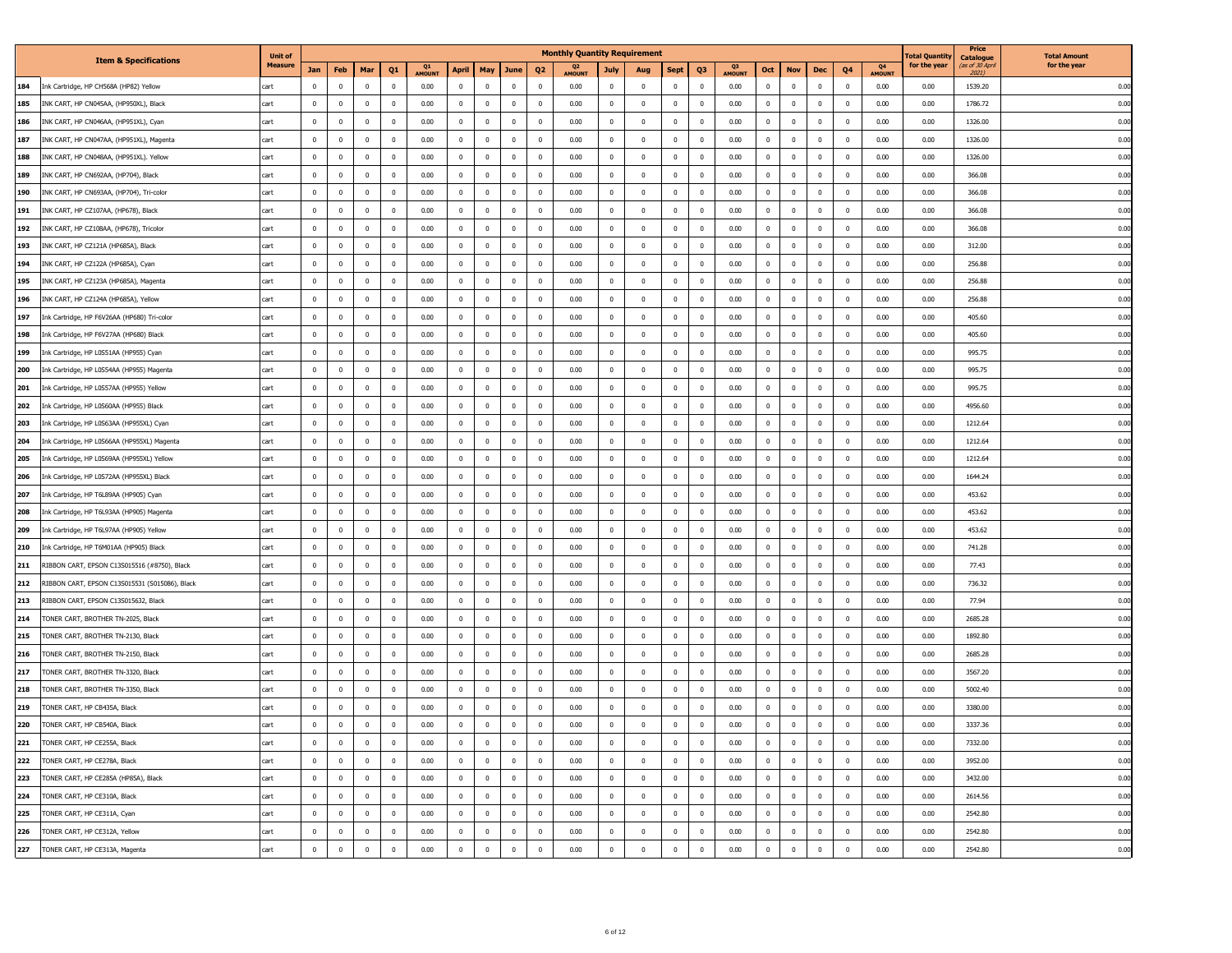|     |                                                | <b>Unit of</b> |              |              |                         |                         |              |                |                         |                |                         | <b>Monthly Quantity Requirement</b> |                |              |                         |                         |              |              |              |              |                         |              | otal Quantity | Price<br><b>Catalogue</b> | <b>Total Amount</b> |
|-----|------------------------------------------------|----------------|--------------|--------------|-------------------------|-------------------------|--------------|----------------|-------------------------|----------------|-------------------------|-------------------------------------|----------------|--------------|-------------------------|-------------------------|--------------|--------------|--------------|--------------|-------------------------|--------------|---------------|---------------------------|---------------------|
|     | <b>Item &amp; Specifications</b>               | <b>Measure</b> | Jan          | Feb          | Mar                     | Q <sub>1</sub>          | Q1<br>AMOUNT | April          | May                     | June           | Q <sub>2</sub>          | Q <sub>2</sub><br>AMOUNT            | July           | Aug          | <b>Sept</b>             | Q3                      | Q3<br>AMOUNT | Oct          | <b>Nov</b>   | Dec          | Q4                      | Q4<br>AMOUNT | for the year  | (as of 30 Apn<br>2021)    | for the year        |
| 184 | Ink Cartridge, HP CH568A (HP82) Yellow         | cart           |              | $^{\circ}$   |                         | $\mathbf{0}$            | 0.00         | $\overline{0}$ |                         | $\mathbf{0}$   | $\mathbf{0}$            | 0.00                                | $^{\circ}$     | $\mathbf 0$  | $\mathbf{0}$            | $^{\circ}$              | 0.00         | $\mathbf{0}$ | $^{\circ}$   | $\mathbf 0$  | $\mathbf 0$             | 0.00         | 0.00          | 1539.20                   | 0.00                |
| 185 | INK CART, HP CN045AA, (HP950XL), Black         | cart           | $\mathbf 0$  | $\mathbf 0$  | $\overline{\mathbf{0}}$ | $\mathbf{0}$            | 0.00         | $\bf{0}$       | $\bf{0}$                | $\,$ 0         | $\mathbf 0$             | 0.00                                | $\overline{0}$ | $\mathbf 0$  | $\bf{0}$                | $\overline{0}$          | 0.00         | $\bf{0}$     | $\mathbf 0$  | $\bf{0}$     | $\overline{\mathbf{0}}$ | 0.00         | 0.00          | 1786.72                   | 0.00                |
| 186 | INK CART, HP CN046AA, (HP951XL), Cyan          | cart           | $\mathbf 0$  | $^{\circ}$   | $\mathbf 0$             | $\mathbf{0}$            | 0.00         | $\mathbf{0}$   | $\mathbf{0}$            | $\mathbf 0$    | $\overline{0}$          | 0.00                                | $\pmb{0}$      | $\mathbf 0$  | $\bf{0}$                | $^{\circ}$              | 0.00         | $\mathbf 0$  | $\mathbf 0$  | $\mathbf 0$  | $\overline{0}$          | 0.00         | 0.00          | 1326.00                   | 0.00                |
| 187 | INK CART, HP CN047AA, (HP951XL), Magenta       | cart           | $\mathbf 0$  | $\mathbf 0$  | $^{\circ}$              | $\bf{0}$                | 0.00         | $\mathbf 0$    | $\mathbf 0$             | $\bf{0}$       | $\mathbf 0$             | 0.00                                | $\overline{0}$ | $\mathbf 0$  | $\,0\,$                 | 0                       | 0.00         | $\mathbf 0$  | $\mathbf{0}$ | $\bf{0}$     | $\overline{0}$          | 0.00         | 0.00          | 1326.00                   | 0.00                |
| 188 | INK CART, HP CN048AA, (HP951XL). Yellow        | cart           | $\mathbf 0$  | $^{\circ}$   | $\mathbf 0$             | $\mathbf{0}$            | 0.00         | $\mathbf{0}$   | $\mathbf{0}$            | $\mathbf 0$    | $\overline{0}$          | 0.00                                | $\mathbf{0}$   | $\mathbf 0$  | $\mathbf 0$             | $^{\circ}$              | 0.00         | $\mathbf 0$  | $\mathbf 0$  | $\mathbf 0$  | $\overline{0}$          | 0.00         | 0.00          | 1326.00                   | 0.00                |
| 189 | INK CART, HP CN692AA, (HP704), Black           | cart           | $\mathbf 0$  | $^{\circ}$   | $\mathbf 0$             | $\mathbf{0}$            | 0.00         | $\mathbf{0}$   | $\overline{\mathbf{0}}$ | $\mathbf 0$    | $\overline{0}$          | 0.00                                | $\mathbf{0}$   | $\mathbf 0$  | $\mathbf 0$             | $\mathbf 0$             | 0.00         | $\mathbf{0}$ | $\mathbf{0}$ | $\mathbf 0$  | $\overline{0}$          | 0.00         | 0.00          | 366.08                    | 0.00                |
| 190 | INK CART, HP CN693AA, (HP704), Tri-color       | cart           | $\mathbf 0$  | $\mathbf 0$  | $\mathbf 0$             | $\mathbf{0}$            | 0.00         | $\bf{0}$       | $\mathbf{0}$            | $\mathbf 0$    | $\mathbf 0$             | 0.00                                | $\bf{0}$       | $\mathbf 0$  | $\mathbf 0$             | $\overline{\mathbf{0}}$ | 0.00         | $\mathbf 0$  | $\mathbf 0$  | $\bf{0}$     | $\mathbf{0}$            | 0.00         | 0.00          | 366.08                    | 0.00                |
| 191 | INK CART, HP CZ107AA, (HP678), Black           | cart           | $^{\circ}$   | $^{\circ}$   | $^{\circ}$              | $\bf{0}$                | 0.00         | $\mathbf 0$    | $\overline{0}$          | $\mathbf 0$    | $\overline{0}$          | 0.00                                | $\bf{0}$       | $\mathbf 0$  | $\bf{0}$                | $^{\circ}$              | 0.00         | $^{\circ}$   | $\mathbf{0}$ | $\mathbf 0$  | $\mathbf{0}$            | 0.00         | 0.00          | 366.08                    | 0.00                |
| 192 | INK CART, HP CZ108AA, (HP678), Tricolor        | cart           | $^{\circ}$   | $\mathbf 0$  | $^{\circ}$              | $\bf{0}$                | 0.00         | $\mathbf 0$    | $\mathbf{0}$            | $\bf{0}$       | $\,0\,$                 | 0.00                                | $\bf{0}$       | $\mathbf 0$  | $\mathbf 0$             | $\mathbf 0$             | 0.00         | $\mathbf 0$  | $\mathbf{0}$ | $\bf{0}$     | $\mathbf{0}$            | 0.00         | 0.00          | 366.08                    | 0.00                |
| 193 | INK CART, HP CZ121A (HP685A), Black            | cart           | $^{\circ}$   | $^{\circ}$   | $^{\circ}$              | $\overline{0}$          | 0.00         | $\mathbf{0}$   | $\overline{\mathbf{0}}$ | $\mathbf 0$    | $\overline{0}$          | 0.00                                | $\overline{0}$ | $\mathbf 0$  | $\mathbf{0}$            | $\mathbf 0$             | 0.00         | $^{\circ}$   | $\Omega$     | $\mathbf 0$  | $\mathbf{0}$            | 0.00         | 0.00          | 312.00                    | 0.00                |
| 194 | INK CART, HP CZ122A (HP685A), Cyan             | cart           | $\mathbf 0$  | $^{\circ}$   | $\mathbf 0$             | $\overline{0}$          | 0.00         | $\mathbf{0}$   | $\overline{\mathbf{0}}$ | $\mathbf 0$    | $\mathbf 0$             | 0.00                                | $\mathbf{0}$   | $\mathbf 0$  | $\mathbf 0$             | $^{\circ}$              | 0.00         | $\mathbf 0$  | $\mathbf{0}$ | $\mathbf 0$  | $\overline{0}$          | 0.00         | 0.00          | 256.88                    | 0.00                |
| 195 | INK CART, HP CZ123A (HP685A), Magenta          | cart           | $\Omega$     | $\mathbf 0$  | $\Omega$                | $\overline{\mathbf{0}}$ | 0.00         | $\bf{0}$       | $\overline{\mathbf{0}}$ | $\mathbf 0$    | $\mathbf 0$             | 0.00                                | $\mathbf 0$    | $\mathbf 0$  | $\,$ 0 $\,$             | $\mathbf{0}$            | 0.00         | $\Omega$     | $\Omega$     | $\bf{0}$     | $\mathbf{0}$            | 0.00         | 0.00          | 256.88                    | 0.00                |
| 196 | INK CART, HP CZ124A (HP685A), Yellow           | cart           | $^{\circ}$   | $^{\circ}$   | $\mathbf 0$             | $\mathbf{0}$            | 0.00         | $\mathbf{0}$   | $\mathbf{0}$            | $\mathbf 0$    | $\overline{0}$          | 0.00                                | $\pmb{0}$      | $\mathbf 0$  | $\overline{\mathbf{0}}$ | $^{\circ}$              | 0.00         | $\mathbf 0$  | $\mathbf{0}$ | $\mathbf 0$  | $\overline{0}$          | 0.00         | 0.00          | 256.88                    | 0.00                |
| 197 | Ink Cartridge, HP F6V26AA (HP680) Tri-color    | cart           | $^{\circ}$   | $^{\circ}$   | $^{\circ}$              | $\bf{0}$                | 0.00         | $\mathbf 0$    | $\mathbf{0}$            | $\mathbf 0$    | $\mathbf 0$             | 0.00                                | $\mathbf 0$    | $\mathbf{0}$ | $\bf{0}$                | $^{\circ}$              | 0.00         | $\mathbf 0$  | $\mathbf{0}$ | $\mathbf 0$  | $\overline{0}$          | 0.00         | 0.00          | 405.60                    | 0.00                |
| 198 | Ink Cartridge, HP F6V27AA (HP680) Black        | cart           | $\mathbf 0$  | $\mathbf{0}$ | $\mathbf 0$             | $\mathbf{0}$            | 0.00         | $\mathbf{0}$   | $\mathbf{0}$            | $\mathbf{0}$   | $\mathbf 0$             | 0.00                                | $\mathbf 0$    | $\mathbf 0$  | $\mathbf 0$             | $^{\circ}$              | 0.00         | $\mathbf 0$  | $\mathbf 0$  | $\mathbf 0$  | $\overline{\mathbf{0}}$ | 0.00         | 0.00          | 405.60                    | 0.00                |
| 199 | Ink Cartridge, HP L0S51AA (HP955) Cyan         | cart           | $\mathbf 0$  | $^{\circ}$   | $\mathbf 0$             | $\mathbf{0}$            | 0.00         | $\mathbf{0}$   | $\overline{0}$          | $\mathbf{0}$   | $\overline{0}$          | 0.00                                | $\mathbf 0$    | $\mathbf 0$  | $\mathbf 0$             | $^{\circ}$              | 0.00         | $\mathbf{0}$ | $\mathbf{0}$ | $\mathbf 0$  | $\overline{0}$          | 0.00         | 0.00          | 995.75                    | 0.00                |
| 200 | Ink Cartridge, HP L0S54AA (HP955) Magenta      | cart           | $\mathbf 0$  | $\mathbf 0$  | $\mathbf 0$             | $\mathbf{0}$            | 0.00         | $\bf{0}$       | $^{\circ}$              | $\mathbf 0$    | $\mathbf 0$             | 0.00                                | $\mathbf 0$    | $\mathbf 0$  | $\,$ 0 $\,$             | $\overline{0}$          | 0.00         | $\bf{0}$     | $\mathbf 0$  | $\bf{0}$     | $\mathbf{0}$            | 0.00         | 0.00          | 995.75                    | 0.00                |
| 201 | Ink Cartridge, HP L0S57AA (HP955) Yellow       | cart           | $\mathbf 0$  | $^{\circ}$   | $\mathbf 0$             | $\mathbf{0}$            | 0.00         | $\mathbf{0}$   | $\overline{\mathbf{0}}$ | $\mathbf{0}$   | $\overline{0}$          | 0.00                                | $\overline{0}$ | $\mathbf 0$  | $\overline{\mathbf{0}}$ | $\mathbf{0}$            | 0.00         | $\mathbf 0$  | $\mathbf 0$  | $\mathbf 0$  | $\overline{0}$          | 0.00         | 0.00          | 995.75                    | 0.00                |
| 202 | Ink Cartridge, HP L0S60AA (HP955) Black        | cart           | $^{\circ}$   | $^{\circ}$   | $^{\circ}$              | $\bf{0}$                | 0.00         | $\bf{0}$       | $^{\circ}$              | $\mathbf 0$    | $\mathbf 0$             | 0.00                                | $\bf{0}$       | $\mathbf 0$  | $\,0\,$                 | $\mathbf 0$             | 0.00         | $\mathbf 0$  | $\mathbf{0}$ | $\bf{0}$     | $\mathbf{0}$            | 0.00         | 0.00          | 4956.60                   | 0.00                |
| 203 | Ink Cartridge, HP L0S63AA (HP955XL) Cyan       | cart           | $\mathbf 0$  | $\mathbf 0$  | $\mathbf 0$             | $\mathbf{0}$            | 0.00         | $\mathbf{0}$   | $\mathbf{0}$            | $\mathbf{0}$   | $\mathbf 0$             | 0.00                                | $\mathbf{0}$   | $\mathbf{0}$ | $\bf{0}$                | $\mathbf 0$             | 0.00         | $\mathbf 0$  | $\mathbf 0$  | $\bf{0}$     | $\overline{0}$          | 0.00         | 0.00          | 1212.64                   | 0.00                |
| 204 | Ink Cartridge, HP L0S66AA (HP955XL) Magenta    | cart           | $\mathbf 0$  | $^{\circ}$   | $\mathbf 0$             | $\overline{0}$          | 0.00         | $\mathbf 0$    | $\overline{\mathbf{0}}$ | $\mathbf{0}$   | $\overline{0}$          | 0.00                                | $\mathbf{0}$   | $\mathbf 0$  | $\mathbf 0$             | $^{\circ}$              | 0.00         | $\mathbf{0}$ | $\mathbf{0}$ | $\mathbf 0$  | $\overline{0}$          | 0.00         | 0.00          | 1212.64                   | 0.00                |
| 205 | Ink Cartridge, HP L0S69AA (HP955XL) Yellow     | cart           | $\mathbf 0$  | $\mathbf 0$  | $\overline{\mathbf{0}}$ | $\mathbf{0}$            | 0.00         | $\bf{0}$       | $\mathbf{0}$            | $\mathbf 0$    | $\mathbf 0$             | 0.00                                | $\bf{0}$       | $\mathbf 0$  | $\bf{0}$                | $\overline{0}$          | 0.00         | $\bf{0}$     | $\mathbf 0$  | $\bf{0}$     | $\overline{\mathbf{0}}$ | 0.00         | 0.00          | 1212.64                   | 0.00                |
| 206 | Ink Cartridge, HP L0S72AA (HP955XL) Black      | cart           | $\mathbf 0$  | $^{\circ}$   | $\mathbf 0$             | $\mathbf 0$             | 0.00         | $\mathbf{0}$   | $\overline{\mathbf{0}}$ | $\mathbf 0$    | $\mathbf 0$             | 0.00                                | $\bf{0}$       | $\mathbf 0$  | $\,$ 0 $\,$             | $\mathbf 0$             | 0.00         | $\mathbf 0$  | $\mathbf 0$  | $\mathbf 0$  | $\overline{0}$          | 0.00         | 0.00          | 1644.24                   | 0.00                |
| 207 | Ink Cartridge, HP T6L89AA (HP905) Cyan         | cart           | $\mathbf 0$  | $\mathbf 0$  | $\mathbf 0$             | $\bf{0}$                | 0.00         | $\mathbf 0$    | $\mathbf 0$             | $\mathbf 0$    | $\,0\,$                 | 0.00                                | $\bf{0}$       | $\mathbf 0$  | $\,0\,$                 | $\mathbf 0$             | 0.00         | $\mathbf 0$  | $\mathbf 0$  | $\mathbf 0$  | $\overline{0}$          | 0.00         | 0.00          | 453.62                    | 0.00                |
| 208 | Ink Cartridge, HP T6L93AA (HP905) Magenta      | cart           | $\mathbf 0$  | $\mathbf 0$  | $\mathbf 0$             | $\mathbf{0}$            | 0.00         | $\mathbf{0}$   | $\mathbf{0}$            | $\mathbf{0}$   | $\mathbf 0$             | 0.00                                | $\mathbf{0}$   | $\mathbf{0}$ | $\bf{0}$                | $^{\circ}$              | 0.00         | $\mathbf 0$  | $\mathbf 0$  | $\bf{0}$     | $\overline{\mathbf{0}}$ | 0.00         | 0.00          | 453.62                    | 0.00                |
| 209 | Ink Cartridge, HP T6L97AA (HP905) Yellow       | cart           | $\mathbf 0$  | $^{\circ}$   | $\mathbf 0$             | $\mathbf{0}$            | 0.00         | $\mathbf{0}$   | $\overline{\mathbf{0}}$ | $\mathbf 0$    | $\overline{0}$          | 0.00                                | $\mathbf 0$    | $\mathbf 0$  | $\mathbf 0$             | $^{\circ}$              | 0.00         | $\mathbf{0}$ | $\mathbf{0}$ | $\mathbf 0$  | $\overline{0}$          | 0.00         | 0.00          | 453.62                    | 0.00                |
| 210 | Ink Cartridge, HP T6M01AA (HP905) Black        | cart           | $\mathbf 0$  | $\mathbf 0$  | $\mathbf 0$             | $\mathbf{0}$            | 0.00         | $\bf{0}$       | $\mathbf{0}$            | $\mathbf 0$    | $\,0\,$                 | 0.00                                | $\bf{0}$       | $\mathbf 0$  | $\mathbf 0$             | $\overline{\mathbf{0}}$ | 0.00         | $\mathbf 0$  | $\mathbf 0$  | $\bf{0}$     | $\overline{\mathbf{0}}$ | 0.00         | 0.00          | 741.28                    | 0.00                |
| 211 | RIBBON CART, EPSON C13S015516 (#8750), Black   | cart           | $\mathbf 0$  | $^{\circ}$   | $\mathbf 0$             | $\mathbf{0}$            | 0.00         | $\mathbf{0}$   | $\mathbf{0}$            | $\mathbf{0}$   | $\mathbf 0$             | 0.00                                | $\mathbf{0}$   | $\mathbf 0$  | $\overline{\mathbf{0}}$ | $^{\circ}$              | 0.00         | $\mathbf 0$  | $\mathbf 0$  | $\bf{0}$     | $\overline{\mathbf{0}}$ | 0.00         | 0.00          | 77.43                     | 0.00                |
| 212 | RIBBON CART, EPSON C13S015531 (S015086), Black | cart           | $\mathbf 0$  | $^{\circ}$   | $^{\circ}$              | $\mathbf{0}$            | 0.00         | $\bf{0}$       | $\mathbf{0}$            | $\mathbf 0$    | $\,0\,$                 | 0.00                                | $\bf{0}$       | $\mathbf 0$  | $\,0\,$                 | $^{\circ}$              | 0.00         | $\mathbf 0$  | $\mathbf{0}$ | $\bf{0}$     | $\mathbf{0}$            | 0.00         | 0.00          | 736.32                    | 0.00                |
| 213 | RIBBON CART, EPSON C13S015632, Black           | cart           | $\mathbf 0$  | $^{\circ}$   | $\mathbf 0$             | $\mathbf{0}$            | 0.00         | $\mathbf{0}$   | $\mathbf{0}$            | $\mathbf{0}$   | $\mathbf 0$             | 0.00                                | $\overline{0}$ | $\mathbf{0}$ | $\bf{0}$                | $\mathbf 0$             | 0.00         | $\mathbf 0$  | $\Omega$     | $\mathbf 0$  | $\overline{0}$          | 0.00         | 0.00          | 77.94                     | 0.00                |
| 214 | TONER CART, BROTHER TN-2025, Black             | cart           | $\mathbf 0$  | $^{\circ}$   | $\mathbf 0$             | $\overline{0}$          | 0.00         | $\mathbf{0}$   | $\overline{\mathbf{0}}$ | $\mathbf{0}$   | $\mathbf 0$             | 0.00                                | $\mathbf{0}$   | $\mathbf 0$  | $\mathbf 0$             | $^{\circ}$              | 0.00         | $\mathbf 0$  | $\mathbf{0}$ | $\mathbf 0$  | $\overline{0}$          | 0.00         | 0.00          | 2685.28                   | 0.00                |
| 215 | TONER CART, BROTHER TN-2130, Black             | cart           | $^{\circ}$   | $\mathbf 0$  | $\mathbf 0$             | $\overline{\mathbf{0}}$ | 0.00         | $\mathbf 0$    | $\overline{\mathbf{0}}$ | $\mathbf 0$    | $\mathbf 0$             | 0.00                                | $\bf{0}$       | $\mathbf 0$  | $\,$ 0 $\,$             | $\mathbf{0}$            | 0.00         | $\Omega$     | $\Omega$     | $\bf{0}$     | $\mathbf{0}$            | 0.00         | 0.00          | 1892.80                   | 0.00                |
| 216 | TONER CART, BROTHER TN-2150, Black             | cart           | $\mathbf 0$  | $^{\circ}$   | $\mathbf 0$             | $\mathbf{0}$            | 0.00         | $\mathbf{0}$   | $\overline{\mathbf{0}}$ | $\mathbf 0$    | $\mathbf 0$             | 0.00                                | $\overline{0}$ | $\mathbf 0$  | $\overline{\mathbf{0}}$ | $\mathbf 0$             | 0.00         | $\mathbf 0$  | $\mathbf 0$  | $\mathbf 0$  | $\overline{\mathbf{0}}$ | 0.00         | 0.00          | 2685.28                   | 0.00                |
| 217 | TONER CART, BROTHER TN-3320, Black             | cart           | $^{\circ}$   | $^{\circ}$   | $\mathbf 0$             | $\mathbf 0$             | 0.00         | $\mathbf 0$    | $\mathbf{0}$            | $\mathbf 0$    | $\,0\,$                 | 0.00                                | $\mathbf 0$    | $\bf{0}$     | $\mathbf 0$             | $^{\circ}$              | 0.00         | $\mathbf 0$  | $\mathbf{0}$ | $\mathbf 0$  | $\overline{0}$          | 0.00         | 0.00          | 3567.20                   | 0.00                |
| 218 | TONER CART, BROTHER TN-3350, Black             | cart           | $\Omega$     | $\Omega$     | $\Omega$                | $\mathbf{0}$            | 0.00         | $\mathbf{0}$   | $\mathbf{0}$            | $\mathbf{0}$   | $\mathbf 0$             | 0.00                                | $\mathbf 0$    | $\mathbf 0$  | $\bf{0}$                | $^{\circ}$              | 0.00         | $\Omega$     | $\mathbf 0$  | $\bf{0}$     | $\overline{0}$          | 0.00         | 0.00          | 5002.40                   | 0.00                |
| 219 | TONER CART, HP CB435A, Black                   | :art           | $^{\circ}$   | $^{\circ}$   | $\mathbf 0$             | $\overline{0}$          | 0.00         | $\mathbf{0}$   | $\overline{0}$          | $\mathbf 0$    | $\overline{0}$          | 0.00                                | $\mathbf 0$    | $\mathbf 0$  | $\mathbf{0}$            | $\mathbf 0$             | 0.00         | $\mathbf{0}$ | $\mathbf{0}$ | $\mathbf 0$  | $\overline{0}$          | 0.00         | 0.00          | 3380.00                   | 0.00                |
| 220 | TONER CART, HP CB540A, Black                   | cart           | $\mathbf 0$  | $\mathbf 0$  | $\mathbf 0$             | $\mathbf{0}$            | 0.00         | $\bf{0}$       | $\mathbf{0}$            | $\mathbf 0$    | $\mathbf 0$             | 0.00                                | $\bf{0}$       | $\mathbf 0$  | $\,$ 0 $\,$             | $\overline{0}$          | 0.00         | $\bf{0}$     | $\mathbf 0$  | $\mathbf 0$  | $\overline{\mathbf{0}}$ | 0.00         | 0.00          | 3337.36                   | 0.00                |
| 221 | TONER CART, HP CE255A, Black                   | cart           | $\mathbf 0$  | $\mathbf 0$  | $\mathbf{0}$            | $\mathbf{0}$            | 0.00         | $\overline{0}$ | $\mathbf{0}$            | $\bf{0}$       | $\overline{0}$          | 0.00                                | $\pmb{0}$      | $\mathbf 0$  | $\bf{0}$                | $\mathbf 0$             | 0.00         | $\mathbf 0$  | $\mathbf 0$  | $\mathbf{0}$ | $\overline{0}$          | 0.00         | 0.00          | 7332.00                   | 0.00                |
| 222 | TONER CART, HP CE278A, Black                   | cart           | $\mathbf{0}$ | $\mathbf{0}$ | $\overline{0}$          | $\mathbf 0$             | 0.00         | $\overline{0}$ | $\bf{0}$                | $\overline{0}$ | $\,0\,$                 | 0.00                                | $\overline{0}$ | $\mathbf{0}$ | $\bf{0}$                | $\overline{0}$          | 0.00         | $\bf{0}$     | $\bf{0}$     | $\bf{0}$     | $\overline{0}$          | 0.00         | 0.00          | 3952.00                   | 0.00                |
| 223 | TONER CART, HP CE285A (HP85A), Black           | cart           | $\bf{0}$     | $\mathbf 0$  | $\mathbf{0}$            | $\bf{0}$                | 0.00         | $\mathbf{0}$   | $\bf{0}$                | $\overline{0}$ | $\overline{\mathbf{0}}$ | 0.00                                | $\overline{0}$ | $\bf{0}$     | $\bf{0}$                | $\overline{0}$          | 0.00         | $\bf{0}$     | $\bf{0}$     | $\bf{0}$     | $\overline{\mathbf{0}}$ | 0.00         | 0.00          | 3432.00                   | 0.00                |
| 224 | TONER CART, HP CE310A, Black                   | cart           | $\bf{0}$     | $\bf{0}$     | $\overline{0}$          | $\overline{0}$          | 0.00         | $\overline{0}$ | $\mathbf 0$             | $\bf{0}$       | $\mathbb O$             | 0.00                                | $\overline{0}$ | $\bf{0}$     | $\bf{0}$                | $\bf{0}$                | 0.00         | $\bf{0}$     | $\bf{0}$     | $\bf{0}$     | $\overline{0}$          | 0.00         | 0.00          | 2614.56                   | 0.00                |
| 225 | TONER CART, HP CE311A, Cyan                    | cart           | $\mathbf{0}$ | $\mathbf 0$  | $\mathbf{0}$            | $\mathbf 0$             | 0.00         | $\bf{0}$       | $\bf{0}$                | $\bf{0}$       | $\bf{0}$                | 0.00                                | $\overline{0}$ | $\mathbf{0}$ | $\bf{0}$                | $\overline{0}$          | 0.00         | $\bf{0}$     | $\bf{0}$     | $\mathbf 0$  | $\overline{0}$          | 0.00         | 0.00          | 2542.80                   | 0.00                |
| 226 | TONER CART, HP CE312A, Yellow                  | cart           | $\mathbf{0}$ | $\mathbf 0$  | $\mathbf{0}$            | $\mathbf{0}$            | 0.00         | $\mathbf{0}$   | $\mathbf{0}$            | $\bf{0}$       | $\mathbf 0$             | 0.00                                | $\overline{0}$ | $\mathbf{0}$ | $\bf{0}$                | $\mathbf 0$             | 0.00         | $\bf{0}$     | $\bf{0}$     | $\bf{0}$     | $\overline{\mathbf{0}}$ | 0.00         | 0.00          | 2542.80                   | 0.00                |
| 227 | TONER CART, HP CE313A, Magenta                 | cart           | $\mathbf 0$  | $\mathbf 0$  | $\mathbf 0$             | $\mathbf 0$             | 0.00         | $\mathbf{0}$   | $\mathbf 0$             | $\mathbf 0$    | $\mathbf 0$             | 0.00                                | $\overline{0}$ | $\mathbf 0$  | $\mathbf 0$             | $\overline{0}$          | 0.00         | $\,0\,$      | $\mathbf 0$  | $\mathbf 0$  | $\mathbf 0$             | 0.00         | 0.00          | 2542.80                   | 0.00                |
|     |                                                |                |              |              |                         |                         |              |                |                         |                |                         |                                     |                |              |                         |                         |              |              |              |              |                         |              |               |                           |                     |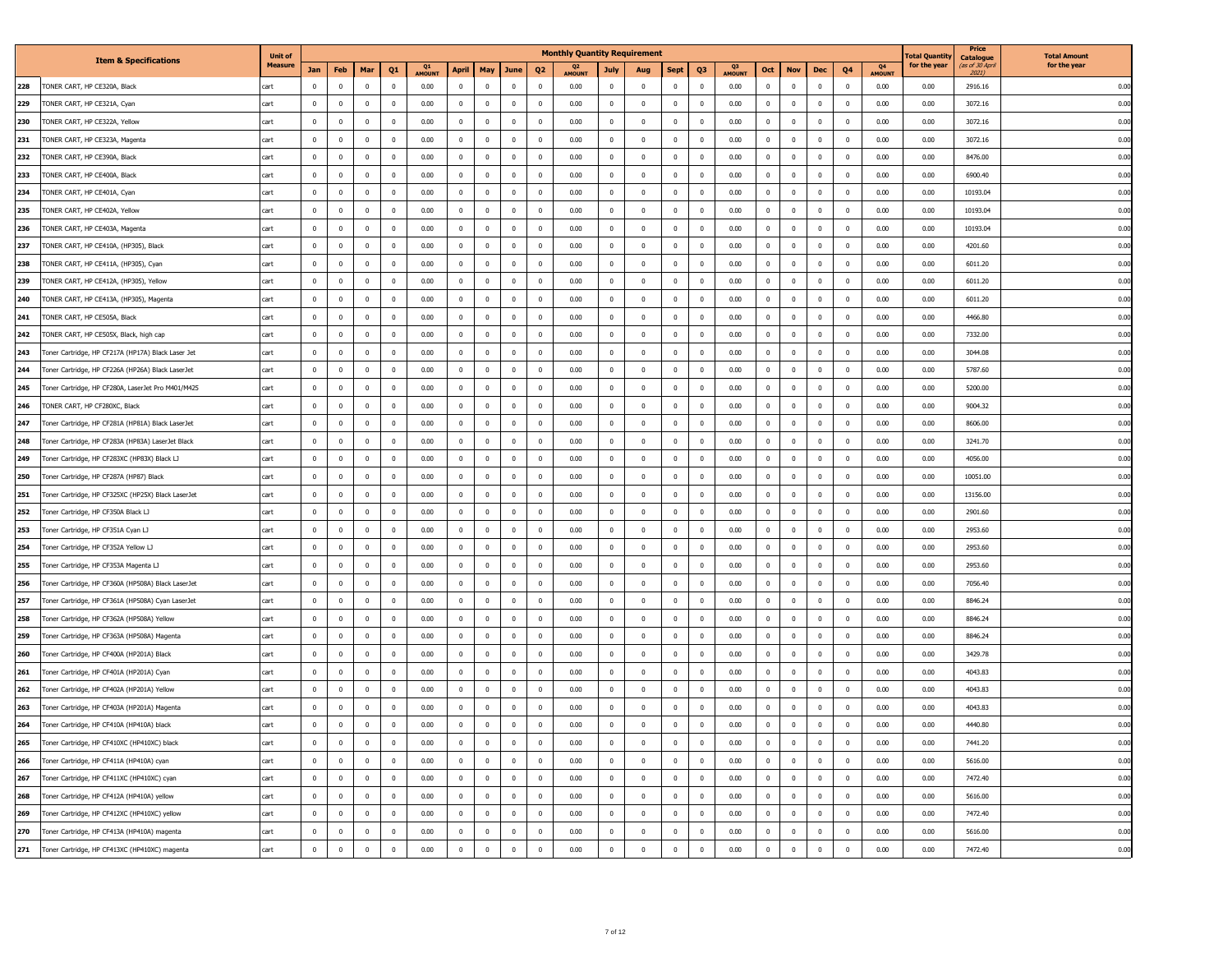|     |                                                    | <b>Unit of</b> |             |                |                         |                |              |              |                |             |                | <b>Monthly Quantity Requirement</b> |                |              |                         |                         |              |                         |              |              |                         |              | otal Quantity | Price<br><b>Catalogue</b> | <b>Total Amount</b> |
|-----|----------------------------------------------------|----------------|-------------|----------------|-------------------------|----------------|--------------|--------------|----------------|-------------|----------------|-------------------------------------|----------------|--------------|-------------------------|-------------------------|--------------|-------------------------|--------------|--------------|-------------------------|--------------|---------------|---------------------------|---------------------|
|     | <b>Item &amp; Specifications</b>                   | Measure        | Jan         | Feb            | Mar                     | Q <sub>1</sub> | Q1<br>AMOUNT | April        | May            | <b>June</b> | Q <sub>2</sub> | Q <sub>2</sub><br><b>AMOUNT</b>     | July           | Aug          | <b>Sept</b>             | Q <sub>3</sub>          | Q3<br>AMOUNT | Oct                     | <b>Nov</b>   | Dec          | Q4                      | Q4<br>AMOUNT | for the year  | as of 30 Apn<br>2021)     | for the year        |
| 228 | <b>FONER CART, HP CE320A, Black</b>                | cart           | $\mathbf 0$ | $\overline{0}$ |                         | $\mathbf{0}$   | 0.00         | $\mathbf{0}$ | $\overline{0}$ | $\bf{0}$    | $\mathbf 0$    | 0.00                                | $^{\circ}$     | $\mathbf 0$  | $\bf{0}$                | $\mathbf 0$             | 0.00         | $\mathbf{0}$            | $^{\circ}$   | $\mathbf 0$  | $^{\circ}$              | 0.00         | 0.00          | 2916.16                   | 0.00                |
| 229 | TONER CART, HP CE321A, Cyan                        | cart           | $\mathbf 0$ | $\bf{0}$       | $\mathbf{0}$            | $\,$ 0         | 0.00         | $\mathbf 0$  | $\mathbf 0$    | $\mathbf 0$ | $\mathbf 0$    | 0.00                                | $\bf{0}$       | $\mathbf 0$  | $\mathbf 0$             | $\overline{\mathbf{0}}$ | 0.00         | $\bf{0}$                | $\mathbf 0$  | $\bf{0}$     | $\overline{\mathbf{0}}$ | 0.00         | 0.00          | 3072.16                   | 0.00                |
| 230 | TONER CART, HP CE322A, Yellow                      | cart           | $\mathbf 0$ | $\mathbf{0}$   | $\overline{\mathbf{0}}$ | $\mathbf 0$    | 0.00         | $\mathbf{0}$ | $\mathbf 0$    | $\mathbf 0$ | $\mathbf 0$    | 0.00                                | $\,0\,$        | $\mathbf 0$  | $\mathbf{0}$            | $\mathbf 0$             | 0.00         | $\mathbf{0}$            | $\mathbf 0$  | $\mathbf 0$  | $^{\circ}$              | 0.00         | 0.00          | 3072.16                   | 0.00                |
| 231 | TONER CART, HP CE323A, Magenta                     | cart           | $\mathbf 0$ | $\mathbf{0}$   | $\mathbf{0}$            | $\mathbf 0$    | 0.00         | $\mathbf{0}$ | $\mathbf 0$    | $\mathbf 0$ | $\,$ 0         | 0.00                                | $\bf{0}$       | $\bf{0}$     | $\mathbf 0$             | $^{\circ}$              | 0.00         | $\mathbf 0$             | $\mathbf 0$  | $\mathbf 0$  | $\overline{\mathbf{0}}$ | 0.00         | 0.00          | 3072.16                   | 0.00                |
| 232 | FONER CART, HP CE390A, Black                       | cart           | $\mathbf 0$ | $\mathbf{0}$   | $\mathbf{0}$            | $\mathbf 0$    | 0.00         | $\mathbf{0}$ | $\mathbf 0$    | $\bf{0}$    | $\mathbf{0}$   | 0.00                                | $\overline{0}$ | $\mathbf 0$  | $\mathbf 0$             | $\mathbf 0$             | 0.00         | $\mathbf{0}$            | $\mathbf 0$  | $\mathbf 0$  | $^{\circ}$              | 0.00         | 0.00          | 8476.00                   | 0.00                |
| 233 | FONER CART, HP CE400A, Black                       | cart           | $\mathbf 0$ | $\mathbf{0}$   | $\overline{\mathbf{0}}$ | $\mathbf{0}$   | 0.00         | $\mathbf{0}$ | $\mathbf 0$    | $\mathbf 0$ | $\mathbf 0$    | 0.00                                | $\overline{0}$ | $\mathbf 0$  | $\mathbf 0$             | $\mathbf 0$             | 0.00         | $\mathbf{0}$            | $\mathbf 0$  | $\mathbf 0$  | $^{\circ}$              | 0.00         | 0.00          | 6900.40                   | 0.00                |
| 234 | TONER CART, HP CE401A, Cyan                        | cart           | $\mathbf 0$ | $\mathbf{0}$   | $\mathbf{0}$            | $\mathbf 0$    | 0.00         | $\mathbf 0$  | $\mathbf 0$    | $\,0\,$     | $\,$ 0         | 0.00                                | $\,0\,$        | $\mathbf 0$  | $\overline{\mathbf{0}}$ | $\overline{0}$          | 0.00         | $\mathbf{0}$            | $\mathbf 0$  | $\bf{0}$     | $\mathbf{0}$            | 0.00         | 0.00          | 10193.04                  | 0.00                |
| 235 | TONER CART, HP CE402A, Yellow                      | cart           | $\mathbf 0$ | $\mathbf{0}$   | $\overline{\mathbf{0}}$ | $\mathbf 0$    | 0.00         | $\mathbf 0$  | $\mathbf 0$    | $\mathbf 0$ | $\mathbf 0$    | 0.00                                | $\,0\,$        | $\mathbf 0$  | $\mathbf{0}$            | $\mathbf{0}$            | 0.00         | $\mathbf{0}$            | $\mathbf 0$  | $\mathbf 0$  | $\mathbf{0}$            | 0.00         | 0.00          | 10193.04                  | 0.00                |
| 236 | TONER CART, HP CE403A, Magenta                     | cart           | $\mathbf 0$ | $\mathbf 0$    | $\mathbf{0}$            | $\bf{0}$       | 0.00         | $\mathbf 0$  | $\mathbf 0$    | $\mathbf 0$ | $\,$ 0         | 0.00                                | $\,0\,$        | $\mathbf 0$  | $\overline{\mathbf{0}}$ | $^{\circ}$              | 0.00         | $\mathbf 0$             | $^{\circ}$   | $\mathbf 0$  | $^{\circ}$              | 0.00         | 0.00          | 10193.04                  | 0.00                |
| 237 | FONER CART, HP CE410A, (HP305), Black              | cart           | $^{\circ}$  | $\mathbf{0}$   | $\overline{\mathbf{0}}$ | $\mathbf{0}$   | 0.00         | $\mathbf{0}$ | $\mathbf 0$    | $\bf{0}$    | $\mathbf 0$    | 0.00                                | $\mathbf 0$    | $\mathbf 0$  | $\mathbf 0$             | $\Omega$                | 0.00         | $\mathbf{0}$            | $\Omega$     | $\mathbf 0$  | $\mathbf 0$             | 0.00         | 0.00          | 4201.60                   | 0.00                |
| 238 | FONER CART, HP CE411A, (HP305), Cyan               | cart           | $\mathbf 0$ | $\mathbf{0}$   | $\overline{\mathbf{0}}$ | $\mathbf{0}$   | 0.00         | $\mathbf{0}$ | $\mathbf 0$    | $\mathbf 0$ | $\mathbf 0$    | 0.00                                | $\mathbf 0$    | $\mathbf 0$  | $\mathbf 0$             | $\mathbf 0$             | 0.00         | $\mathbf{0}$            | $\mathbf 0$  | $\mathbf 0$  | $^{\circ}$              | 0.00         | 0.00          | 6011.20                   | 0.00                |
| 239 | TONER CART, HP CE412A, (HP305), Yellow             | cart           | $\Omega$    | $\mathbf{0}$   | $\Omega$                | $\mathbf 0$    | 0.00         | $\mathbf{0}$ | $\mathbf 0$    | $\,0\,$     | $\mathbf 0$    | 0.00                                | $\,0\,$        | $\mathbf 0$  | $\overline{\mathbf{0}}$ | $^{\circ}$              | 0.00         | $\mathbf 0$             | $\Omega$     | $\bf{0}$     | $^{\circ}$              | 0.00         | 0.00          | 6011.20                   | 0.00                |
| 240 | TONER CART, HP CE413A, (HP305), Magenta            | cart           | $\mathbf 0$ | $\mathbf{0}$   | $\overline{\mathbf{0}}$ | $\mathbf 0$    | 0.00         | $\mathbf 0$  | $\mathbf 0$    | $\pmb{0}$   | $\mathbf 0$    | 0.00                                | $\,0\,$        | $\mathbf{0}$ | $\overline{\mathbf{0}}$ | $\mathbf 0$             | 0.00         | $\mathbf{0}$            | $\mathbf 0$  | $\mathbf 0$  | $\overline{0}$          | 0.00         | 0.00          | 6011.20                   | 0.00                |
| 241 | TONER CART, HP CE505A, Black                       | cart           | $\mathbf 0$ | $\mathbf{0}$   | $\overline{\mathbf{0}}$ | $\mathbf 0$    | 0.00         | $\mathbf{0}$ | $\mathbf 0$    | $\pmb{0}$   | $\mathbf 0$    | 0.00                                | $\,0\,$        | $\mathbf{0}$ | $\mathbf 0$             | $\mathbf 0$             | 0.00         | $\mathbf{0}$            | $\mathbf 0$  | $\mathbf 0$  | $^{\circ}$              | 0.00         | 0.00          | 4466.80                   | 0.00                |
| 242 | TONER CART, HP CE505X, Black, high cap             | cart           | $\mathbf 0$ | $\mathbf{0}$   | $\mathbf{0}$            | $\mathbf{0}$   | 0.00         | $\mathbf{0}$ | $\mathbf 0$    | $\mathbf 0$ | $\mathbf{0}$   | 0.00                                | $\mathbf 0$    | $\mathbf 0$  | $\mathbf 0$             | $\mathbf 0$             | 0.00         | $\mathbf{0}$            | $\mathbf 0$  | $\mathbf 0$  | $\mathbf 0$             | 0.00         | 0.00          | 7332.00                   | 0.00                |
| 243 | Foner Cartridge, HP CF217A (HP17A) Black Laser Jet | cart           | $\mathbf 0$ | $\mathbf 0$    | $\overline{\mathbf{0}}$ | $\mathbf 0$    | 0.00         | $\mathbf{0}$ | $\mathbf 0$    | $\pmb{0}$   | $\mathbf 0$    | 0.00                                | $\mathbf 0$    | $\mathbf 0$  | $\mathbf 0$             | $\mathbf 0$             | 0.00         | $\mathbf{0}$            | $\mathbf 0$  | $\mathbf 0$  | $^{\circ}$              | 0.00         | 0.00          | 3044.08                   | 0.00                |
| 244 | Toner Cartridge, HP CF226A (HP26A) Black LaserJet  | cart           | $\Omega$    | $\mathbf{0}$   | $\mathbf{0}$            | $\mathbf 0$    | 0.00         | $\mathbf 0$  | $\mathbf 0$    | $\pmb{0}$   | $\mathbf 0$    | 0.00                                | $\,0\,$        | $\mathbf 0$  | $\mathbf{0}$            | $\overline{0}$          | 0.00         | $\bf{0}$                | $\mathbf 0$  | $\bf{0}$     | $^{\circ}$              | 0.00         | 0.00          | 5787.60                   | 0.00                |
| 245 | Toner Cartridge, HP CF280A, LaserJet Pro M401/M425 | cart           | $\mathbf 0$ | $\mathbf 0$    | $\overline{\mathbf{0}}$ | $\mathbf{0}$   | 0.00         | $\mathbf{0}$ | $\mathbf 0$    | $\bf{0}$    | $\mathbf 0$    | 0.00                                | $\mathbf 0$    | $\mathbf 0$  | $\overline{\mathbf{0}}$ | $\mathbf{0}$            | 0.00         | $\mathbf{0}$            | $\mathbf 0$  | $\mathbf 0$  | $^{\circ}$              | 0.00         | 0.00          | 5200.00                   | 0.00                |
| 246 | TONER CART, HP CF280XC, Black                      | cart           | $\mathbf 0$ | $\overline{0}$ | $^{\circ}$              | $\mathbf 0$    | 0.00         | $\mathbf 0$  | $\mathbf 0$    | $\mathbf 0$ | $\,0\,$        | 0.00                                | $\,0\,$        | $\mathbf 0$  | $\mathbf 0$             | $\bf{0}$                | 0.00         | $\mathbf 0$             | $^{\circ}$   | $\mathbf{0}$ | $^{\circ}$              | 0.00         | 0.00          | 9004.32                   | 0.00                |
| 247 | Toner Cartridge, HP CF281A (HP81A) Black LaserJet  | cart           | $\mathbf 0$ | $\mathbf{0}$   | $\overline{\mathbf{0}}$ | $\mathbf{0}$   | 0.00         | $\mathbf{0}$ | $\mathbf 0$    | $\bf{0}$    | $\mathbf 0$    | 0.00                                | $\mathbf 0$    | $\mathbf{0}$ | $\mathbf 0$             | $\mathbf{0}$            | 0.00         | $\mathbf{0}$            | $\mathbf 0$  | $\mathbf 0$  | $\overline{0}$          | 0.00         | 0.00          | 8606.00                   | 0.00                |
| 248 | Foner Cartridge, HP CF283A (HP83A) LaserJet Black  | cart           | $\mathbf 0$ | $\mathbf 0$    | $^{\circ}$              | $\mathbf{0}$   | 0.00         | $\mathbf{0}$ | $\mathbf 0$    | $\mathbf 0$ | $\mathbf 0$    | 0.00                                | $\mathbf 0$    | $\mathbf 0$  | $\mathbf 0$             | $\mathbf 0$             | 0.00         | $\mathbf{0}$            | $\mathbf 0$  | $\mathbf 0$  | $^{\circ}$              | 0.00         | 0.00          | 3241.70                   | 0.00                |
| 249 | Toner Cartridge, HP CF283XC (HP83X) Black LJ       | cart           | $\Omega$    | $\mathbf{0}$   | $\mathbf 0$             | $\mathbf 0$    | 0.00         | $\mathbf{0}$ | $\mathbf 0$    | $\,0\,$     | $\mathbf 0$    | 0.00                                | $\bf{0}$       | $\mathbf 0$  | $\mathbf 0$             | $\overline{0}$          | 0.00         | $\bf{0}$                | $\Omega$     | $\bf{0}$     | $\overline{0}$          | 0.00         | 0.00          | 4056.00                   | 0.00                |
| 250 | Toner Cartridge, HP CF287A (HP87) Black            | cart           | $\mathbf 0$ | $\mathbf{0}$   | $\overline{\mathbf{0}}$ | $\mathbf 0$    | 0.00         | $\mathbf{0}$ | $\mathbf 0$    | $\mathbf 0$ | $\mathbf 0$    | 0.00                                | $\mathbf{0}$   | $\mathbf 0$  | $\overline{\mathbf{0}}$ | $\mathbf{0}$            | 0.00         | $\mathbf{0}$            | $\Omega$     | $\mathbf 0$  | $\overline{0}$          | 0.00         | 0.00          | 10051.00                  | 0.00                |
| 251 | Toner Cartridge, HP CF325XC (HP25X) Black LaserJet | cart           | $\mathbf 0$ | $\mathbf{0}$   | $\mathbf{0}$            | $\mathbf 0$    | 0.00         | $\mathbf{0}$ | $\mathbf 0$    | $\,0\,$     | $\,$ 0         | 0.00                                | $\bf{0}$       | $\bf{0}$     | $\mathbf 0$             | $\bf{0}$                | 0.00         | $\mathbf 0$             | $\mathbf 0$  | $\mathbf 0$  | $\overline{\mathbf{0}}$ | 0.00         | 0.00          | 13156.00                  | 0.00                |
| 252 | Toner Cartridge, HP CF350A Black LJ                | cart           | $\mathbf 0$ | $\mathbf{0}$   | $\mathbf{0}$            | $\mathbf 0$    | 0.00         | $\mathbf{0}$ | $\mathbf 0$    | $\mathbf 0$ | $\mathbf{0}$   | 0.00                                | $\mathbf 0$    | $\mathbf 0$  | $\mathbf 0$             | $\mathbf{0}$            | 0.00         | $\mathbf{0}$            | $\mathbf 0$  | $\mathbf 0$  | $\overline{0}$          | 0.00         | 0.00          | 2901.60                   | 0.00                |
| 253 | Toner Cartridge, HP CF351A Cyan LJ                 | cart           | $\mathbf 0$ | $\mathbf{0}$   | $\overline{\mathbf{0}}$ | $\mathbf 0$    | 0.00         | $\mathbf{0}$ | $\mathbf 0$    | $\mathbf 0$ | $\mathbf 0$    | 0.00                                | $\mathbf 0$    | $\mathbf 0$  | $\mathbf 0$             | $\mathbf 0$             | 0.00         | $\mathbf{0}$            | $\mathbf 0$  | $\mathbf 0$  | $^{\circ}$              | 0.00         | 0.00          | 2953.60                   | 0.00                |
| 254 | Toner Cartridge, HP CF352A Yellow LJ               | cart           | $\mathbf 0$ | $\mathbf{0}$   | $\mathbf{0}$            | $\mathbf 0$    | 0.00         | $\mathbf 0$  | $\mathbf 0$    | $\,0\,$     | $\,$ 0         | 0.00                                | $\,0\,$        | $\mathbf 0$  | $\overline{\mathbf{0}}$ | $\overline{0}$          | 0.00         | $\mathbf{0}$            | $\mathbf 0$  | $\bf{0}$     | $\mathbf{0}$            | 0.00         | 0.00          | 2953.60                   | 0.00                |
| 255 | Toner Cartridge, HP CF353A Magenta LJ              | cart           | $\mathbf 0$ | $\mathbf{0}$   | $\overline{\mathbf{0}}$ | $\mathbf{0}$   | 0.00         | $\mathbf{0}$ | $\mathbf 0$    | $\bf{0}$    | $\mathbf 0$    | 0.00                                | $\mathbf{0}$   | $\mathbf 0$  | $\overline{\mathbf{0}}$ | $\mathbf{0}$            | 0.00         | $\mathbf{0}$            | $\mathbf 0$  | $\bf{0}$     | $\overline{0}$          | 0.00         | 0.00          | 2953.60                   | 0.00                |
| 256 | Toner Cartridge, HP CF360A (HP508A) Black LaserJet | cart           | $\mathbf 0$ | $\mathbf{0}$   | $\mathbf{0}$            | $\mathbf 0$    | 0.00         | $\mathbf 0$  | $\mathbf 0$    | $\mathbf 0$ | $\,$ 0         | 0.00                                | $\,0\,$        | $\mathbf 0$  | $\mathbf 0$             | $\mathbf{0}$            | 0.00         | $\mathbf{0}$            | $^{\circ}$   | $\mathbf 0$  | $\mathbf{0}$            | 0.00         | 0.00          | 7056.40                   | 0.00                |
| 257 | Toner Cartridge, HP CF361A (HP508A) Cyan LaserJet  | cart           | $\mathbf 0$ | $\mathbf{0}$   | $\mathbf{0}$            | $\mathbf{0}$   | 0.00         | $\mathbf{0}$ | $\mathbf 0$    | $\bf{0}$    | $\mathbf 0$    | 0.00                                | $\overline{0}$ | $\mathbf{0}$ | $\mathbf 0$             | $\mathbf 0$             | 0.00         | $\mathbf{0}$            | $\mathbf 0$  | $\mathbf 0$  | $^{\circ}$              | 0.00         | 0.00          | 8846.24                   | 0.00                |
| 258 | Foner Cartridge, HP CF362A (HP508A) Yellow         | cart           | $\mathbf 0$ | $\mathbf{0}$   | $\overline{\mathbf{0}}$ | $\mathbf 0$    | 0.00         | $\mathbf{0}$ | $\mathbf 0$    | $\bf{0}$    | $\overline{0}$ | 0.00                                | $\overline{0}$ | $\mathbf 0$  | $\mathbf 0$             | $\mathbf 0$             | 0.00         | $\mathbf{0}$            | $\mathbf 0$  | $\mathbf 0$  | $^{\circ}$              | 0.00         | 0.00          | 8846.24                   | 0.00                |
| 259 | Toner Cartridge, HP CF363A (HP508A) Magenta        | cart           | $\mathbf 0$ | $\mathbf{0}$   | $\overline{\mathbf{0}}$ | $\mathbf 0$    | 0.00         | $\mathbf{0}$ | $\mathbf 0$    | $\,0\,$     | $\mathbf 0$    | 0.00                                | $\,0\,$        | $\mathbf 0$  | $\overline{\mathbf{0}}$ | $^{\circ}$              | 0.00         | $\mathbf 0$             | $\Omega$     | $\mathbf 0$  | $\mathbf{0}$            | 0.00         | 0.00          | 8846.24                   | 0.00                |
| 260 | Toner Cartridge, HP CF400A (HP201A) Black          | cart           | $\mathbf 0$ | $\mathbf{0}$   | $\overline{\mathbf{0}}$ | $\mathbf 0$    | 0.00         | $\mathbf{0}$ | $\mathbf 0$    | $\mathbf 0$ | $\mathbf 0$    | 0.00                                | $\mathbf 0$    | $\mathbf 0$  | $\overline{\mathbf{0}}$ | $\mathbf{0}$            | 0.00         | $\mathbf{0}$            | $\Omega$     | $\mathbf 0$  | $\overline{0}$          | 0.00         | 0.00          | 3429.78                   | 0.00                |
| 261 | Toner Cartridge, HP CF401A (HP201A) Cyan           | cart           | $\mathbf 0$ | $\mathbf{0}$   | $\mathbf{0}$            | $\mathbf 0$    | 0.00         | $\mathbf{0}$ | $\mathbf 0$    | $\,0\,$     | $\,$ 0         | 0.00                                | $\,0\,$        | $\mathbf{0}$ | $\overline{0}$          | $\mathbf 0$             | 0.00         | $\mathbf 0$             | $\mathbf 0$  | $\mathbf 0$  | $^{\circ}$              | 0.00         | 0.00          | 4043.83                   | 0.00                |
| 262 | Toner Cartridge, HP CF402A (HP201A) Yellow         | cart           | $\Omega$    | $\Omega$       | $\Omega$                | $\mathbf 0$    | 0.00         | $\Omega$     | $\mathbf 0$    | $\,0\,$     | $\mathbf 0$    | 0.00                                | $\mathbf 0$    | $\mathbf 0$  | $\Omega$                | $\Omega$                | 0.00         | $\Omega$                | $\Omega$     | $\mathbf 0$  | $\overline{0}$          | 0.00         | 0.00          | 4043.83                   | 0.00                |
| 263 | Foner Cartridge, HP CF403A (HP201A) Magenta        | cart           | $\mathbf 0$ | $\overline{0}$ | $\mathbf 0$             | $\mathbf{0}$   | 0.00         | $\mathbf{0}$ | $\mathbf 0$    | $\pmb{0}$   | $\mathbf 0$    | 0.00                                | $\mathbf 0$    | $\mathbf 0$  | $\bf{0}$                | $\mathbf 0$             | 0.00         | $\overline{\mathbf{0}}$ | $\mathbf 0$  | $\mathbf 0$  | $^{\circ}$              | 0.00         | 0.00          | 4043.83                   | 0.00                |
| 264 | Toner Cartridge, HP CF410A (HP410A) black          | cart           | $\mathbf 0$ | $\mathbf{0}$   | $\mathbf{0}$            | $\mathbf 0$    | 0.00         | $\mathbf 0$  | $\mathbf 0$    | $\pmb{0}$   | $\mathbf 0$    | 0.00                                | $\mathbb O$    | $\mathbf 0$  | $\overline{0}$          | $\overline{0}$          | 0.00         | $\mathbf 0$             | $\mathbf 0$  | $\bf{0}$     | $^{\circ}$              | 0.00         | 0.00          | 4440.80                   | 0.00                |
| 265 | Toner Cartridge, HP CF410XC (HP410XC) black        | cart           | $\mathbf 0$ | $\mathbf{0}$   | $\mathbf{0}$            | $\mathbf 0$    | 0.00         | $\mathbf{0}$ | $\mathbf 0$    | $\mathbf 0$ | $\mathbf 0$    | 0.00                                | $\,0\,$        | $\mathbf 0$  | $\mathbf{0}$            | $\mathbf{0}$            | 0.00         | $\mathbf{0}$            | $\mathbf 0$  | $\mathbf 0$  | $^{\circ}$              | 0.00         | 0.00          | 7441.20                   | 0.00                |
| 266 | Toner Cartridge, HP CF411A (HP410A) cyan           | cart           | $\mathbf 0$ | $\bf{0}$       | $\mathbf 0$             | $\overline{0}$ | 0.00         | $\bf{0}$     | $\mathbf 0$    | $\bf{0}$    | $\mathbb O$    | 0.00                                | $\bf{0}$       | $\bf{0}$     | $\bf{0}$                | $\overline{0}$          | 0.00         | $\bf{0}$                | $\bf{0}$     | $\bf{0}$     | $\overline{0}$          | 0.00         | 0.00          | 5616.00                   | 0.00                |
| 267 | Toner Cartridge, HP CF411XC (HP410XC) cyan         | cart           | $\bf{0}$    | $\mathbf{0}$   | $\mathbf 0$             | $\overline{0}$ | 0.00         | $\mathbf{0}$ | $\mathbf 0$    | $\bf{0}$    | $\bf{0}$       | 0.00                                | $\mathbf{0}$   | $\mathbf{0}$ | $\bf{0}$                | $\mathbf{0}$            | 0.00         | $\bf{0}$                | $\bf{0}$     | $\bf{0}$     | $\overline{0}$          | 0.00         | 0.00          | 7472.40                   | 0.00                |
| 268 | Toner Cartridge, HP CF412A (HP410A) yellow         | cart           | $\mathbf 0$ | $\mathbf 0$    | $\mathbf{0}$            | $\mathbf 0$    | 0.00         | $\mathbf 0$  | $\mathbf 0$    | $\mathbf 0$ | $\mathbf{0}$   | 0.00                                | $\bf{0}$       | $\bf{0}$     | $\mathbf{0}$            | $^{\circ}$              | 0.00         | $\bf{0}$                | $\mathbf{0}$ | $\bf{0}$     | $\mathbf 0$             | 0.00         | 0.00          | 5616.00                   | 0.00                |
| 269 | Toner Cartridge, HP CF412XC (HP410XC) yellow       | cart           | $\mathbf 0$ | $\mathbb O$    | $\bf{0}$                | $\,$ 0         | 0.00         | $\bf{0}$     | $\mathbf 0$    | $\mathbf 0$ | $\bf{0}$       | 0.00                                | $\bf{0}$       | $\bf{0}$     | $\bf{0}$                | $\mathbf{0}$            | 0.00         | $\bf{0}$                | $\bf{0}$     | $\bf{0}$     | $\overline{0}$          | 0.00         | 0.00          | 7472.40                   | 0.00                |
| 270 | Toner Cartridge, HP CF413A (HP410A) magenta        | cart           | $\mathbf 0$ | $\mathbf{0}$   | $\mathbf{0}$            | $\mathbf{0}$   | 0.00         | $\mathbf{0}$ | $\mathbf 0$    | $\mathbf 0$ | $\mathbf 0$    | 0.00                                | $\bf{0}$       | $\mathbf 0$  | $\mathbf{0}$            | $\mathbf{0}$            | 0.00         | $\mathbf{0}$            | $\mathbf{0}$ | $\bf{0}$     | $\overline{0}$          | 0.00         | 0.00          | 5616.00                   | 0.00                |
| 271 | Toner Cartridge, HP CF413XC (HP410XC) magenta      | cart           | $\mathbf 0$ | $\mathbf{0}$   | $\mathbf 0$             | $\mathbf 0$    | 0.00         | $\mathbf 0$  | $\mathbf 0$    | $\mathbf 0$ | $\mathbf 0$    | 0.00                                | $\overline{0}$ | $\mathbf 0$  | $\mathbf 0$             | $\mathbf 0$             | 0.00         | $\mathbf 0$             | $\mathbf 0$  | $\mathbf 0$  | $\,0\,$                 | 0.00         | 0.00          | 7472.40                   | 0.00                |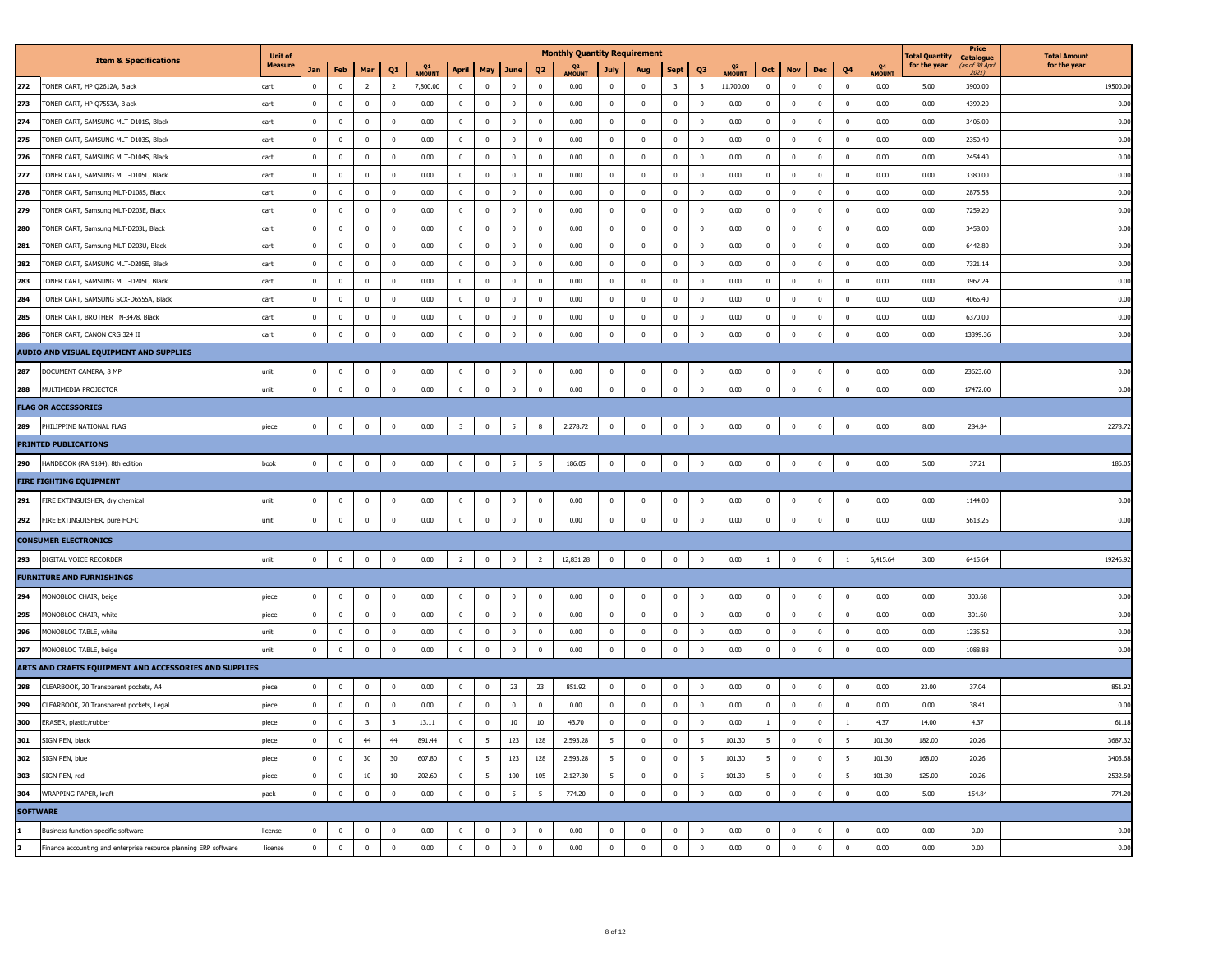|                 |                                                                  | <b>Unit of</b> |              |                |                         |                         |              |                         |                 |                 |                | <b>Monthly Quantity Requirement</b> |                |                         |                         |                         |                     |                         |              |             |                          |              | 'otal Quantit <sub>)</sub> | Price<br><b>Catalogue</b> | <b>Total Amount</b> |
|-----------------|------------------------------------------------------------------|----------------|--------------|----------------|-------------------------|-------------------------|--------------|-------------------------|-----------------|-----------------|----------------|-------------------------------------|----------------|-------------------------|-------------------------|-------------------------|---------------------|-------------------------|--------------|-------------|--------------------------|--------------|----------------------------|---------------------------|---------------------|
|                 | <b>Item &amp; Specifications</b>                                 | <b>Measure</b> | Jan          | Feb            | Mar                     | Q <sub>1</sub>          | Q1<br>AMOUNT | April                   | May             | June            | Q <sub>2</sub> | Q <sub>2</sub><br><b>AMOUNT</b>     | July           | Aug                     | <b>Sept</b>             | Q3                      | Q3<br><b>AMOUNT</b> | Oct                     | <b>Nov</b>   | Dec         | Q <sub>4</sub>           | Q4<br>AMOUNT | for the year               | (as of 30 April<br>2021)  | for the year        |
| 272             | TONER CART, HP Q2612A, Black                                     | cart           | $\bf{0}$     | $\mathbf{0}$   | $\overline{2}$          | $\overline{2}$          | 7,800.00     | $\overline{0}$          | $\mathbf{0}$    | $\bf{0}$        | $\overline{0}$ | 0.00                                | $\mathbf 0$    | $\bf{0}$                | $\overline{\mathbf{3}}$ | $\overline{\mathbf{3}}$ | 11,700.00           | $\overline{\mathbf{0}}$ | $\mathbf{0}$ | $\bf{0}$    | $\overline{\mathbf{0}}$  | 0.00         | 5.00                       | 3900.00                   | 19500.00            |
| 273             | TONER CART, HP Q7553A, Black                                     | cart           | $\mathbf 0$  | $\overline{0}$ | $\mathbf{0}$            | $\mathbf{0}$            | 0.00         | $\mathbf{0}$            | $\mathbf{0}$    | $\bf{0}$        | $\mathbf{0}$   | 0.00                                | $\mathbf{0}$   | $\mathbf 0$             | $\mathbf 0$             | $\mathbf 0$             | 0.00                | $\mathbf{0}$            | $\mathbf{0}$ | $\bf{0}$    | $\overline{\mathbf{0}}$  | 0.00         | 0.00                       | 4399.20                   | 0.00                |
| 274             | TONER CART, SAMSUNG MLT-D101S, Black                             | cart           | $\mathbf 0$  | $\mathbf 0$    | $\mathbf 0$             | $\overline{0}$          | 0.00         | $\mathbf 0$             | $\mathbf{0}$    | $\bf{0}$        | $\mathbf 0$    | 0.00                                | $\mathbf{0}$   | $\bf{0}$                | $\mathbf 0$             | $\,0\,$                 | 0.00                | $\overline{0}$          | $^{\circ}$   | $\bf{0}$    | $\overline{\mathbf{0}}$  | 0.00         | 0.00                       | 3406.00                   | 0.00                |
| 275             | TONER CART, SAMSUNG MLT-D103S, Black                             | cart           | $\mathbf 0$  | $\mathbb O$    | $\mathbf 0$             | $\bf{0}$                | 0.00         | $\mathbf{0}$            | $\mathbf{0}$    | $\bf{0}$        | $\bf{0}$       | 0.00                                | $\mathbf 0$    | $\mathbf{0}$            | $\bf{0}$                | $\mathbf 0$             | 0.00                | $\mathbf{0}$            | $\bf{0}$     | $\bf{0}$    | $\overline{\mathbf{0}}$  | 0.00         | 0.00                       | 2350.40                   | 0.00                |
| 276             | TONER CART, SAMSUNG MLT-D104S, Black                             | cart           | $\mathbf 0$  | $\mathbf 0$    | $\mathbf 0$             | $\overline{0}$          | 0.00         | $\mathbf 0$             | $\mathbf 0$     | $\pmb{0}$       | $\mathbf 0$    | 0.00                                | $\mathbf 0$    | $\bf{0}$                | $\bf{0}$                | $\,0\,$                 | 0.00                | $\mathbf{0}$            | $\mathbf 0$  | $\bf{0}$    | $\overline{\mathbf{0}}$  | 0.00         | 0.00                       | 2454.40                   | 0.00                |
| 277             | TONER CART, SAMSUNG MLT-D105L, Black                             | cart           | $\mathbf 0$  | $\overline{0}$ | $\mathbf 0$             | $\mathbf 0$             | 0.00         | $\mathbf 0$             | $\mathbf{0}$    | $\bf{0}$        | $\mathbf 0$    | 0.00                                | $\mathbf 0$    | $\bf{0}$                | $\mathbf 0$             | $\,0\,$                 | 0.00                | $\mathbf 0$             | $\mathbf 0$  | $\bf{0}$    | $\overline{\mathbf{0}}$  | 0.00         | 0.00                       | 3380.00                   | 0.00                |
| 278             | TONER CART, Samsung MLT-D108S, Black                             | cart           | $\mathbf 0$  | $\mathbf 0$    | $\mathbf{0}$            | $\mathbf{0}$            | 0.00         | $\mathbf{0}$            | $\mathbf{0}$    | $\bf{0}$        | $\mathbf{0}$   | 0.00                                | $\mathbf{0}$   | $\mathbf{0}$            | $\mathbf 0$             | $\mathbf 0$             | 0.00                | $\mathbf{0}$            | $\mathbf{0}$ | $\bf{0}$    | $\overline{\mathbf{0}}$  | 0.00         | 0.00                       | 2875.58                   | 0.00                |
| 279             | TONER CART, Samsung MLT-D203E, Black                             | cart           | $\mathbf 0$  | $\overline{0}$ | $\mathbf 0$             | $\overline{0}$          | 0.00         | $\mathbf 0$             | $\mathbf{0}$    | $\bf{0}$        | $\bf{0}$       | 0.00                                | $\mathbf{0}$   | $\bf{0}$                | $\mathbf 0$             | $\overline{\mathbf{0}}$ | 0.00                | $\overline{0}$          | $\mathbf{0}$ | $\bf{0}$    | $\overline{\mathbf{0}}$  | 0.00         | 0.00                       | 7259.20                   | 0.00                |
| 280             | TONER CART, Samsung MLT-D203L, Black                             | cart           | $\mathbf 0$  | $\mathbb O$    | $\mathbf{0}$            | $\mathbf 0$             | 0.00         | $\mathbf{0}$            | $\mathbf{0}$    | $\bf{0}$        | $\mathbf{0}$   | 0.00                                | $\mathbf{0}$   | $\mathbf{0}$            | $\bf{0}$                | $\overline{\mathbf{0}}$ | 0.00                | $\mathbf{0}$            | $\mathbf 0$  | $\bf{0}$    | $\Omega$                 | 0.00         | 0.00                       | 3458.00                   | 0.00                |
| 281             | TONER CART, Samsung MLT-D203U, Black                             | cart           | $\mathbf 0$  | $\mathbf 0$    | $\mathbf 0$             | $\mathbf 0$             | 0.00         | $\mathbf 0$             | $\mathbf 0$     | $\pmb{0}$       | $\mathbf 0$    | 0.00                                | $\mathbf 0$    | $\bf{0}$                | $\mathbf 0$             | $\mathbf 0$             | 0.00                | $\mathbf 0$             | $\mathbf{0}$ | $\pmb{0}$   | $\overline{0}$           | 0.00         | 0.00                       | 6442.80                   | 0.00                |
| 282             | TONER CART, SAMSUNG MLT-D205E, Black                             | cart           | $\mathbf 0$  | $\mathbf{0}$   | $\mathbf 0$             | $\mathbf 0$             | 0.00         | $\mathbf 0$             | $\mathbf 0$     | $\bf{0}$        | $\mathbf{0}$   | 0.00                                | $\mathbf 0$    | $\bf{0}$                | $\mathbf 0$             | $\,0\,$                 | 0.00                | $\mathbf 0$             | $\mathbf{0}$ | $\bf{0}$    | $\overline{\mathbf{0}}$  | 0.00         | 0.00                       | 7321.14                   | 0.00                |
| 283             | TONER CART, SAMSUNG MLT-D205L, Black                             | cart           | $\mathbf 0$  | $\mathbb O$    | $\mathbf 0$             | $\bf{0}$                | 0.00         | $\mathbf{0}$            | $\mathbf{0}$    | $\bf{0}$        | $\mathbf 0$    | 0.00                                | $\mathbf{0}$   | $\mathbf{0}$            | $\mathbf 0$             | $\mathbf 0$             | 0.00                | $\mathbf{0}$            | $\mathbf 0$  | $\bf{0}$    | $\overline{\mathbf{0}}$  | 0.00         | 0.00                       | 3962.24                   | 0.00                |
| 284             | TONER CART, SAMSUNG SCX-D6555A, Black                            | cart           | $\mathbf 0$  | $\mathbf{0}$   | $\mathbf 0$             | $\mathbf 0$             | 0.00         | $\mathbf 0$             | $\mathbf{0}$    | $\bf{0}$        | $\mathbf{0}$   | 0.00                                | $\mathbf{0}$   | $\bf{0}$                | $\mathbf 0$             | $\,0\,$                 | 0.00                | $\mathbf 0$             | $^{\circ}$   | $\bf{0}$    | $\overline{\mathbf{0}}$  | 0.00         | 0.00                       | 4066.40                   | 0.00                |
| <b>285</b>      | TONER CART, BROTHER TN-3478, Black                               | cart           | $\mathbf 0$  | $\mathbb O$    | $\mathbf 0$             | $\mathbf 0$             | 0.00         | $\mathbf{0}$            | $\mathbf 0$     | $\bf{0}$        | $\mathbf{0}$   | 0.00                                | $\mathbf 0$    | $\mathbf{0}$            | $\mathbf 0$             | $\mathbf 0$             | 0.00                | $\mathbf{0}$            | $\bf{0}$     | $\mathbf 0$ | $\overline{\mathbf{0}}$  | 0.00         | 0.00                       | 6370.00                   | 0.00                |
| 286             | TONER CART, CANON CRG 324 II                                     | cart           | $\mathbf 0$  | $\overline{0}$ | $\mathbf 0$             | $\mathbf 0$             | 0.00         | $\mathbf 0$             | $\mathbf 0$     | $\mathbf 0$     | $\mathbf 0$    | 0.00                                | $\mathbf 0$    | $\mathbf 0$             | $\mathbf 0$             | $\,0\,$                 | 0.00                | $\mathbf{0}$            | $\mathbf{0}$ | $\mathbf 0$ | $\overline{0}$           | 0.00         | 0.00                       | 13399.36                  | 0.00                |
|                 | AUDIO AND VISUAL EQUIPMENT AND SUPPLIES                          |                |              |                |                         |                         |              |                         |                 |                 |                |                                     |                |                         |                         |                         |                     |                         |              |             |                          |              |                            |                           |                     |
| 287             | DOCUMENT CAMERA, 8 MP                                            | unit           | $\mathbf 0$  | $\overline{0}$ | $\mathbf 0$             | $\mathbf 0$             | 0.00         | $\mathbf 0$             | $\mathbf{0}$    | $\pmb{0}$       | $\overline{0}$ | 0.00                                | $\mathbf 0$    | $\mathbf 0$             | $\mathbf 0$             | $\,0\,$                 | 0.00                | $\mathbf{0}$            | $\mathbf{0}$ | $\pmb{0}$   | $\overline{0}$           | 0.00         | 0.00                       | 23623.60                  | 0.00                |
| 288             | MULTIMEDIA PROJECTOR                                             | unit           | $\mathbf{0}$ | $\overline{0}$ | $\mathbf 0$             | $\mathbf 0$             | 0.00         | $\mathbf 0$             | $\mathbf{0}$    | $\mathbf 0$     | $\Omega$       | 0.00                                | $\,0\,$        | $\Omega$                | $\mathbf 0$             | $\,$ 0                  | 0.00                | $\Omega$                | $\Omega$     | $\mathbf 0$ | $\overline{0}$           | 0.00         | 0.00                       | 17472.00                  | 0.00                |
|                 | <b>FLAG OR ACCESSORIES</b>                                       |                |              |                |                         |                         |              |                         |                 |                 |                |                                     |                |                         |                         |                         |                     |                         |              |             |                          |              |                            |                           |                     |
| 289             | PHILIPPINE NATIONAL FLAG                                         | piece          | $\mathbf 0$  | $\overline{0}$ | $\mathbf 0$             | $\mathbf 0$             | 0.00         | $\overline{\mathbf{3}}$ | $\mathbf 0$     | 5               |                | 2,278.72                            | $\mathbf{0}$   | $\overline{0}$          | $\mathbf 0$             | $\,$ 0                  | 0.00                | $\mathbf{0}$            | $\mathbf 0$  | $\bf{0}$    | $\overline{\mathbf{0}}$  | 0.00         | 8.00                       | 284.84                    | 2278.7              |
|                 | <b>PRINTED PUBLICATIONS</b>                                      |                |              |                |                         |                         |              |                         |                 |                 |                |                                     |                |                         |                         |                         |                     |                         |              |             |                          |              |                            |                           |                     |
| 290             | HANDBOOK (RA 9184), 8th edition                                  | book           | $\bf{0}$     | $\overline{0}$ | $\mathbf 0$             | $\mathbf 0$             | 0.00         | $\,0\,$                 | $\mathbf{0}$    | 5               | 5              | 186.05                              | $\mathbf 0$    | $\mathbf 0$             | $\mathbf 0$             | $\,$ 0                  | 0.00                | $\mathbf 0$             | $\mathbf{0}$ | $\mathbf 0$ | $\overline{\mathbf{0}}$  | 0.00         | 5.00                       | 37.21                     | 186.0               |
|                 | <b>FIRE FIGHTING EQUIPMENT</b>                                   |                |              |                |                         |                         |              |                         |                 |                 |                |                                     |                |                         |                         |                         |                     |                         |              |             |                          |              |                            |                           |                     |
| 291             | FIRE EXTINGUISHER, dry chemical                                  | unit           | $\mathbf 0$  | $\overline{0}$ | $\mathbf{0}$            | $\bf{0}$                | 0.00         | $\mathbf{0}$            | $\mathbf{0}$    | $\bf{0}$        | $\mathbf{0}$   | 0.00                                | $\mathbf{0}$   | $\mathbf 0$             | $\mathbf 0$             | $\mathbf 0$             | 0.00                | $\mathbf{0}$            | $\bf{0}$     | $\bf{0}$    | $\overline{\mathbf{0}}$  | 0.00         | 0.00                       | 1144.00                   | 0.00                |
| 292             | FIRE EXTINGUISHER, pure HCFC                                     | unit           | $\mathbf 0$  | $\mathbf 0$    | $\mathbf 0$             | $\mathbf 0$             | 0.00         | $\mathbf 0$             | $\mathbf{0}$    | $\bf{0}$        | $\mathbf 0$    | 0.00                                | $\mathbf{0}$   | $\overline{\mathbf{0}}$ | $\mathbf 0$             | $\,0\,$                 | 0.00                | $\mathbf 0$             | $\mathbf{0}$ | $\bf{0}$    | $\mathbf 0$              | 0.00         | 0.00                       | 5613.25                   | 0.00                |
|                 | <b>CONSUMER ELECTRONICS</b>                                      |                |              |                |                         |                         |              |                         |                 |                 |                |                                     |                |                         |                         |                         |                     |                         |              |             |                          |              |                            |                           |                     |
| 293             | DIGITAL VOICE RECORDER                                           | unit           | $\mathbf 0$  | $\mathbb O$    | $\mathbf 0$             | $\mathbf 0$             | 0.00         | $\overline{2}$          | $\mathbf 0$     | $\mathbf 0$     | $\overline{2}$ | 12,831.28                           | $\mathbf 0$    | $\overline{\mathbf{0}}$ | $\mathbf 0$             | $\,$ 0                  | 0.00                |                         | $\mathbf 0$  | $\bf{0}$    | 1                        | 6,415.64     | 3.00                       | 6415.64                   | 19246.9             |
|                 | <b>FURNITURE AND FURNISHINGS</b>                                 |                |              |                |                         |                         |              |                         |                 |                 |                |                                     |                |                         |                         |                         |                     |                         |              |             |                          |              |                            |                           |                     |
| 294             | MONOBLOC CHAIR, beige                                            | piece          | $\mathbf 0$  | $\Omega$       | $\mathbf{0}$            | $\mathbf 0$             | 0.00         | $\mathbf{0}$            | $^{\circ}$      | $\bf{0}$        | $\mathbf{0}$   | 0.00                                | $\mathbf 0$    | $\mathbf{0}$            | $\bf{0}$                | $\mathbf 0$             | 0.00                | $^{\circ}$              | $^{\circ}$   | $\bf{0}$    | $\overline{\mathbf{0}}$  | 0.00         | 0.00                       | 303.68                    | 0.00                |
| 295             | MONOBLOC CHAIR, white                                            | piece          | $\mathbf 0$  | $\overline{0}$ | $\mathbf 0$             | $\overline{0}$          | 0.00         | $\mathbf 0$             | $\mathbf 0$     | $\bf{0}$        | $\mathbf 0$    | 0.00                                | $\mathbf 0$    | $\mathbf{0}$            | $\bf{0}$                | $\,0\,$                 | 0.00                | $\mathbf{0}$            | $\mathbf 0$  | $\bf{0}$    | $\overline{\mathbf{0}}$  | 0.00         | 0.00                       | 301.60                    | 0.00                |
| 296             | MONOBLOC TABLE, white                                            | unit           | $\mathbf 0$  | $\mathbf{0}$   | $\mathbf 0$             | $\mathbf 0$             | 0.00         | $\overline{0}$          | $\mathbf 0$     | $\bf{0}$        | $\bf{0}$       | 0.00                                | $\overline{0}$ | $\bf{0}$                | $\mathbf 0$             | $\mathbf 0$             | 0.00                | $\mathbf{0}$            | $\mathbf{0}$ | $\bf{0}$    | $\overline{\mathbf{0}}$  | 0.00         | 0.00                       | 1235.52                   | 0.00                |
| 297             | MONOBLOC TABLE, beige                                            | unit           | $\mathbf 0$  | $\mathbf 0$    | $\mathbf{0}$            | $\mathbf 0$             | 0.00         | $\mathbf 0$             | $\mathbf{0}$    | $\mathbf 0$     | $\mathbf 0$    | 0.00                                | $\mathbf 0$    | $\mathbf 0$             | $\mathbf 0$             | $\,0\,$                 | 0.00                | $\mathbf{0}$            | $\mathbf 0$  | $\mathbf 0$ | $\overline{0}$           | 0.00         | 0.00                       | 1088.88                   | 0.00                |
|                 | ARTS AND CRAFTS EQUIPMENT AND ACCESSORIES AND SUPPLIES           |                |              |                |                         |                         |              |                         |                 |                 |                |                                     |                |                         |                         |                         |                     |                         |              |             |                          |              |                            |                           |                     |
| 298             | CLEARBOOK, 20 Transparent pockets, A4                            | piece          | $\mathbf{0}$ | $\overline{0}$ | $\mathbf 0$             | $\overline{0}$          | 0.00         | $\mathbf 0$             | $\mathbf 0$     | 23              | 23             | 851.92                              | $\mathbf{0}$   | $\bf{0}$                | $\mathbf 0$             | $\,0\,$                 | 0.00                | $\overline{0}$          | $\bf{0}$     | $\bf{0}$    | $\overline{\mathbf{0}}$  | 0.00         | 23.00                      | 37.04                     | 851.9               |
| 299             | CLEARBOOK, 20 Transparent pockets, Legal                         | piece          | $\mathbf 0$  | $\mathbf{0}$   | $\mathbf 0$             | $\overline{0}$          | 0.00         | $\mathbf 0$             | $\mathbf{0}$    | $\bf{0}$        | $\mathbf{0}$   | 0.00                                | $\mathbf{0}$   | $\bf{0}$                | $\mathbf 0$             | $\,0\,$                 | 0.00                | $\overline{0}$          | $^{\circ}$   | $\bf{0}$    | $\overline{\mathbf{0}}$  | 0.00         | 0.00                       | 38.41                     | 0.00                |
| 300             | ERASER, plastic/rubber                                           | piece          | $\mathbf 0$  | $\mathbf 0$    | $\overline{\mathbf{3}}$ | $\overline{\mathbf{3}}$ | 13.11        | $\mathbf{0}$            | $\bf{0}$        | $10\,$          | 10             | 43.70                               | $\mathbf 0$    | $\mathbf{0}$            | $\mathbf 0$             | $\bf{0}$                | 0.00                | $\mathbf{1}$            | $\bf{0}$     | $\bf{0}$    | <sup>1</sup>             | 4.37         | 14.00                      | 4.37                      | 61.18               |
| 301             | SIGN PEN, black                                                  | iece           | $\Omega$     | $^{\circ}$     | 44                      | 44                      | 891.44       | $^{\circ}$              |                 | 123             | 128            | 2,593.28                            | $\blacksquare$ | $\bf{0}$                | $\Omega$                | $\mathbf{z}$            | 101.30              |                         | $\sqrt{ }$   | $\sqrt{2}$  | $\overline{\phantom{a}}$ | 101.30       | 182.00                     | 20.26                     | 3687.3              |
| 302             | SIGN PEN, blue                                                   | piece          | $\mathbf{0}$ | $\overline{0}$ | 30                      | 30                      | 607.80       | $\mathbf{0}$            | $5\phantom{.0}$ | 123             | 128            | 2,593.28                            | 5              | $\bf{0}$                | $\bf{0}$                | $5\overline{5}$         | 101.30              | 5                       | $\bf{0}$     | $\bf{0}$    | 5                        | 101.30       | 168.00                     | 20.26                     | 3403.68             |
| 303             | SIGN PEN, red                                                    | piece          | $\bf{0}$     | $\mathbf{0}$   | 10                      | 10                      | 202.60       | $\overline{0}$          | 5               | 100             | 105            | 2,127.30                            | 5 <sup>5</sup> | $\bf{0}$                | $\bf{0}$                | $5\overline{5}$         | 101.30              | 5                       | $\bf{0}$     | $\bf{0}$    | 5                        | 101.30       | 125.00                     | 20.26                     | 2532.50             |
|                 | 304 WRAPPING PAPER, kraft                                        | pack           | $\bf{0}$     | $\overline{0}$ | $\mathbf 0$             | $\mathbf 0$             | 0.00         | $\mathbf 0$             | $\mathbf 0$     | $5\phantom{.0}$ | $5^{\circ}$    | 774.20                              | $\overline{0}$ | $\mathbf 0$             | $\overline{0}$          | $\mathbb O$             | 0.00                | $\mathbf 0$             | $\mathbf 0$  | $\mathbf 0$ | $\mathbf 0$              | 0.00         | 5.00                       | 154.84                    | 774.20              |
| <b>SOFTWARE</b> |                                                                  |                |              |                |                         |                         |              |                         |                 |                 |                |                                     |                |                         |                         |                         |                     |                         |              |             |                          |              |                            |                           |                     |
| 1               | Business function specific software                              | license        | $\mathbf{0}$ | $\overline{0}$ | $\mathbf 0$             | $\bf{0}$                | 0.00         | $\overline{0}$          | $\bf{0}$        | $\mathbf 0$     | $\bf{0}$       | 0.00                                | $\mathbf{0}$   | $\mathbf{0}$            | $\mathbf{0}$            | $\mathbb O$             | 0.00                | $\bf{0}$                | $\bf{0}$     | $\mathbf 0$ | $\overline{\mathbf{0}}$  | 0.00         | 0.00                       | 0.00                      | 0.00                |
| 2               | Finance accounting and enterprise resource planning ERP software | license        | $\mathbf{0}$ | $\mathbf{0}$   | $\mathbf 0$             | $\bf{0}$                | 0.00         | $\mathbf 0$             | $\mathbf 0$     | $\bf{0}$        | $\mathbf{0}$   | 0.00                                | $\overline{0}$ | $\mathbf{0}$            | $\mathbf{0}$            | $\overline{\mathbf{0}}$ | 0.00                | $\mathbf{0}$            | $\bf{0}$     | $\mathbf 0$ | $\mathbf{0}$             | 0.00         | 0.00                       | 0.00                      | 0.00                |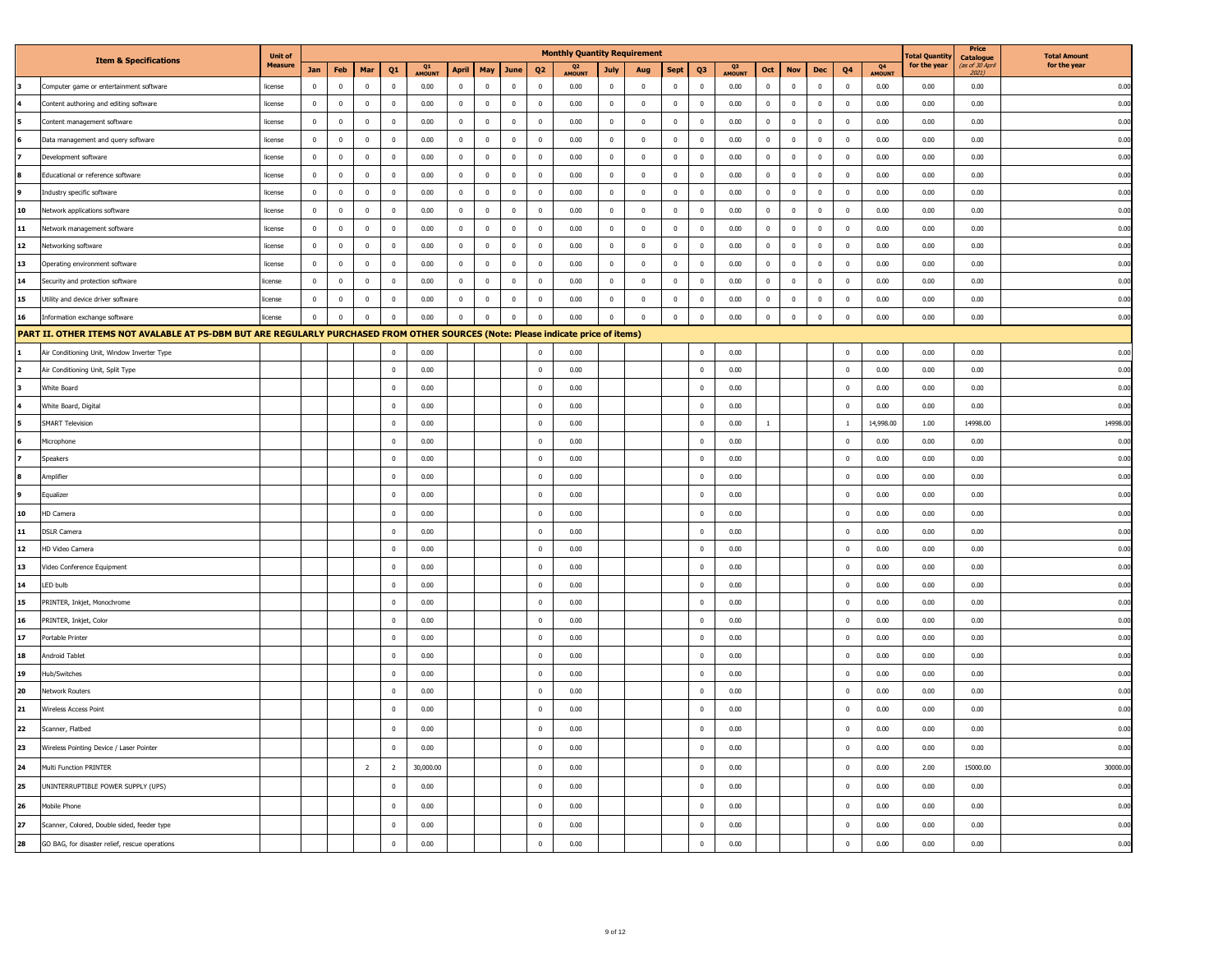| <b>Unit of</b><br>otal Quantit<br><b>Total Amount</b><br><b>Catalogue</b><br><b>Item &amp; Specifications</b><br>for the year<br>as of 30 April<br>for the year<br><b>Measure</b><br>Q3<br>MOUNT<br>Q4<br>AMOUNT<br>Q1<br>AMOUNT<br>Q <sub>2</sub><br>AMOUNT<br>Q1<br>May<br>Q3<br>Q4<br>Jan<br>Feb<br>Mar<br>April<br>June<br>Q <sub>2</sub><br><b>July</b><br><b>Sept</b><br>Oct<br><b>Nov</b><br>Dec<br>Aug<br>2021)<br>$\mathbf 0$<br>$\bf{0}$<br>0.00<br>$\mathbf 0$<br>$\mathbf 0$<br>$\Omega$<br>0.00<br>$\mathbf 0$<br>$\,$ 0 $\,$<br>$\mathbb O$<br>0.00<br>$\bf{0}$<br>$\mathbf 0$<br>$\bf{0}$<br>$\overline{\mathbf{0}}$<br>0.00<br>0.00<br>0.00<br>Computer game or entertainment software<br>license<br>$\mathbf 0$<br>$\Omega$<br>$\Omega$<br>$\mathbf{0}$<br>Content authoring and editing software<br>license<br>$\mathbf{0}$<br>$\mathbf{0}$<br>$\overline{0}$<br>$\bf{0}$<br>0.00<br>$\overline{0}$<br>$\overline{0}$<br>$\mathbf 0$<br>$\overline{0}$<br>0.00<br>$\mathbf 0$<br>$\bf{0}$<br>$\overline{0}$<br>$\overline{0}$<br>0.00<br>$\overline{0}$<br>$\mathbf{0}$<br>$\mathbf 0$<br>$\overline{\mathbf{0}}$<br>0.00<br>0.00<br>0.00<br>$\mathbf 0$<br>$\mathbb O$<br>$\mathbf 0$<br>$\mathbf 0$<br>$\mathbf 0$<br>$\mathbf 0$<br>0.00<br>$\mathbb O$<br>$\,0\,$<br>$\mathbf 0$<br>0.00<br>$\mathbf{0}$<br>$\mathbf 0$<br>$\,0\,$<br>$\mathbf 0$<br>0.00<br>$\mathbf 0$<br>$\mathbf 0$<br>$\mathbf 0$<br>0.00<br>0.00<br>0.00<br>Content management software<br>license<br>$\mathbf 0$<br>$\mathbf 0$<br>Data management and query software<br>license<br>$\mathbf{0}$<br>$\mathbf 0$<br>$\mathbf 0$<br>$\mathbf 0$<br>0.00<br>$\mathbb O$<br>$\,0\,$<br>$\mathbf 0$<br>0.00<br>$\mathbb O$<br>$\mathbf 0$<br>$\mathbf 0$<br>0.00<br>$\mathbf{0}$<br>$\mathbf 0$<br>$\mathbf 0$<br>$\overline{\mathbf{0}}$<br>0.00<br>0.00<br>0.00<br>$\mathbf 0$<br>$\mathbf 0$<br>0.00<br>$\mathbf{0}$<br>$\mathbb O$<br>0.00<br>$\mathbf{0}$<br>$\mathbf{0}$<br>$\mathbf{0}$<br>0.00<br>$\mathbf 0$<br>$\mathbf 0$<br>0.00<br>0.00<br>0.00<br>$\overline{0}$<br>$\overline{0}$<br>$\overline{0}$<br>$\overline{\mathbf{0}}$<br>$\mathbf{0}$<br>$\overline{0}$<br>$\overline{\mathbf{0}}$<br>Development software<br>license<br>Educational or reference software<br>$\mathbf 0$<br>$\mathbf 0$<br>$\mathbf 0$<br>$\mathbf 0$<br>0.00<br>$\mathbf 0$<br>$\mathbf 0$<br>$\mathbf 0$<br>$\mathbb O$<br>0.00<br>$\mathbf 0$<br>$\mathbf 0$<br>$\mathbf{0}$<br>$\mathbf 0$<br>0.00<br>$\mathbf 0$<br>$\mathbf 0$<br>$\mathbf 0$<br>$\mathbb O$<br>0.00<br>$0.00\,$<br>0.00<br>license<br>$\overline{0}$<br>$\Omega$<br>0.00<br>$\Omega$<br>$\Omega$<br>$\Omega$<br>$\Omega$<br>0.00<br>$\overline{0}$<br>$\Omega$<br>$\overline{0}$<br>0.00<br>$\mathbf{0}$<br>$\Omega$<br>$\Omega$<br>0.00<br>$\Omega$<br>$\overline{0}$<br>$\Omega$<br>0.00<br>0.00<br>Industry specific software<br>license<br>$\Omega$<br>10<br>Network applications software<br>$\mathbf 0$<br>$\mathbf 0$<br>$\mathbf{0}$<br>$\bf{0}$<br>0.00<br>$\mathbf{0}$<br>$\bf{0}$<br>$\,0\,$<br>$\mathbf{0}$<br>0.00<br>$\mathbf{0}$<br>$\bf{0}$<br>$\bf{0}$<br>$\mathbf 0$<br>0.00<br>$\mathbf 0$<br>$\bf{0}$<br>$\bf{0}$<br>$\overline{\mathbf{0}}$<br>0.00<br>0.00<br>0.00<br>license<br>11<br>$\Omega$<br>Network management software<br>license<br>$\Omega$<br>$\mathbf 0$<br>$\Omega$<br>$\overline{\mathbf{0}}$<br>0.00<br>$\overline{0}$<br>$\Omega$<br>$\mathbf 0$<br>0.00<br>$\overline{\mathbf{0}}$<br>$\mathbf 0$<br>$\Omega$<br>$\Omega$<br>0.00<br>$\Omega$<br>$\Omega$<br>$\mathbf{0}$<br>$\Omega$<br>0.00<br>0.00<br>0.00<br>12<br>$\mathbf 0$<br>$\mathbf 0$<br>$\mathbf 0$<br>$\mathbf 0$<br>$\mathbf 0$<br>$\mathbf 0$<br>$\mathbf 0$<br>0.00<br>Vetworking software<br>$\mathbf 0$<br>$\mathbf 0$<br>0.00<br>$\mathbf 0$<br>$\mathbf 0$<br>0.00<br>$\mathbf 0$<br>$\,0\,$<br>0.00<br>$\mathbf{0}$<br>$\mathbf 0$<br>$\overline{\mathbf{0}}$<br>0.00<br>0.00<br>license<br>13<br>$\mathbf 0$<br>Operating environment software<br>license<br>$\mathbf 0$<br>$\mathbf 0$<br>$\mathbf 0$<br>$\mathbf 0$<br>0.00<br>$\mathbb O$<br>$\,0\,$<br>$\mathbf 0$<br>0.00<br>$\mathbf{0}$<br>$\mathbf 0$<br>$\bf{0}$<br>$\overline{0}$<br>0.00<br>$\overline{0}$<br>$\mathbf 0$<br>$\mathbf 0$<br>$\,$ 0<br>0.00<br>0.00<br>0.00<br>14<br>$\mathbf 0$<br>$\mathbf 0$<br>$\mathbf 0$<br>0.00<br>$\mathbb O$<br>$\mathbf 0$<br>$\mathbf 0$<br>0.00<br>$\mathbb O$<br>$\mathbf 0$<br>0.00<br>$\mathbf 0$<br>0.00<br>0.00<br>0.00<br>$\mathbf 0$<br>$\overline{0}$<br>$\mathbf{0}$<br>$\overline{0}$<br>$\mathbf{0}$<br>$\mathbf{0}$<br>$\overline{\mathbf{0}}$<br>Security and protection software<br>icense |
|--------------------------------------------------------------------------------------------------------------------------------------------------------------------------------------------------------------------------------------------------------------------------------------------------------------------------------------------------------------------------------------------------------------------------------------------------------------------------------------------------------------------------------------------------------------------------------------------------------------------------------------------------------------------------------------------------------------------------------------------------------------------------------------------------------------------------------------------------------------------------------------------------------------------------------------------------------------------------------------------------------------------------------------------------------------------------------------------------------------------------------------------------------------------------------------------------------------------------------------------------------------------------------------------------------------------------------------------------------------------------------------------------------------------------------------------------------------------------------------------------------------------------------------------------------------------------------------------------------------------------------------------------------------------------------------------------------------------------------------------------------------------------------------------------------------------------------------------------------------------------------------------------------------------------------------------------------------------------------------------------------------------------------------------------------------------------------------------------------------------------------------------------------------------------------------------------------------------------------------------------------------------------------------------------------------------------------------------------------------------------------------------------------------------------------------------------------------------------------------------------------------------------------------------------------------------------------------------------------------------------------------------------------------------------------------------------------------------------------------------------------------------------------------------------------------------------------------------------------------------------------------------------------------------------------------------------------------------------------------------------------------------------------------------------------------------------------------------------------------------------------------------------------------------------------------------------------------------------------------------------------------------------------------------------------------------------------------------------------------------------------------------------------------------------------------------------------------------------------------------------------------------------------------------------------------------------------------------------------------------------------------------------------------------------------------------------------------------------------------------------------------------------------------------------------------------------------------------------------------------------------------------------------------------------------------------------------------------------------------------------------------------------------------------------------------------------------------------------------------------------------------------------------------------------------------------------------------------------------------------------------------------------------------------------------------------------------------------------------------------------------------------------------------------------------------------------------------------------------------------------------------------------------------------------------------------------------------------------------------------------------------------------------------------------------------|
|                                                                                                                                                                                                                                                                                                                                                                                                                                                                                                                                                                                                                                                                                                                                                                                                                                                                                                                                                                                                                                                                                                                                                                                                                                                                                                                                                                                                                                                                                                                                                                                                                                                                                                                                                                                                                                                                                                                                                                                                                                                                                                                                                                                                                                                                                                                                                                                                                                                                                                                                                                                                                                                                                                                                                                                                                                                                                                                                                                                                                                                                                                                                                                                                                                                                                                                                                                                                                                                                                                                                                                                                                                                                                                                                                                                                                                                                                                                                                                                                                                                                                                                                                                                                                                                                                                                                                                                                                                                                                                                                                                                                                                                                                      |
|                                                                                                                                                                                                                                                                                                                                                                                                                                                                                                                                                                                                                                                                                                                                                                                                                                                                                                                                                                                                                                                                                                                                                                                                                                                                                                                                                                                                                                                                                                                                                                                                                                                                                                                                                                                                                                                                                                                                                                                                                                                                                                                                                                                                                                                                                                                                                                                                                                                                                                                                                                                                                                                                                                                                                                                                                                                                                                                                                                                                                                                                                                                                                                                                                                                                                                                                                                                                                                                                                                                                                                                                                                                                                                                                                                                                                                                                                                                                                                                                                                                                                                                                                                                                                                                                                                                                                                                                                                                                                                                                                                                                                                                                                      |
|                                                                                                                                                                                                                                                                                                                                                                                                                                                                                                                                                                                                                                                                                                                                                                                                                                                                                                                                                                                                                                                                                                                                                                                                                                                                                                                                                                                                                                                                                                                                                                                                                                                                                                                                                                                                                                                                                                                                                                                                                                                                                                                                                                                                                                                                                                                                                                                                                                                                                                                                                                                                                                                                                                                                                                                                                                                                                                                                                                                                                                                                                                                                                                                                                                                                                                                                                                                                                                                                                                                                                                                                                                                                                                                                                                                                                                                                                                                                                                                                                                                                                                                                                                                                                                                                                                                                                                                                                                                                                                                                                                                                                                                                                      |
|                                                                                                                                                                                                                                                                                                                                                                                                                                                                                                                                                                                                                                                                                                                                                                                                                                                                                                                                                                                                                                                                                                                                                                                                                                                                                                                                                                                                                                                                                                                                                                                                                                                                                                                                                                                                                                                                                                                                                                                                                                                                                                                                                                                                                                                                                                                                                                                                                                                                                                                                                                                                                                                                                                                                                                                                                                                                                                                                                                                                                                                                                                                                                                                                                                                                                                                                                                                                                                                                                                                                                                                                                                                                                                                                                                                                                                                                                                                                                                                                                                                                                                                                                                                                                                                                                                                                                                                                                                                                                                                                                                                                                                                                                      |
|                                                                                                                                                                                                                                                                                                                                                                                                                                                                                                                                                                                                                                                                                                                                                                                                                                                                                                                                                                                                                                                                                                                                                                                                                                                                                                                                                                                                                                                                                                                                                                                                                                                                                                                                                                                                                                                                                                                                                                                                                                                                                                                                                                                                                                                                                                                                                                                                                                                                                                                                                                                                                                                                                                                                                                                                                                                                                                                                                                                                                                                                                                                                                                                                                                                                                                                                                                                                                                                                                                                                                                                                                                                                                                                                                                                                                                                                                                                                                                                                                                                                                                                                                                                                                                                                                                                                                                                                                                                                                                                                                                                                                                                                                      |
|                                                                                                                                                                                                                                                                                                                                                                                                                                                                                                                                                                                                                                                                                                                                                                                                                                                                                                                                                                                                                                                                                                                                                                                                                                                                                                                                                                                                                                                                                                                                                                                                                                                                                                                                                                                                                                                                                                                                                                                                                                                                                                                                                                                                                                                                                                                                                                                                                                                                                                                                                                                                                                                                                                                                                                                                                                                                                                                                                                                                                                                                                                                                                                                                                                                                                                                                                                                                                                                                                                                                                                                                                                                                                                                                                                                                                                                                                                                                                                                                                                                                                                                                                                                                                                                                                                                                                                                                                                                                                                                                                                                                                                                                                      |
|                                                                                                                                                                                                                                                                                                                                                                                                                                                                                                                                                                                                                                                                                                                                                                                                                                                                                                                                                                                                                                                                                                                                                                                                                                                                                                                                                                                                                                                                                                                                                                                                                                                                                                                                                                                                                                                                                                                                                                                                                                                                                                                                                                                                                                                                                                                                                                                                                                                                                                                                                                                                                                                                                                                                                                                                                                                                                                                                                                                                                                                                                                                                                                                                                                                                                                                                                                                                                                                                                                                                                                                                                                                                                                                                                                                                                                                                                                                                                                                                                                                                                                                                                                                                                                                                                                                                                                                                                                                                                                                                                                                                                                                                                      |
|                                                                                                                                                                                                                                                                                                                                                                                                                                                                                                                                                                                                                                                                                                                                                                                                                                                                                                                                                                                                                                                                                                                                                                                                                                                                                                                                                                                                                                                                                                                                                                                                                                                                                                                                                                                                                                                                                                                                                                                                                                                                                                                                                                                                                                                                                                                                                                                                                                                                                                                                                                                                                                                                                                                                                                                                                                                                                                                                                                                                                                                                                                                                                                                                                                                                                                                                                                                                                                                                                                                                                                                                                                                                                                                                                                                                                                                                                                                                                                                                                                                                                                                                                                                                                                                                                                                                                                                                                                                                                                                                                                                                                                                                                      |
|                                                                                                                                                                                                                                                                                                                                                                                                                                                                                                                                                                                                                                                                                                                                                                                                                                                                                                                                                                                                                                                                                                                                                                                                                                                                                                                                                                                                                                                                                                                                                                                                                                                                                                                                                                                                                                                                                                                                                                                                                                                                                                                                                                                                                                                                                                                                                                                                                                                                                                                                                                                                                                                                                                                                                                                                                                                                                                                                                                                                                                                                                                                                                                                                                                                                                                                                                                                                                                                                                                                                                                                                                                                                                                                                                                                                                                                                                                                                                                                                                                                                                                                                                                                                                                                                                                                                                                                                                                                                                                                                                                                                                                                                                      |
|                                                                                                                                                                                                                                                                                                                                                                                                                                                                                                                                                                                                                                                                                                                                                                                                                                                                                                                                                                                                                                                                                                                                                                                                                                                                                                                                                                                                                                                                                                                                                                                                                                                                                                                                                                                                                                                                                                                                                                                                                                                                                                                                                                                                                                                                                                                                                                                                                                                                                                                                                                                                                                                                                                                                                                                                                                                                                                                                                                                                                                                                                                                                                                                                                                                                                                                                                                                                                                                                                                                                                                                                                                                                                                                                                                                                                                                                                                                                                                                                                                                                                                                                                                                                                                                                                                                                                                                                                                                                                                                                                                                                                                                                                      |
|                                                                                                                                                                                                                                                                                                                                                                                                                                                                                                                                                                                                                                                                                                                                                                                                                                                                                                                                                                                                                                                                                                                                                                                                                                                                                                                                                                                                                                                                                                                                                                                                                                                                                                                                                                                                                                                                                                                                                                                                                                                                                                                                                                                                                                                                                                                                                                                                                                                                                                                                                                                                                                                                                                                                                                                                                                                                                                                                                                                                                                                                                                                                                                                                                                                                                                                                                                                                                                                                                                                                                                                                                                                                                                                                                                                                                                                                                                                                                                                                                                                                                                                                                                                                                                                                                                                                                                                                                                                                                                                                                                                                                                                                                      |
|                                                                                                                                                                                                                                                                                                                                                                                                                                                                                                                                                                                                                                                                                                                                                                                                                                                                                                                                                                                                                                                                                                                                                                                                                                                                                                                                                                                                                                                                                                                                                                                                                                                                                                                                                                                                                                                                                                                                                                                                                                                                                                                                                                                                                                                                                                                                                                                                                                                                                                                                                                                                                                                                                                                                                                                                                                                                                                                                                                                                                                                                                                                                                                                                                                                                                                                                                                                                                                                                                                                                                                                                                                                                                                                                                                                                                                                                                                                                                                                                                                                                                                                                                                                                                                                                                                                                                                                                                                                                                                                                                                                                                                                                                      |
|                                                                                                                                                                                                                                                                                                                                                                                                                                                                                                                                                                                                                                                                                                                                                                                                                                                                                                                                                                                                                                                                                                                                                                                                                                                                                                                                                                                                                                                                                                                                                                                                                                                                                                                                                                                                                                                                                                                                                                                                                                                                                                                                                                                                                                                                                                                                                                                                                                                                                                                                                                                                                                                                                                                                                                                                                                                                                                                                                                                                                                                                                                                                                                                                                                                                                                                                                                                                                                                                                                                                                                                                                                                                                                                                                                                                                                                                                                                                                                                                                                                                                                                                                                                                                                                                                                                                                                                                                                                                                                                                                                                                                                                                                      |
| 15<br>$\,0\,$<br>$\bf{0}$<br>Utility and device driver software<br>icense<br>$\bf{0}$<br>$\mathbf{0}$<br>$\overline{0}$<br>$\overline{0}$<br>0.00<br>$\bf{0}$<br>$\overline{0}$<br>$\mathbf 0$<br>0.00<br>$\bf{0}$<br>$\bf{0}$<br>$\overline{0}$<br>0.00<br>$\overline{0}$<br>$\bf{0}$<br>$\bf{0}$<br>$\overline{\mathbf{0}}$<br>0.00<br>0.00<br>0.00                                                                                                                                                                                                                                                                                                                                                                                                                                                                                                                                                                                                                                                                                                                                                                                                                                                                                                                                                                                                                                                                                                                                                                                                                                                                                                                                                                                                                                                                                                                                                                                                                                                                                                                                                                                                                                                                                                                                                                                                                                                                                                                                                                                                                                                                                                                                                                                                                                                                                                                                                                                                                                                                                                                                                                                                                                                                                                                                                                                                                                                                                                                                                                                                                                                                                                                                                                                                                                                                                                                                                                                                                                                                                                                                                                                                                                                                                                                                                                                                                                                                                                                                                                                                                                                                                                                                |
| 16<br>$\mathbf 0$<br>$\mathbf 0$<br>$\mathbf 0$<br>$\mathbf 0$<br>$\mathbf 0$<br>0.00<br>$\mathbf 0$<br>$\mathbf 0$<br>$\,$ 0<br>0.00<br>$\mathbf 0$<br>$\mathbf 0$<br>$\mathbf 0$<br>0.00<br>$\mathbb O$<br>$\mathbf 0$<br>0.00<br>$\mathbf{0}$<br>$\Omega$<br>$\Omega$<br>0.00<br>0.00<br>Information exchange software<br>license                                                                                                                                                                                                                                                                                                                                                                                                                                                                                                                                                                                                                                                                                                                                                                                                                                                                                                                                                                                                                                                                                                                                                                                                                                                                                                                                                                                                                                                                                                                                                                                                                                                                                                                                                                                                                                                                                                                                                                                                                                                                                                                                                                                                                                                                                                                                                                                                                                                                                                                                                                                                                                                                                                                                                                                                                                                                                                                                                                                                                                                                                                                                                                                                                                                                                                                                                                                                                                                                                                                                                                                                                                                                                                                                                                                                                                                                                                                                                                                                                                                                                                                                                                                                                                                                                                                                                 |
| PART II. OTHER ITEMS NOT AVALABLE AT PS-DBM BUT ARE REGULARLY PURCHASED FROM OTHER SOURCES (Note: Please indicate price of items)                                                                                                                                                                                                                                                                                                                                                                                                                                                                                                                                                                                                                                                                                                                                                                                                                                                                                                                                                                                                                                                                                                                                                                                                                                                                                                                                                                                                                                                                                                                                                                                                                                                                                                                                                                                                                                                                                                                                                                                                                                                                                                                                                                                                                                                                                                                                                                                                                                                                                                                                                                                                                                                                                                                                                                                                                                                                                                                                                                                                                                                                                                                                                                                                                                                                                                                                                                                                                                                                                                                                                                                                                                                                                                                                                                                                                                                                                                                                                                                                                                                                                                                                                                                                                                                                                                                                                                                                                                                                                                                                                    |
| 0.00<br>$\overline{0}$<br>0.00<br>0.00<br>0.00<br>0.00<br>Air Conditioning Unit, Window Inverter Type<br>$\overline{\mathbf{0}}$<br>$\overline{0}$<br>$\Omega$<br>0.00                                                                                                                                                                                                                                                                                                                                                                                                                                                                                                                                                                                                                                                                                                                                                                                                                                                                                                                                                                                                                                                                                                                                                                                                                                                                                                                                                                                                                                                                                                                                                                                                                                                                                                                                                                                                                                                                                                                                                                                                                                                                                                                                                                                                                                                                                                                                                                                                                                                                                                                                                                                                                                                                                                                                                                                                                                                                                                                                                                                                                                                                                                                                                                                                                                                                                                                                                                                                                                                                                                                                                                                                                                                                                                                                                                                                                                                                                                                                                                                                                                                                                                                                                                                                                                                                                                                                                                                                                                                                                                               |
| $\mathbf 0$<br>0.00<br>$\mathbf 0$<br>0.00<br>$\mathbf 0$<br>0.00<br>$\,$ 0<br>0.00<br>0.00<br>Air Conditioning Unit, Split Type<br>0.00                                                                                                                                                                                                                                                                                                                                                                                                                                                                                                                                                                                                                                                                                                                                                                                                                                                                                                                                                                                                                                                                                                                                                                                                                                                                                                                                                                                                                                                                                                                                                                                                                                                                                                                                                                                                                                                                                                                                                                                                                                                                                                                                                                                                                                                                                                                                                                                                                                                                                                                                                                                                                                                                                                                                                                                                                                                                                                                                                                                                                                                                                                                                                                                                                                                                                                                                                                                                                                                                                                                                                                                                                                                                                                                                                                                                                                                                                                                                                                                                                                                                                                                                                                                                                                                                                                                                                                                                                                                                                                                                             |
| White Board<br>$\overline{0}$<br>0.00<br>$\overline{0}$<br>0.00<br>$^{\circ}$<br>0.00<br>$\overline{\mathbf{0}}$<br>0.00<br>0.00<br>0.00                                                                                                                                                                                                                                                                                                                                                                                                                                                                                                                                                                                                                                                                                                                                                                                                                                                                                                                                                                                                                                                                                                                                                                                                                                                                                                                                                                                                                                                                                                                                                                                                                                                                                                                                                                                                                                                                                                                                                                                                                                                                                                                                                                                                                                                                                                                                                                                                                                                                                                                                                                                                                                                                                                                                                                                                                                                                                                                                                                                                                                                                                                                                                                                                                                                                                                                                                                                                                                                                                                                                                                                                                                                                                                                                                                                                                                                                                                                                                                                                                                                                                                                                                                                                                                                                                                                                                                                                                                                                                                                                             |
| White Board, Digital<br>$\bf{0}$<br>0.00<br>$\mathbf 0$<br>0.00<br>$\mathbf 0$<br>0.00<br>$\overline{\mathbf{0}}$<br>0.00<br>0.00<br>0.00                                                                                                                                                                                                                                                                                                                                                                                                                                                                                                                                                                                                                                                                                                                                                                                                                                                                                                                                                                                                                                                                                                                                                                                                                                                                                                                                                                                                                                                                                                                                                                                                                                                                                                                                                                                                                                                                                                                                                                                                                                                                                                                                                                                                                                                                                                                                                                                                                                                                                                                                                                                                                                                                                                                                                                                                                                                                                                                                                                                                                                                                                                                                                                                                                                                                                                                                                                                                                                                                                                                                                                                                                                                                                                                                                                                                                                                                                                                                                                                                                                                                                                                                                                                                                                                                                                                                                                                                                                                                                                                                            |
| $\mathbf 0$<br>$\mathbf 0$<br>14998.0<br><b>SMART Television</b><br>0.00<br>0.00<br>$\overline{0}$<br>0.00<br>$\overline{1}$<br>$\overline{1}$<br>14,998.00<br>1.00<br>14998.00                                                                                                                                                                                                                                                                                                                                                                                                                                                                                                                                                                                                                                                                                                                                                                                                                                                                                                                                                                                                                                                                                                                                                                                                                                                                                                                                                                                                                                                                                                                                                                                                                                                                                                                                                                                                                                                                                                                                                                                                                                                                                                                                                                                                                                                                                                                                                                                                                                                                                                                                                                                                                                                                                                                                                                                                                                                                                                                                                                                                                                                                                                                                                                                                                                                                                                                                                                                                                                                                                                                                                                                                                                                                                                                                                                                                                                                                                                                                                                                                                                                                                                                                                                                                                                                                                                                                                                                                                                                                                                      |
| $\mathbb O$<br>0.00<br>$\overline{0}$<br>0.00<br>0.00<br>$\mathbf{0}$<br>$\overline{\mathbf{0}}$<br>0.00<br>0.00<br>0.00<br>Microphone                                                                                                                                                                                                                                                                                                                                                                                                                                                                                                                                                                                                                                                                                                                                                                                                                                                                                                                                                                                                                                                                                                                                                                                                                                                                                                                                                                                                                                                                                                                                                                                                                                                                                                                                                                                                                                                                                                                                                                                                                                                                                                                                                                                                                                                                                                                                                                                                                                                                                                                                                                                                                                                                                                                                                                                                                                                                                                                                                                                                                                                                                                                                                                                                                                                                                                                                                                                                                                                                                                                                                                                                                                                                                                                                                                                                                                                                                                                                                                                                                                                                                                                                                                                                                                                                                                                                                                                                                                                                                                                                               |
| $\mathbf 0$<br>Speakers<br>$\mathbf 0$<br>0.00<br>0.00<br>$\mathbf 0$<br>0.00<br>$\,$ 0<br>0.00<br>0.00<br>0.00                                                                                                                                                                                                                                                                                                                                                                                                                                                                                                                                                                                                                                                                                                                                                                                                                                                                                                                                                                                                                                                                                                                                                                                                                                                                                                                                                                                                                                                                                                                                                                                                                                                                                                                                                                                                                                                                                                                                                                                                                                                                                                                                                                                                                                                                                                                                                                                                                                                                                                                                                                                                                                                                                                                                                                                                                                                                                                                                                                                                                                                                                                                                                                                                                                                                                                                                                                                                                                                                                                                                                                                                                                                                                                                                                                                                                                                                                                                                                                                                                                                                                                                                                                                                                                                                                                                                                                                                                                                                                                                                                                      |
| $\Omega$<br>8<br>$\Omega$<br>0.00<br>0.00<br>0.00<br>0.00<br>0.00<br>0.00<br>Amplifier<br>$^{\circ}$<br>$\Omega$                                                                                                                                                                                                                                                                                                                                                                                                                                                                                                                                                                                                                                                                                                                                                                                                                                                                                                                                                                                                                                                                                                                                                                                                                                                                                                                                                                                                                                                                                                                                                                                                                                                                                                                                                                                                                                                                                                                                                                                                                                                                                                                                                                                                                                                                                                                                                                                                                                                                                                                                                                                                                                                                                                                                                                                                                                                                                                                                                                                                                                                                                                                                                                                                                                                                                                                                                                                                                                                                                                                                                                                                                                                                                                                                                                                                                                                                                                                                                                                                                                                                                                                                                                                                                                                                                                                                                                                                                                                                                                                                                                     |
| $\mathbf 0$<br>Equalizer<br>$\bf{0}$<br>0.00<br>0.00<br>$\mathbf 0$<br>0.00<br>$\overline{\mathbf{0}}$<br>0.00<br>0.00<br>0.00                                                                                                                                                                                                                                                                                                                                                                                                                                                                                                                                                                                                                                                                                                                                                                                                                                                                                                                                                                                                                                                                                                                                                                                                                                                                                                                                                                                                                                                                                                                                                                                                                                                                                                                                                                                                                                                                                                                                                                                                                                                                                                                                                                                                                                                                                                                                                                                                                                                                                                                                                                                                                                                                                                                                                                                                                                                                                                                                                                                                                                                                                                                                                                                                                                                                                                                                                                                                                                                                                                                                                                                                                                                                                                                                                                                                                                                                                                                                                                                                                                                                                                                                                                                                                                                                                                                                                                                                                                                                                                                                                       |
| 10<br>$\mathbf 0$<br>$\mathbf 0$<br>$\,$ 0<br>0.00<br>HD Camera<br>0.00<br>0.00<br>$\,0\,$<br>0.00<br>0.00<br>0.00                                                                                                                                                                                                                                                                                                                                                                                                                                                                                                                                                                                                                                                                                                                                                                                                                                                                                                                                                                                                                                                                                                                                                                                                                                                                                                                                                                                                                                                                                                                                                                                                                                                                                                                                                                                                                                                                                                                                                                                                                                                                                                                                                                                                                                                                                                                                                                                                                                                                                                                                                                                                                                                                                                                                                                                                                                                                                                                                                                                                                                                                                                                                                                                                                                                                                                                                                                                                                                                                                                                                                                                                                                                                                                                                                                                                                                                                                                                                                                                                                                                                                                                                                                                                                                                                                                                                                                                                                                                                                                                                                                   |
| 11<br><b>DSLR Camera</b><br>$\mathbf 0$<br>0.00<br>$\,0\,$<br>0.00<br>$\,0\,$<br>0.00<br>$\,$ 0<br>0.00<br>0.00<br>0.00                                                                                                                                                                                                                                                                                                                                                                                                                                                                                                                                                                                                                                                                                                                                                                                                                                                                                                                                                                                                                                                                                                                                                                                                                                                                                                                                                                                                                                                                                                                                                                                                                                                                                                                                                                                                                                                                                                                                                                                                                                                                                                                                                                                                                                                                                                                                                                                                                                                                                                                                                                                                                                                                                                                                                                                                                                                                                                                                                                                                                                                                                                                                                                                                                                                                                                                                                                                                                                                                                                                                                                                                                                                                                                                                                                                                                                                                                                                                                                                                                                                                                                                                                                                                                                                                                                                                                                                                                                                                                                                                                              |
| 12<br>0.00<br>$\mathbf 0$<br>0.00<br>$\mathbf 0$<br>0.00<br>$\,$ 0<br>0.00<br>0.00<br>0.00<br>HD Video Camera<br>$\overline{0}$                                                                                                                                                                                                                                                                                                                                                                                                                                                                                                                                                                                                                                                                                                                                                                                                                                                                                                                                                                                                                                                                                                                                                                                                                                                                                                                                                                                                                                                                                                                                                                                                                                                                                                                                                                                                                                                                                                                                                                                                                                                                                                                                                                                                                                                                                                                                                                                                                                                                                                                                                                                                                                                                                                                                                                                                                                                                                                                                                                                                                                                                                                                                                                                                                                                                                                                                                                                                                                                                                                                                                                                                                                                                                                                                                                                                                                                                                                                                                                                                                                                                                                                                                                                                                                                                                                                                                                                                                                                                                                                                                      |
| 13<br>$\bf{0}$<br>Video Conference Equipment<br>$\overline{0}$<br>0.00<br>0.00<br>$\overline{0}$<br>0.00<br>$\overline{\mathbf{0}}$<br>0.00<br>0.00<br>0.00                                                                                                                                                                                                                                                                                                                                                                                                                                                                                                                                                                                                                                                                                                                                                                                                                                                                                                                                                                                                                                                                                                                                                                                                                                                                                                                                                                                                                                                                                                                                                                                                                                                                                                                                                                                                                                                                                                                                                                                                                                                                                                                                                                                                                                                                                                                                                                                                                                                                                                                                                                                                                                                                                                                                                                                                                                                                                                                                                                                                                                                                                                                                                                                                                                                                                                                                                                                                                                                                                                                                                                                                                                                                                                                                                                                                                                                                                                                                                                                                                                                                                                                                                                                                                                                                                                                                                                                                                                                                                                                          |
| 14<br>$\mathbf{0}$<br>I FD bulb<br>$\overline{0}$<br>0.00<br>0.00<br>0.00<br>$\Omega$<br>0.00<br>0.00<br>0.00<br>$\Omega$                                                                                                                                                                                                                                                                                                                                                                                                                                                                                                                                                                                                                                                                                                                                                                                                                                                                                                                                                                                                                                                                                                                                                                                                                                                                                                                                                                                                                                                                                                                                                                                                                                                                                                                                                                                                                                                                                                                                                                                                                                                                                                                                                                                                                                                                                                                                                                                                                                                                                                                                                                                                                                                                                                                                                                                                                                                                                                                                                                                                                                                                                                                                                                                                                                                                                                                                                                                                                                                                                                                                                                                                                                                                                                                                                                                                                                                                                                                                                                                                                                                                                                                                                                                                                                                                                                                                                                                                                                                                                                                                                            |
| $\mathbf 0$<br>15<br>PRINTER, Inkjet, Monochrome<br>$\mathbf 0$<br>0.00<br>0.00<br>$\,0\,$<br>0.00<br>$\,$ 0<br>0.00<br>0.00<br>0.00                                                                                                                                                                                                                                                                                                                                                                                                                                                                                                                                                                                                                                                                                                                                                                                                                                                                                                                                                                                                                                                                                                                                                                                                                                                                                                                                                                                                                                                                                                                                                                                                                                                                                                                                                                                                                                                                                                                                                                                                                                                                                                                                                                                                                                                                                                                                                                                                                                                                                                                                                                                                                                                                                                                                                                                                                                                                                                                                                                                                                                                                                                                                                                                                                                                                                                                                                                                                                                                                                                                                                                                                                                                                                                                                                                                                                                                                                                                                                                                                                                                                                                                                                                                                                                                                                                                                                                                                                                                                                                                                                 |
| 16<br>$\mathbb O$<br>0.00<br>$\overline{\mathbf{0}}$<br>0.00<br>PRINTER, Inkjet, Color<br>$\overline{0}$<br>0.00<br>0.00<br>$\mathbf{0}$<br>0.00<br>0.00                                                                                                                                                                                                                                                                                                                                                                                                                                                                                                                                                                                                                                                                                                                                                                                                                                                                                                                                                                                                                                                                                                                                                                                                                                                                                                                                                                                                                                                                                                                                                                                                                                                                                                                                                                                                                                                                                                                                                                                                                                                                                                                                                                                                                                                                                                                                                                                                                                                                                                                                                                                                                                                                                                                                                                                                                                                                                                                                                                                                                                                                                                                                                                                                                                                                                                                                                                                                                                                                                                                                                                                                                                                                                                                                                                                                                                                                                                                                                                                                                                                                                                                                                                                                                                                                                                                                                                                                                                                                                                                             |
| 17<br>$\mathbf 0$<br>$\mathbf 0$<br>$\mathbf{0}$<br>0.00<br>$\,$ 0<br>0.00<br>Portable Printer<br>0.00<br>0.00<br>0.00<br>0.00                                                                                                                                                                                                                                                                                                                                                                                                                                                                                                                                                                                                                                                                                                                                                                                                                                                                                                                                                                                                                                                                                                                                                                                                                                                                                                                                                                                                                                                                                                                                                                                                                                                                                                                                                                                                                                                                                                                                                                                                                                                                                                                                                                                                                                                                                                                                                                                                                                                                                                                                                                                                                                                                                                                                                                                                                                                                                                                                                                                                                                                                                                                                                                                                                                                                                                                                                                                                                                                                                                                                                                                                                                                                                                                                                                                                                                                                                                                                                                                                                                                                                                                                                                                                                                                                                                                                                                                                                                                                                                                                                       |
| 18<br>Android Tablet<br>0.00<br>$\overline{0}$<br>0.00<br>0.00<br>0.00<br>0.00<br>0.00<br>$\overline{0}$<br>$\overline{0}$<br>$\Omega$                                                                                                                                                                                                                                                                                                                                                                                                                                                                                                                                                                                                                                                                                                                                                                                                                                                                                                                                                                                                                                                                                                                                                                                                                                                                                                                                                                                                                                                                                                                                                                                                                                                                                                                                                                                                                                                                                                                                                                                                                                                                                                                                                                                                                                                                                                                                                                                                                                                                                                                                                                                                                                                                                                                                                                                                                                                                                                                                                                                                                                                                                                                                                                                                                                                                                                                                                                                                                                                                                                                                                                                                                                                                                                                                                                                                                                                                                                                                                                                                                                                                                                                                                                                                                                                                                                                                                                                                                                                                                                                                               |
| 19<br>$\mathbf 0$<br>Hub/Switches<br>$\bf{0}$<br>0.00<br>0.00<br>$\mathbf 0$<br>0.00<br>$\overline{\mathbf{0}}$<br>0.00<br>0.00<br>0.00                                                                                                                                                                                                                                                                                                                                                                                                                                                                                                                                                                                                                                                                                                                                                                                                                                                                                                                                                                                                                                                                                                                                                                                                                                                                                                                                                                                                                                                                                                                                                                                                                                                                                                                                                                                                                                                                                                                                                                                                                                                                                                                                                                                                                                                                                                                                                                                                                                                                                                                                                                                                                                                                                                                                                                                                                                                                                                                                                                                                                                                                                                                                                                                                                                                                                                                                                                                                                                                                                                                                                                                                                                                                                                                                                                                                                                                                                                                                                                                                                                                                                                                                                                                                                                                                                                                                                                                                                                                                                                                                              |
| 20<br>$\Omega$<br><b>Network Routers</b><br>$\overline{0}$<br>0.00<br>0.00<br>$\mathbf{0}$<br>0.00<br>$\Omega$<br>0.00<br>0.00<br>0.00                                                                                                                                                                                                                                                                                                                                                                                                                                                                                                                                                                                                                                                                                                                                                                                                                                                                                                                                                                                                                                                                                                                                                                                                                                                                                                                                                                                                                                                                                                                                                                                                                                                                                                                                                                                                                                                                                                                                                                                                                                                                                                                                                                                                                                                                                                                                                                                                                                                                                                                                                                                                                                                                                                                                                                                                                                                                                                                                                                                                                                                                                                                                                                                                                                                                                                                                                                                                                                                                                                                                                                                                                                                                                                                                                                                                                                                                                                                                                                                                                                                                                                                                                                                                                                                                                                                                                                                                                                                                                                                                               |
| 21<br>$\mathbf 0$<br>$\overline{0}$<br>0.00<br>0.00<br>$\mathbf{0}$<br>0.00<br>$\Omega$<br>0.00<br>0.00<br>0.00<br>Wireless Access Point                                                                                                                                                                                                                                                                                                                                                                                                                                                                                                                                                                                                                                                                                                                                                                                                                                                                                                                                                                                                                                                                                                                                                                                                                                                                                                                                                                                                                                                                                                                                                                                                                                                                                                                                                                                                                                                                                                                                                                                                                                                                                                                                                                                                                                                                                                                                                                                                                                                                                                                                                                                                                                                                                                                                                                                                                                                                                                                                                                                                                                                                                                                                                                                                                                                                                                                                                                                                                                                                                                                                                                                                                                                                                                                                                                                                                                                                                                                                                                                                                                                                                                                                                                                                                                                                                                                                                                                                                                                                                                                                             |
| 22<br>$\mathbf 0$<br>Scanner, Flatbed<br>$\overline{0}$<br>0.00<br>0.00<br>$\mathbf{0}$<br>0.00<br>$\overline{\mathbf{0}}$<br>0.00<br>0.00<br>0.00                                                                                                                                                                                                                                                                                                                                                                                                                                                                                                                                                                                                                                                                                                                                                                                                                                                                                                                                                                                                                                                                                                                                                                                                                                                                                                                                                                                                                                                                                                                                                                                                                                                                                                                                                                                                                                                                                                                                                                                                                                                                                                                                                                                                                                                                                                                                                                                                                                                                                                                                                                                                                                                                                                                                                                                                                                                                                                                                                                                                                                                                                                                                                                                                                                                                                                                                                                                                                                                                                                                                                                                                                                                                                                                                                                                                                                                                                                                                                                                                                                                                                                                                                                                                                                                                                                                                                                                                                                                                                                                                   |
| 23<br>Wireless Pointing Device / Laser Pointer<br>$\mathbf 0$<br>0.00<br>$\overline{0}$<br>0.00<br>$\,0\,$<br>0.00<br>$\,$ 0<br>0.00<br>0.00<br>0.00                                                                                                                                                                                                                                                                                                                                                                                                                                                                                                                                                                                                                                                                                                                                                                                                                                                                                                                                                                                                                                                                                                                                                                                                                                                                                                                                                                                                                                                                                                                                                                                                                                                                                                                                                                                                                                                                                                                                                                                                                                                                                                                                                                                                                                                                                                                                                                                                                                                                                                                                                                                                                                                                                                                                                                                                                                                                                                                                                                                                                                                                                                                                                                                                                                                                                                                                                                                                                                                                                                                                                                                                                                                                                                                                                                                                                                                                                                                                                                                                                                                                                                                                                                                                                                                                                                                                                                                                                                                                                                                                 |
| 24<br>Multi Function PRINTER<br>$\overline{2}$<br>$\overline{2}$<br>30,000.00<br>$\,0\,$<br>0.00<br>$\mathbf{0}$<br>0.00<br>$\,$ 0<br>0.00<br>2.00<br>15000.00<br>30000.0                                                                                                                                                                                                                                                                                                                                                                                                                                                                                                                                                                                                                                                                                                                                                                                                                                                                                                                                                                                                                                                                                                                                                                                                                                                                                                                                                                                                                                                                                                                                                                                                                                                                                                                                                                                                                                                                                                                                                                                                                                                                                                                                                                                                                                                                                                                                                                                                                                                                                                                                                                                                                                                                                                                                                                                                                                                                                                                                                                                                                                                                                                                                                                                                                                                                                                                                                                                                                                                                                                                                                                                                                                                                                                                                                                                                                                                                                                                                                                                                                                                                                                                                                                                                                                                                                                                                                                                                                                                                                                            |
| 25<br>UNINTERRUPTIBLE POWER SUPPLY (UPS)<br>$\mathbf 0$<br>0.00<br>0.00<br>$\mathbf 0$<br>0.00<br>0.00<br>$\mathbf 0$<br>$\overline{0}$<br>0.00<br>0.00                                                                                                                                                                                                                                                                                                                                                                                                                                                                                                                                                                                                                                                                                                                                                                                                                                                                                                                                                                                                                                                                                                                                                                                                                                                                                                                                                                                                                                                                                                                                                                                                                                                                                                                                                                                                                                                                                                                                                                                                                                                                                                                                                                                                                                                                                                                                                                                                                                                                                                                                                                                                                                                                                                                                                                                                                                                                                                                                                                                                                                                                                                                                                                                                                                                                                                                                                                                                                                                                                                                                                                                                                                                                                                                                                                                                                                                                                                                                                                                                                                                                                                                                                                                                                                                                                                                                                                                                                                                                                                                              |
| 26<br>Mobile Phone<br>$\mathbf 0$<br>0.00<br>$\,0\,$<br>0.00<br>$\,$ 0<br>0.00<br>$\,$ 0<br>0.00<br>0.00<br>0.00                                                                                                                                                                                                                                                                                                                                                                                                                                                                                                                                                                                                                                                                                                                                                                                                                                                                                                                                                                                                                                                                                                                                                                                                                                                                                                                                                                                                                                                                                                                                                                                                                                                                                                                                                                                                                                                                                                                                                                                                                                                                                                                                                                                                                                                                                                                                                                                                                                                                                                                                                                                                                                                                                                                                                                                                                                                                                                                                                                                                                                                                                                                                                                                                                                                                                                                                                                                                                                                                                                                                                                                                                                                                                                                                                                                                                                                                                                                                                                                                                                                                                                                                                                                                                                                                                                                                                                                                                                                                                                                                                                     |
| 27<br>$\mathbf 0$<br>0.00<br>$\mathbf 0$<br>0.00<br>$\mathbf 0$<br>0.00<br>$\mathbf 0$<br>0.00<br>0.00<br>0.00<br>Scanner, Colored, Double sided, feeder type                                                                                                                                                                                                                                                                                                                                                                                                                                                                                                                                                                                                                                                                                                                                                                                                                                                                                                                                                                                                                                                                                                                                                                                                                                                                                                                                                                                                                                                                                                                                                                                                                                                                                                                                                                                                                                                                                                                                                                                                                                                                                                                                                                                                                                                                                                                                                                                                                                                                                                                                                                                                                                                                                                                                                                                                                                                                                                                                                                                                                                                                                                                                                                                                                                                                                                                                                                                                                                                                                                                                                                                                                                                                                                                                                                                                                                                                                                                                                                                                                                                                                                                                                                                                                                                                                                                                                                                                                                                                                                                        |
| 28<br>$\mathbf 0$<br>$\mathbf 0$<br>$\mathbf 0$<br>0.00<br>$\,$ 0<br>0.00<br>GO BAG, for disaster relief, rescue operations<br>0.00<br>0.00<br>0.00<br>0.00                                                                                                                                                                                                                                                                                                                                                                                                                                                                                                                                                                                                                                                                                                                                                                                                                                                                                                                                                                                                                                                                                                                                                                                                                                                                                                                                                                                                                                                                                                                                                                                                                                                                                                                                                                                                                                                                                                                                                                                                                                                                                                                                                                                                                                                                                                                                                                                                                                                                                                                                                                                                                                                                                                                                                                                                                                                                                                                                                                                                                                                                                                                                                                                                                                                                                                                                                                                                                                                                                                                                                                                                                                                                                                                                                                                                                                                                                                                                                                                                                                                                                                                                                                                                                                                                                                                                                                                                                                                                                                                          |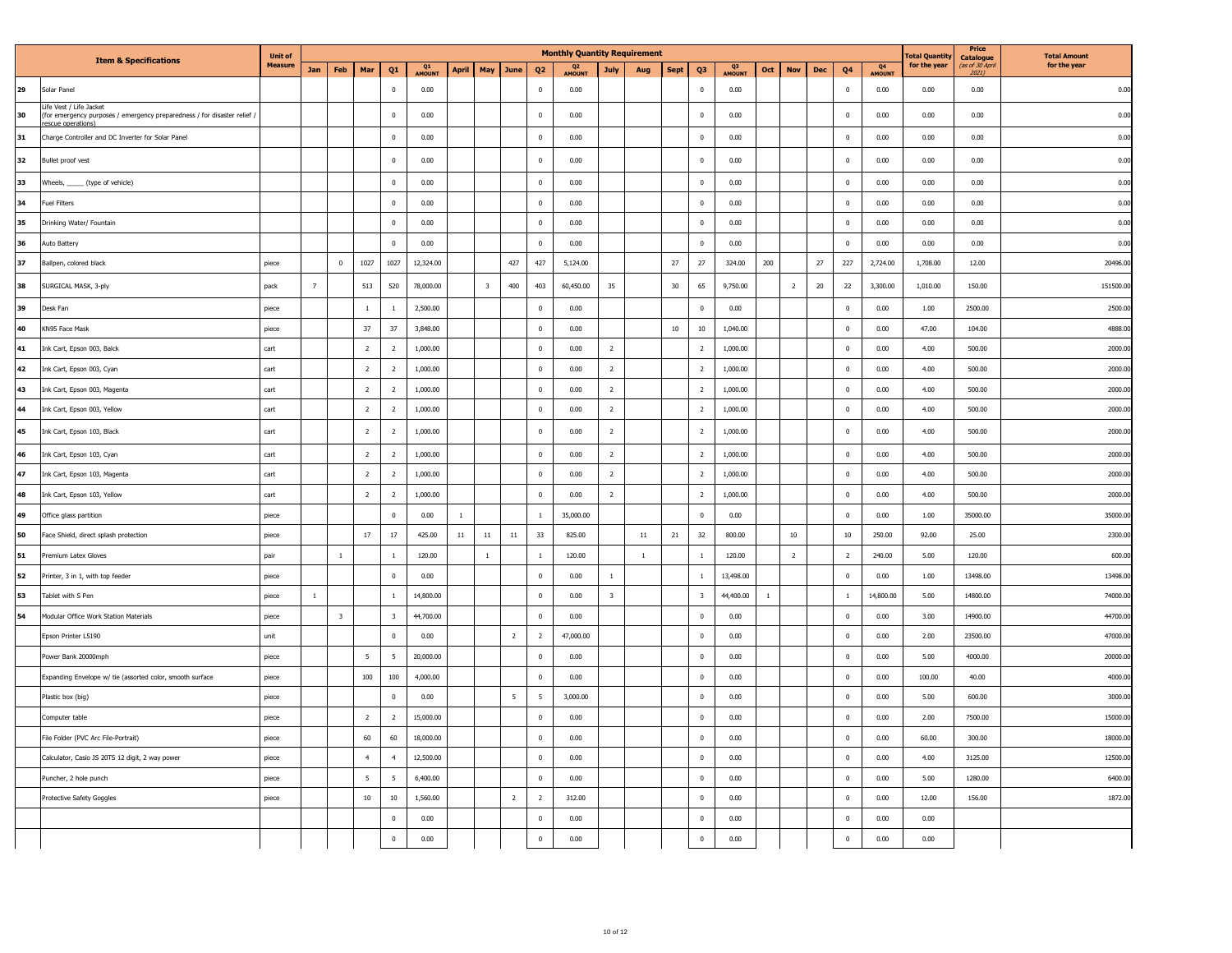|    |                                                                                                                       | <b>Unit of</b> |                |                         |                 |                         |              |              |                         |                |                | <b>Monthly Quantity Requirement</b> |                         |              |             |                         |              |     |                |        |                |              | otal Quantity | Price                                        | <b>Total Amount</b> |
|----|-----------------------------------------------------------------------------------------------------------------------|----------------|----------------|-------------------------|-----------------|-------------------------|--------------|--------------|-------------------------|----------------|----------------|-------------------------------------|-------------------------|--------------|-------------|-------------------------|--------------|-----|----------------|--------|----------------|--------------|---------------|----------------------------------------------|---------------------|
|    | <b>Item &amp; Specifications</b>                                                                                      | <b>Measure</b> | Jan            | Feb                     | Mar             | Q <sub>1</sub>          | Q1<br>AMOUNT | <b>April</b> | May                     | June           | Q <sub>2</sub> | Q <sub>2</sub><br>AMOUNT            | July                    | Aug          | <b>Sept</b> | Q3                      | Q3<br>AMOUNT | Oct | <b>Nov</b>     | Dec    | Q <sub>4</sub> | Q4<br>AMOUNT | for the year  | <b>Catalogue</b><br>(as of 30 April<br>2021) | for the year        |
| 29 | Solar Panel                                                                                                           |                |                |                         |                 | $\Omega$                | 0.00         |              |                         |                | $\mathbf 0$    | 0.00                                |                         |              |             | $\Omega$                | 0.00         |     |                |        | $\Omega$       | 0.00         | 0.00          | 0.00                                         | 0.00                |
| 30 | Life Vest / Life Jacket<br>(for emergency purposes / emergency preparedness / for disaster relief<br>escue operations |                |                |                         |                 | $\mathbf 0$             | 0.00         |              |                         |                | $\,0\,$        | 0.00                                |                         |              |             | $\mathbf 0$             | 0.00         |     |                |        | $\mathbf 0$    | 0.00         | 0.00          | 0.00                                         | 0.00                |
| 31 | Charge Controller and DC Inverter for Solar Panel                                                                     |                |                |                         |                 | $\mathbf 0$             | 0.00         |              |                         |                | $\,0\,$        | 0.00                                |                         |              |             | $\,$ 0                  | 0.00         |     |                |        | $\,$ 0         | 0.00         | 0.00          | 0.00                                         | 0.00                |
| 32 | Bullet proof vest                                                                                                     |                |                |                         |                 | $\overline{0}$          | 0.00         |              |                         |                | $\mathbf{0}$   | 0.00                                |                         |              |             | $\overline{0}$          | 0.00         |     |                |        | $\overline{0}$ | 0.00         | 0.00          | 0.00                                         | 0.00                |
| 33 | Wheels, ______ (type of vehicle)                                                                                      |                |                |                         |                 | $\overline{0}$          | 0.00         |              |                         |                | $\mathbf 0$    | 0.00                                |                         |              |             | $\overline{0}$          | 0.00         |     |                |        | $\mathbf 0$    | 0.00         | 0.00          | 0.00                                         | 0.00                |
| 34 | Fuel Filters                                                                                                          |                |                |                         |                 | $\mathbf 0$             | 0.00         |              |                         |                | $\,0\,$        | 0.00                                |                         |              |             | $\,$ 0                  | 0.00         |     |                |        | $\mathbf 0$    | 0.00         | 0.00          | 0.00                                         | 0.00                |
| 35 | Drinking Water/ Fountain                                                                                              |                |                |                         |                 | $\overline{0}$          | 0.00         |              |                         |                | $\,0\,$        | 0.00                                |                         |              |             | $\mathbf 0$             | 0.00         |     |                |        | $\,$ 0         | 0.00         | 0.00          | 0.00                                         | 0.00                |
| 36 | Auto Battery                                                                                                          |                |                |                         |                 | $\mathbf 0$             | 0.00         |              |                         |                | $\mathbf 0$    | 0.00                                |                         |              |             | $\mathbf 0$             | 0.00         |     |                |        | $\mathbf 0$    | 0.00         | 0.00          | 0.00                                         | 0.00                |
| 37 | Ballpen, colored black                                                                                                | piece          |                | $\mathbf 0$             | 1027            | 1027                    | 12,324.00    |              |                         | 427            | 427            | 5,124.00                            |                         |              | $27\,$      | 27                      | 324.00       | 200 |                | 27     | 227            | 2,724.00     | 1,708.00      | 12.00                                        | 20496.00            |
| 38 | SURGICAL MASK, 3-ply                                                                                                  | pack           | $\overline{7}$ |                         | 513             | 520                     | 78,000.00    |              | $\overline{\mathbf{3}}$ | 400            | 403            | 60,450.00                           | 35                      |              | 30          | 65                      | 9,750.00     |     | $\overline{2}$ | $20\,$ | 22             | 3,300.00     | 1,010.00      | 150.00                                       | 151500.00           |
| 39 | Desk Fan                                                                                                              | piece          |                |                         | $\,1\,$         | $\overline{1}$          | 2,500.00     |              |                         |                | $\mathbf 0$    | 0.00                                |                         |              |             | $\mathbf 0$             | 0.00         |     |                |        | $\mathbf 0$    | 0.00         | 1.00          | 2500.00                                      | 2500.00             |
| 40 | KN95 Face Mask                                                                                                        | piece          |                |                         | 37              | 37                      | 3,848.00     |              |                         |                | $\,0\,$        | 0.00                                |                         |              | $10\,$      | $10\,$                  | 1,040.00     |     |                |        | $\,$ 0         | 0.00         | 47.00         | 104.00                                       | 4888.00             |
| 41 | Ink Cart, Epson 003, Balck                                                                                            | cart           |                |                         | $\overline{2}$  | $\overline{2}$          | 1,000.00     |              |                         |                | $\mathbb O$    | 0.00                                | $\overline{2}$          |              |             | $\overline{2}$          | 1,000.00     |     |                |        | $\mathbf 0$    | 0.00         | 4.00          | 500.00                                       | 2000.0              |
| 42 | Ink Cart, Epson 003, Cyan                                                                                             | cart           |                |                         | $\overline{2}$  | $\overline{2}$          | 1,000.00     |              |                         |                | $\mathbf 0$    | 0.00                                | $\overline{2}$          |              |             | $\overline{2}$          | 1,000.00     |     |                |        | $\,0\,$        | 0.00         | 4.00          | 500.00                                       | 2000.0              |
| 43 | Ink Cart, Epson 003, Magenta                                                                                          | cart           |                |                         | $\overline{2}$  | $\overline{2}$          | 1,000.00     |              |                         |                | $\mathbf 0$    | 0.00                                | $\overline{2}$          |              |             | $\overline{2}$          | 1,000.00     |     |                |        | $\mathbf 0$    | 0.00         | 4.00          | 500.00                                       | 2000.0              |
| 44 | Ink Cart, Epson 003, Yellow                                                                                           | cart           |                |                         | $\overline{2}$  | $\overline{2}$          | 1,000.00     |              |                         |                | $\,0\,$        | 0.00                                | $\overline{2}$          |              |             | $\overline{2}$          | 1,000.00     |     |                |        | $\,$ 0         | 0.00         | 4.00          | 500.00                                       | 2000.0              |
| 45 | Ink Cart, Epson 103, Black                                                                                            | cart           |                |                         | $\overline{2}$  | $\overline{2}$          | 1,000.00     |              |                         |                | $\overline{0}$ | 0.00                                | $\overline{2}$          |              |             | $\overline{2}$          | 1,000.00     |     |                |        | $\overline{0}$ | 0.00         | 4.00          | 500.00                                       | 2000.0              |
| 46 | Ink Cart, Epson 103, Cyan                                                                                             | cart           |                |                         | $\overline{2}$  | $\overline{2}$          | 1,000.00     |              |                         |                | $\mathbb O$    | 0.00                                | $\overline{2}$          |              |             | $\overline{2}$          | 1,000.00     |     |                |        | $\mathbf 0$    | 0.00         | 4.00          | 500.00                                       | 2000.0              |
| 47 | Ink Cart, Epson 103, Magenta                                                                                          | cart           |                |                         | $\overline{2}$  | $\overline{2}$          | 1,000.00     |              |                         |                | $\mathbb O$    | 0.00                                | $\overline{2}$          |              |             | $\overline{2}$          | 1,000.00     |     |                |        | $\,$ 0         | 0.00         | 4.00          | 500.00                                       | 2000.0              |
| 48 | Ink Cart, Epson 103, Yellow                                                                                           | cart           |                |                         | $\overline{2}$  | $\overline{2}$          | 1,000.00     |              |                         |                | $\mathbf{0}$   | 0.00                                | $\overline{2}$          |              |             | $\overline{2}$          | 1,000.00     |     |                |        | $\Omega$       | 0.00         | 4.00          | 500.00                                       | 2000.0              |
| 49 | Office glass partition                                                                                                | piece          |                |                         |                 | $\mathbf 0$             | 0.00         | 1            |                         |                | $\mathbf{1}$   | 35,000.00                           |                         |              |             | $\,$ 0                  | 0.00         |     |                |        | $\,$ 0         | 0.00         | 1.00          | 35000.00                                     | 35000.0             |
| 50 | Face Shield, direct splash protection                                                                                 | piece          |                |                         | $17\,$          | 17                      | 425.00       | $11\,$       | $11\,$                  | $11\,$         | 33             | 825.00                              |                         | 11           | 21          | 32                      | 800.00       |     | $10\,$         |        | 10             | 250.00       | 92.00         | 25.00                                        | 2300.0              |
| 51 | Premium Latex Gloves                                                                                                  | pair           |                | $\mathbf{1}$            |                 | $\mathbf{1}$            | 120.00       |              | $\mathbf{1}$            |                | 1              | 120.00                              |                         | $\mathbf{1}$ |             | <sup>1</sup>            | 120.00       |     | $\overline{2}$ |        | $\overline{2}$ | 240.00       | 5.00          | 120.00                                       | 600.00              |
| 52 | Printer, 3 in 1, with top feeder                                                                                      | piece          |                |                         |                 | $\overline{0}$          | 0.00         |              |                         |                | $\mathbb O$    | 0.00                                | 1                       |              |             | <sup>1</sup>            | 13,498.00    |     |                |        | $\mathbf 0$    | 0.00         | 1.00          | 13498.00                                     | 13498.0             |
| 53 | Tablet with S Pen                                                                                                     | piece          | $1\,$          |                         |                 | $1\,$                   | 14,800.00    |              |                         |                | $\mathbb O$    | 0.00                                | $\overline{\mathbf{3}}$ |              |             | $\overline{\mathbf{3}}$ | 44,400.00    |     |                |        | $\overline{1}$ | 14,800.00    | 5.00          | 14800.00                                     | 74000.0             |
| 54 | Modular Office Work Station Materials                                                                                 | piece          |                | $\overline{\mathbf{3}}$ |                 | $\overline{\mathbf{3}}$ | 44,700.00    |              |                         |                | $\Omega$       | 0.00                                |                         |              |             | $\Omega$                | 0.00         |     |                |        | $\Omega$       | 0.00         | 3.00          | 14900.00                                     | 44700.0             |
|    | Epson Printer L5190                                                                                                   | unit           |                |                         |                 | $\mathbf 0$             | 0.00         |              |                         | $\overline{2}$ | $\overline{2}$ | 47,000.00                           |                         |              |             | $\,$ 0                  | 0.00         |     |                |        | $\,$ 0         | 0.00         | 2.00          | 23500.00                                     | 47000.0             |
|    | Power Bank 20000mph                                                                                                   | piece          |                |                         | 5 <sup>5</sup>  | $5\phantom{.0}$         | 20,000.00    |              |                         |                | $\mathbb O$    | 0.00                                |                         |              |             | $\Omega$                | 0.00         |     |                |        | $\mathbf 0$    | 0.00         | 5.00          | 4000.00                                      | 20000.0             |
|    | Expanding Envelope w/ tie (assorted color, smooth surface                                                             | piece          |                |                         | 100             | $100\,$                 | 4,000.00     |              |                         |                | $\mathbb O$    | 0.00                                |                         |              |             | $\mathbf{0}$            | 0.00         |     |                |        | $\mathbf 0$    | 0.00         | 100.00        | 40.00                                        | 4000.0              |
|    | Plastic box (big)                                                                                                     | piece          |                |                         |                 | $\overline{0}$          | 0.00         |              |                         | 5              | 5              | 3,000.00                            |                         |              |             | $\overline{0}$          | 0.00         |     |                |        | $\mathbf 0$    | 0.00         | 5.00          | 600.00                                       | 3000.00             |
|    | Computer table                                                                                                        | piece          |                |                         | $\overline{2}$  | $\overline{2}$          | 15,000.00    |              |                         |                | $\mathbb O$    | 0.00                                |                         |              |             | $\,$ 0                  | 0.00         |     |                |        | $\,$ 0         | 0.00         | 2.00          | 7500.00                                      | 15000.00            |
|    | File Folder (PVC Arc File-Portrait)                                                                                   | piece          |                |                         | 60              | 60                      | 18,000.00    |              |                         |                | $\mathbf{0}$   | 0.00                                |                         |              |             | $\Omega$                | 0.00         |     |                |        | $\mathbf{0}$   | 0.00         | 60.00         | 300.00                                       | 18000.00            |
|    | Calculator, Casio JS 20TS 12 digit, 2 way power                                                                       | piece          |                |                         | $\overline{4}$  | $\overline{4}$          | 12,500.00    |              |                         |                | $\mathbb O$    | 0.00                                |                         |              |             | $\,$ 0                  | 0.00         |     |                |        | $\,$ 0         | 0.00         | 4.00          | 3125.00                                      | 12500.0             |
|    | Puncher, 2 hole punch                                                                                                 | niece          |                |                         | $5\overline{5}$ | 5                       | 6.400.00     |              |                         |                | $\mathbf 0$    | 0.00                                |                         |              |             | $\Omega$                | 0.00         |     |                |        | $\mathbf 0$    | 0.00         | 5.00          | 1280.00                                      | 6400.0              |
|    | Protective Safety Goggles                                                                                             | piece          |                |                         | $10\,$          | $10\,$                  | 1,560.00     |              |                         | $\overline{2}$ | $\overline{2}$ | 312.00                              |                         |              |             | $\mathbf{0}$            | 0.00         |     |                |        | $\mathbf 0$    | 0.00         | 12.00         | 156.00                                       | 1872.0              |
|    |                                                                                                                       |                |                |                         |                 | $\mathbf{0}$            | 0.00         |              |                         |                | $\mathbf 0$    | 0.00                                |                         |              |             | $\overline{0}$          | 0.00         |     |                |        | $\mathbf 0$    | 0.00         | 0.00          |                                              |                     |
|    |                                                                                                                       |                |                |                         |                 | $\mathbf 0$             | 0.00         |              |                         |                | $\mathbb O$    | 0.00                                |                         |              |             | $\mathbb O$             | 0.00         |     |                |        | $\,$ 0         | 0.00         | 0.00          |                                              |                     |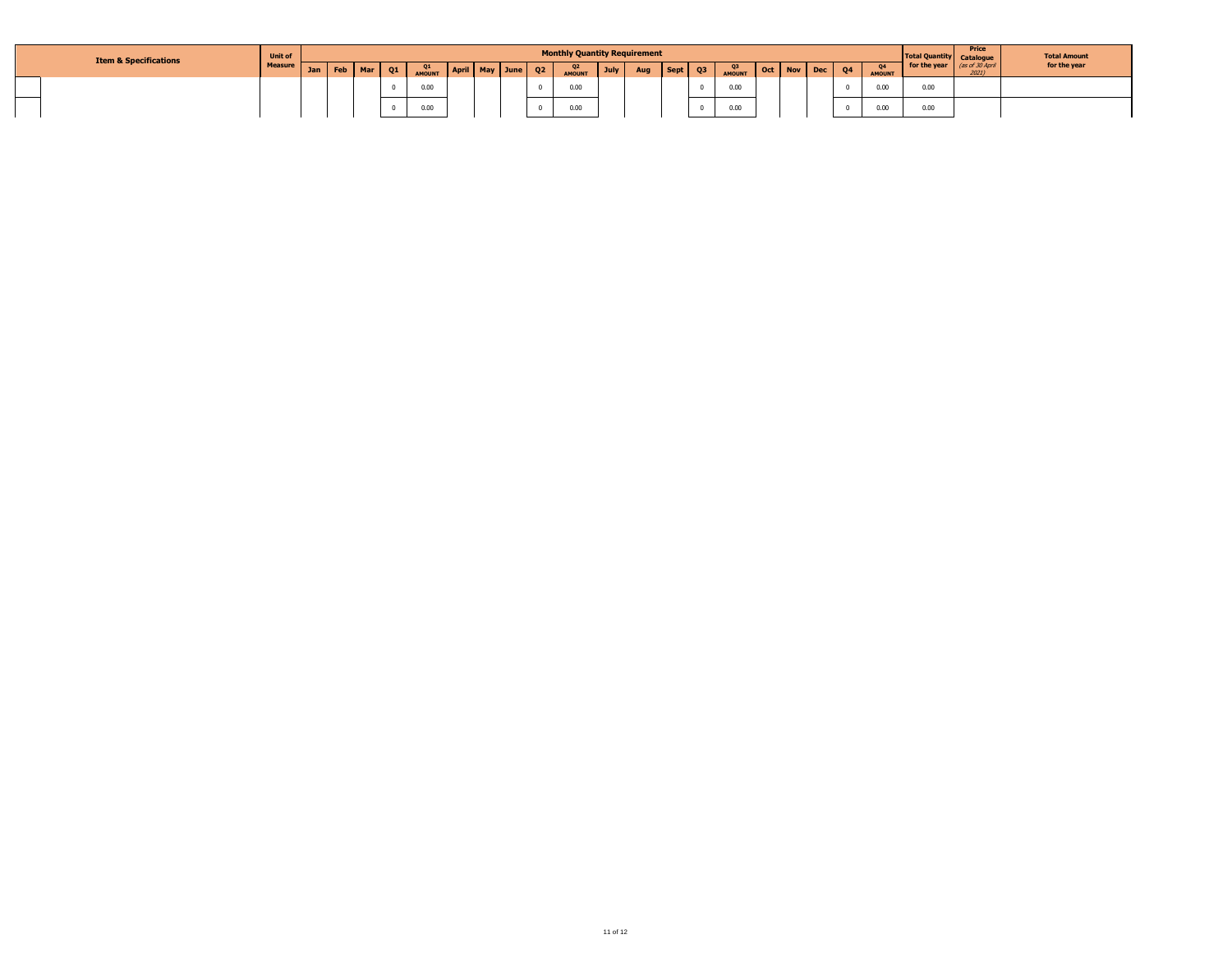| <b>Item &amp; Specifications</b> | <b>Unit of</b> |         |       |    |                     |              |          |                | <b>Monthly Quantity Requirement</b> |      |     |      |    |              |                      |  |               | <b>Total Quantity Catalogue</b> | Price | <b>Total Amount</b> |
|----------------------------------|----------------|---------|-------|----|---------------------|--------------|----------|----------------|-------------------------------------|------|-----|------|----|--------------|----------------------|--|---------------|---------------------------------|-------|---------------------|
|                                  | <b>Measure</b> | Jan Feb | Mar N | Q1 | Q1<br><b>AMOUNT</b> | <b>April</b> | May June | Q <sub>2</sub> | Q <sub>2</sub><br><b>AMOUNT</b>     | July | Aug | Sept | Q3 | Q3<br>AMOUNT | Oct   Nov   Dec   Q4 |  | <b>AMOUNT</b> | for the year (as of 30 April    | 2021  | for the year        |
|                                  |                |         |       |    | 0.00                |              |          |                | 0.00                                |      |     |      |    | 0.00         |                      |  | 0.00          | 0.00                            |       |                     |
|                                  |                |         |       |    | 0.00                |              |          |                | 0.00                                |      |     |      |    | 0.00         |                      |  | 0.00          | 0.00                            |       |                     |